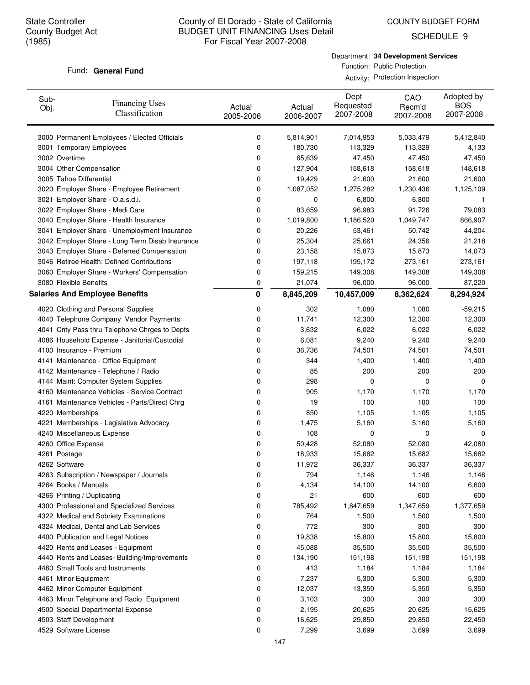COUNTY BUDGET FORM

SCHEDULE 9

#### Fund: General Fund

Department: **34 Development Services** Function: Public Protection Activity: Protection Inspection

| Sub-<br>Obj. | <b>Financing Uses</b><br>Classification         | Actual<br>2005-2006 | Actual<br>2006-2007 | Dept<br>Requested<br>2007-2008 | CAO<br>Recm'd<br>2007-2008 | Adopted by<br><b>BOS</b><br>2007-2008 |
|--------------|-------------------------------------------------|---------------------|---------------------|--------------------------------|----------------------------|---------------------------------------|
|              | 3000 Permanent Employees / Elected Officials    | 0                   | 5,814,901           | 7,014,953                      | 5,033,479                  | 5,412,840                             |
|              | 3001 Temporary Employees                        | 0                   | 180,730             | 113,329                        | 113,329                    | 4,133                                 |
|              | 3002 Overtime                                   | 0                   | 65,639              | 47,450                         | 47,450                     | 47,450                                |
|              | 3004 Other Compensation                         | 0                   | 127,904             | 158,618                        | 158,618                    | 148,618                               |
|              | 3005 Tahoe Differential                         | 0                   | 19,429              | 21,600                         | 21,600                     | 21,600                                |
|              | 3020 Employer Share - Employee Retirement       | 0                   | 1,087,052           | 1,275,282                      | 1,230,436                  | 1,125,109                             |
|              | 3021 Employer Share - O.a.s.d.i.                | 0                   | 0                   | 6,800                          | 6,800                      | -1                                    |
|              | 3022 Employer Share - Medi Care                 | 0                   | 83,659              | 96,983                         | 91,726                     | 79,083                                |
|              | 3040 Employer Share - Health Insurance          | 0                   | 1,019,800           | 1,186,520                      | 1,049,747                  | 866,907                               |
|              | 3041 Employer Share - Unemployment Insurance    | 0                   | 20,226              | 53,461                         | 50,742                     | 44,204                                |
|              | 3042 Employer Share - Long Term Disab Insurance | 0                   | 25,304              | 25,661                         | 24,356                     | 21,218                                |
|              | 3043 Employer Share - Deferred Compensation     | 0                   | 23,158              | 15,873                         | 15,873                     | 14,073                                |
|              | 3046 Retiree Health: Defined Contributions      | 0                   | 197,118             | 195,172                        | 273,161                    | 273,161                               |
|              | 3060 Employer Share - Workers' Compensation     | 0                   | 159,215             | 149,308                        | 149,308                    | 149,308                               |
|              | 3080 Flexible Benefits                          | 0                   | 21,074              | 96,000                         | 96,000                     | 87,220                                |
|              | <b>Salaries And Employee Benefits</b>           | 0                   | 8,845,209           | 10,457,009                     | 8,362,624                  | 8,294,924                             |
|              | 4020 Clothing and Personal Supplies             | 0                   | 302                 | 1,080                          | 1,080                      | $-59,215$                             |
|              | 4040 Telephone Company Vendor Payments          | 0                   | 11,741              | 12,300                         | 12,300                     | 12,300                                |
|              | 4041 Cnty Pass thru Telephone Chrges to Depts   | 0                   | 3,632               | 6,022                          | 6,022                      | 6,022                                 |
|              | 4086 Household Expense - Janitorial/Custodial   | 0                   | 6,081               | 9,240                          | 9,240                      | 9,240                                 |
|              | 4100 Insurance - Premium                        | 0                   | 36,736              | 74,501                         | 74,501                     | 74,501                                |
|              | 4141 Maintenance - Office Equipment             | 0                   | 344                 | 1,400                          | 1,400                      | 1,400                                 |
|              | 4142 Maintenance - Telephone / Radio            | 0                   | 85                  | 200                            | 200                        | 200                                   |
|              | 4144 Maint: Computer System Supplies            | 0                   | 298                 | 0                              | 0                          | 0                                     |
|              | 4160 Maintenance Vehicles - Service Contract    | 0                   | 905                 | 1,170                          | 1,170                      | 1,170                                 |
|              | 4161 Maintenance Vehicles - Parts/Direct Chrg   | 0                   | 19                  | 100                            | 100                        | 100                                   |
|              | 4220 Memberships                                | 0                   | 850                 | 1,105                          | 1,105                      | 1,105                                 |
|              | 4221 Memberships - Legislative Advocacy         | 0                   | 1,475               | 5,160                          | 5,160                      | 5,160                                 |
|              | 4240 Miscellaneous Expense                      | 0                   | 108                 | 0                              | 0                          | 0                                     |
|              | 4260 Office Expense                             | 0                   | 50,428              | 52,080                         | 52,080                     | 42,080                                |
|              | 4261 Postage                                    | 0                   | 18,933              | 15,682                         | 15,682                     | 15,682                                |
|              | 4262 Software                                   | 0                   | 11,972              | 36,337                         | 36,337                     | 36,337                                |
|              | 4263 Subscription / Newspaper / Journals        | O                   | 794                 | 1,146                          | 1,146                      | 1,146                                 |
|              | 4264 Books / Manuals                            | 0                   | 4,134               | 14,100                         | 14,100                     | 6,600                                 |
|              | 4266 Printing / Duplicating                     | 0                   | 21                  | 600                            | 600                        | 600                                   |
|              | 4300 Professional and Specialized Services      | 0                   | 785,492             | 1,847,659                      | 1,347,659                  | 1,377,659                             |
|              | 4322 Medical and Sobriety Examinations          | 0                   | 764                 | 1,500                          | 1,500                      | 1,500                                 |
|              | 4324 Medical, Dental and Lab Services           | 0                   | 772                 | 300                            | 300                        | 300                                   |
|              | 4400 Publication and Legal Notices              | 0                   | 19,838              | 15,800                         | 15,800                     | 15,800                                |
|              | 4420 Rents and Leases - Equipment               | 0                   | 45,088              | 35,500                         | 35,500                     | 35,500                                |
|              | 4440 Rents and Leases- Building/Improvements    | 0                   | 134,190             | 151,198                        | 151,198                    | 151,198                               |
|              | 4460 Small Tools and Instruments                | 0                   | 413                 | 1,184                          | 1,184                      | 1,184                                 |
|              | 4461 Minor Equipment                            | 0                   | 7,237               | 5,300                          | 5,300                      | 5,300                                 |
|              | 4462 Minor Computer Equipment                   | 0                   | 12,037              | 13,350                         | 5,350                      | 5,350                                 |
|              | 4463 Minor Telephone and Radio Equipment        | 0                   | 3,103               | 300                            | 300                        | 300                                   |
|              | 4500 Special Departmental Expense               | 0                   | 2,195               | 20,625                         | 20,625                     | 15,625                                |
|              | 4503 Staff Development                          | 0                   | 16,625              | 29,850                         | 29,850                     | 22,450                                |
|              | 4529 Software License                           | 0                   | 7,299               | 3,699                          | 3,699                      | 3,699                                 |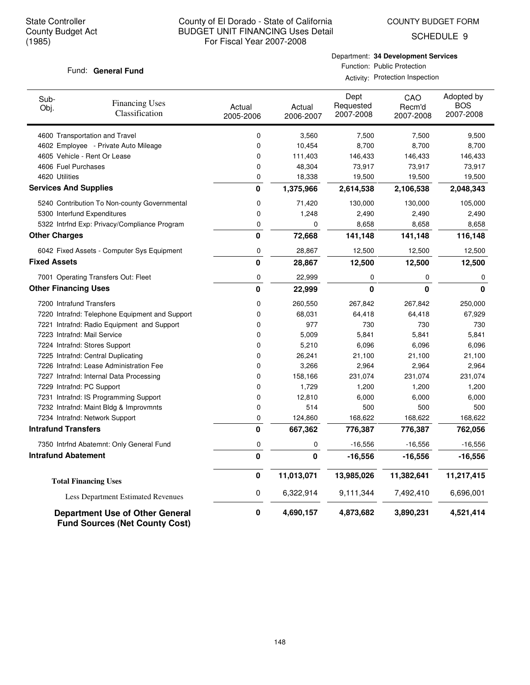COUNTY BUDGET FORM

SCHEDULE 9

### Fund: General Fund

Department: **34 Development Services** Function: Public Protection

Activity: Protection Inspection

| Sub-<br>Obj.                 | <b>Financing Uses</b><br>Classification                                         | Actual<br>2005-2006 | Actual<br>2006-2007 | Dept<br>Requested<br>2007-2008 | CAO<br>Recm'd<br>2007-2008 | Adopted by<br><b>BOS</b><br>2007-2008 |
|------------------------------|---------------------------------------------------------------------------------|---------------------|---------------------|--------------------------------|----------------------------|---------------------------------------|
|                              | 4600 Transportation and Travel                                                  | 0                   | 3,560               | 7,500                          | 7,500                      | 9,500                                 |
|                              | 4602 Employee - Private Auto Mileage                                            | 0                   | 10,454              | 8,700                          | 8,700                      | 8,700                                 |
|                              | 4605 Vehicle - Rent Or Lease                                                    | 0                   | 111,403             | 146,433                        | 146,433                    | 146,433                               |
| 4606 Fuel Purchases          |                                                                                 | 0                   | 48,304              | 73,917                         | 73,917                     | 73,917                                |
| 4620 Utilities               |                                                                                 | 0                   | 18,338              | 19,500                         | 19,500                     | 19,500                                |
| <b>Services And Supplies</b> |                                                                                 | 0                   | 1,375,966           | 2,614,538                      | 2,106,538                  | 2,048,343                             |
|                              | 5240 Contribution To Non-county Governmental                                    | 0                   | 71,420              | 130,000                        | 130,000                    | 105,000                               |
|                              | 5300 Interfund Expenditures                                                     | 0                   | 1,248               | 2,490                          | 2,490                      | 2,490                                 |
|                              | 5322 Intrfnd Exp: Privacy/Compliance Program                                    | 0                   | 0                   | 8,658                          | 8,658                      | 8,658                                 |
| <b>Other Charges</b>         |                                                                                 | $\bf{0}$            | 72,668              | 141,148                        | 141,148                    | 116,148                               |
|                              | 6042 Fixed Assets - Computer Sys Equipment                                      | 0                   | 28,867              | 12,500                         | 12,500                     | 12,500                                |
| <b>Fixed Assets</b>          |                                                                                 | 0                   | 28,867              | 12,500                         | 12,500                     | 12,500                                |
|                              | 7001 Operating Transfers Out: Fleet                                             | 0                   | 22,999              | 0                              | 0                          | 0                                     |
| <b>Other Financing Uses</b>  |                                                                                 | $\mathbf{0}$        | 22,999              | 0                              | 0                          | 0                                     |
| 7200 Intrafund Transfers     |                                                                                 | 0                   | 260,550             | 267,842                        | 267,842                    | 250,000                               |
|                              | 7220 Intrafnd: Telephone Equipment and Support                                  | 0                   | 68,031              | 64,418                         | 64,418                     | 67,929                                |
|                              | 7221 Intrafnd: Radio Equipment and Support                                      | 0                   | 977                 | 730                            | 730                        | 730                                   |
|                              | 7223 Intrafnd: Mail Service                                                     | 0                   | 5,009               | 5,841                          | 5,841                      | 5,841                                 |
|                              | 7224 Intrafnd: Stores Support                                                   | 0                   | 5,210               | 6,096                          | 6,096                      | 6,096                                 |
|                              | 7225 Intrafnd: Central Duplicating                                              | 0                   | 26,241              | 21,100                         | 21,100                     | 21,100                                |
|                              | 7226 Intrafnd: Lease Administration Fee                                         | 0                   | 3,266               | 2,964                          | 2,964                      | 2,964                                 |
|                              | 7227 Intrafnd: Internal Data Processing                                         | 0                   | 158,166             | 231,074                        | 231,074                    | 231,074                               |
| 7229 Intrafnd: PC Support    |                                                                                 | 0                   | 1,729               | 1,200                          | 1,200                      | 1,200                                 |
|                              | 7231 Intrafnd: IS Programming Support                                           | 0                   | 12,810              | 6,000                          | 6,000                      | 6,000                                 |
|                              | 7232 Intrafnd: Maint Bldg & Improvmnts                                          | 0                   | 514                 | 500                            | 500                        | 500                                   |
|                              | 7234 Intrafnd: Network Support                                                  | 0                   | 124,860             | 168,622                        | 168,622                    | 168,622                               |
| <b>Intrafund Transfers</b>   |                                                                                 | $\mathbf 0$         | 667,362             | 776,387                        | 776,387                    | 762,056                               |
|                              | 7350 Intrfnd Abatemnt: Only General Fund                                        | 0                   | 0                   | $-16,556$                      | $-16,556$                  | $-16,556$                             |
| <b>Intrafund Abatement</b>   |                                                                                 | $\mathbf{0}$        | 0                   | $-16,556$                      | $-16,556$                  | $-16,556$                             |
|                              | <b>Total Financing Uses</b>                                                     | $\pmb{0}$           | 11,013,071          | 13,985,026                     | 11,382,641                 | 11,217,415                            |
|                              | <b>Less Department Estimated Revenues</b>                                       | 0                   | 6,322,914           | 9,111,344                      | 7,492,410                  | 6,696,001                             |
|                              | <b>Department Use of Other General</b><br><b>Fund Sources (Net County Cost)</b> | 0                   | 4,690,157           | 4,873,682                      | 3,890,231                  | 4,521,414                             |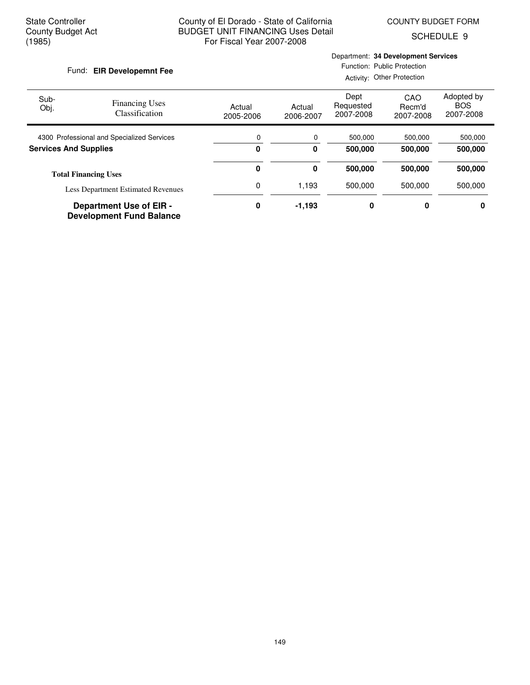SCHEDULE 9

#### Fund: EIR Developemnt Fee

## Department: **34 Development Services**

Function: Public Protection

|                                            |                                                                   |                     |                     |                                | Activity: Other Protection |                                       |
|--------------------------------------------|-------------------------------------------------------------------|---------------------|---------------------|--------------------------------|----------------------------|---------------------------------------|
| Sub-<br>Obj.                               | <b>Financing Uses</b><br>Classification                           | Actual<br>2005-2006 | Actual<br>2006-2007 | Dept<br>Requested<br>2007-2008 | CAO<br>Recm'd<br>2007-2008 | Adopted by<br><b>BOS</b><br>2007-2008 |
| 4300 Professional and Specialized Services |                                                                   | 0                   | 0                   | 500,000                        | 500,000                    | 500,000                               |
| <b>Services And Supplies</b>               |                                                                   | 0                   | 0                   | 500,000<br>500,000             |                            | 500,000                               |
|                                            | <b>Total Financing Uses</b>                                       | 0                   | 0                   | 500,000                        | 500,000                    | 500,000                               |
| <b>Less Department Estimated Revenues</b>  |                                                                   | 0                   | 1,193               | 500.000                        | 500.000                    | 500,000                               |
|                                            | <b>Department Use of EIR -</b><br><b>Development Fund Balance</b> | 0                   | $-1,193$            | 0                              | 0                          | 0                                     |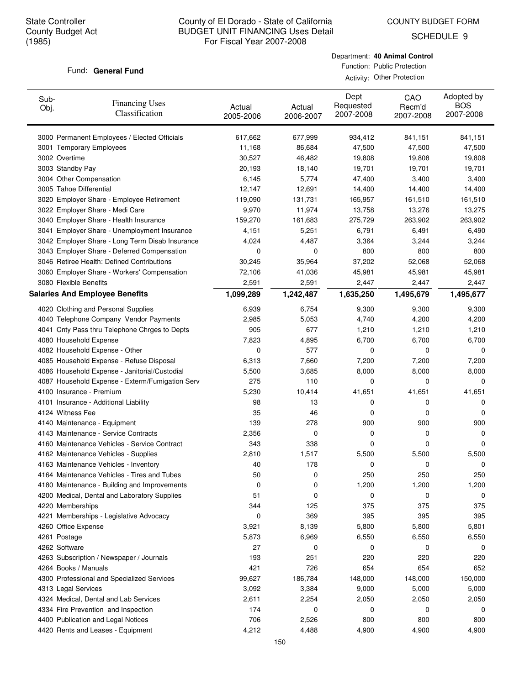COUNTY BUDGET FORM

SCHEDULE 9

#### Fund: General Fund

Department: **40 Animal Control** Function: Public Protection

Activity: Other Protection

| Sub-<br>Obj. | <b>Financing Uses</b><br>Classification         | Actual<br>2005-2006 | Actual<br>2006-2007 | Dept<br>Requested<br>2007-2008 | CAO<br>Recm'd<br>2007-2008 | Adopted by<br><b>BOS</b><br>2007-2008 |
|--------------|-------------------------------------------------|---------------------|---------------------|--------------------------------|----------------------------|---------------------------------------|
|              | 3000 Permanent Employees / Elected Officials    | 617,662             | 677,999             | 934,412                        | 841,151                    | 841,151                               |
|              | 3001 Temporary Employees                        | 11,168              | 86,684              | 47,500                         | 47,500                     | 47,500                                |
|              | 3002 Overtime                                   | 30,527              | 46,482              | 19,808                         | 19,808                     | 19,808                                |
|              | 3003 Standby Pay                                | 20,193              | 18,140              | 19,701                         | 19,701                     | 19,701                                |
|              | 3004 Other Compensation                         | 6,145               | 5,774               | 47,400                         | 3,400                      | 3,400                                 |
|              | 3005 Tahoe Differential                         | 12,147              | 12,691              | 14,400                         | 14,400                     | 14,400                                |
|              | 3020 Employer Share - Employee Retirement       | 119,090             | 131,731             | 165,957                        | 161,510                    | 161,510                               |
|              | 3022 Employer Share - Medi Care                 | 9,970               | 11,974              | 13,758                         | 13,276                     | 13,275                                |
|              | 3040 Employer Share - Health Insurance          | 159,270             | 161,683             | 275,729                        | 263,902                    | 263,902                               |
|              | 3041 Employer Share - Unemployment Insurance    | 4,151               | 5,251               | 6,791                          | 6,491                      | 6,490                                 |
|              | 3042 Employer Share - Long Term Disab Insurance | 4,024               | 4,487               | 3,364                          | 3,244                      | 3,244                                 |
|              | 3043 Employer Share - Deferred Compensation     | 0                   | 0                   | 800                            | 800                        | 800                                   |
|              | 3046 Retiree Health: Defined Contributions      | 30,245              | 35,964              | 37,202                         | 52,068                     | 52,068                                |
|              | 3060 Employer Share - Workers' Compensation     | 72,106              | 41,036              | 45,981                         | 45,981                     | 45,981                                |
|              | 3080 Flexible Benefits                          | 2,591               | 2,591               | 2,447                          | 2,447                      | 2,447                                 |
|              | <b>Salaries And Employee Benefits</b>           | 1,099,289           | 1,242,487           | 1,635,250                      | 1,495,679                  | 1,495,677                             |
|              |                                                 |                     |                     |                                |                            |                                       |
|              | 4020 Clothing and Personal Supplies             | 6,939               | 6,754               | 9,300                          | 9,300                      | 9,300                                 |
|              | 4040 Telephone Company Vendor Payments          | 2,985               | 5,053               | 4,740                          | 4,200                      | 4,200                                 |
|              | 4041 Cnty Pass thru Telephone Chrges to Depts   | 905                 | 677                 | 1,210                          | 1,210                      | 1,210                                 |
|              | 4080 Household Expense                          | 7,823               | 4,895               | 6,700                          | 6,700                      | 6,700                                 |
|              | 4082 Household Expense - Other                  | 0                   | 577                 | 0                              | 0                          | 0                                     |
|              | 4085 Household Expense - Refuse Disposal        | 6,313               | 7,660               | 7,200                          | 7,200                      | 7,200                                 |
|              | 4086 Household Expense - Janitorial/Custodial   | 5,500               | 3,685               | 8,000                          | 8,000                      | 8,000                                 |
|              | 4087 Household Expense - Exterm/Fumigation Serv | 275                 | 110                 | 0                              | 0                          | 0                                     |
|              | 4100 Insurance - Premium                        | 5,230               | 10,414              | 41,651                         | 41,651                     | 41,651                                |
|              | 4101 Insurance - Additional Liability           | 98                  | 13                  | 0                              | 0                          | 0                                     |
|              | 4124 Witness Fee                                | 35                  | 46                  | 0                              | 0                          | 0                                     |
|              | 4140 Maintenance - Equipment                    | 139                 | 278                 | 900                            | 900                        | 900                                   |
|              | 4143 Maintenance - Service Contracts            | 2,356               | 0                   | 0                              | 0                          | 0                                     |
|              | 4160 Maintenance Vehicles - Service Contract    | 343                 | 338                 | 0                              | 0                          | 0                                     |
|              | 4162 Maintenance Vehicles - Supplies            | 2,810               | 1,517               | 5,500                          | 5,500                      | 5,500                                 |
|              | 4163 Maintenance Vehicles - Inventory           | 40                  | 178                 | 0                              | 0                          | 0                                     |
|              | 4164 Maintenance Vehicles - Tires and Tubes     | 50                  | 0                   | 250                            | 250                        | 250                                   |
|              | 4180 Maintenance - Building and Improvements    | 0                   | 0                   | 1,200                          | 1,200                      | 1,200                                 |
|              | 4200 Medical, Dental and Laboratory Supplies    | 51                  | 0                   | 0                              | 0                          | 0                                     |
|              | 4220 Memberships                                | 344                 | 125                 | 375                            | 375                        | 375                                   |
|              | 4221 Memberships - Legislative Advocacy         | 0                   | 369                 | 395                            | 395                        | 395                                   |
|              | 4260 Office Expense                             | 3,921               | 8,139               | 5,800                          | 5,800                      | 5,801                                 |
|              | 4261 Postage                                    | 5,873               | 6,969               | 6,550                          | 6,550                      | 6,550                                 |
|              | 4262 Software                                   | 27                  | 0                   | 0                              | 0                          | 0                                     |
|              | 4263 Subscription / Newspaper / Journals        | 193                 | 251                 | 220                            | 220                        | 220                                   |
|              | 4264 Books / Manuals                            | 421                 | 726                 | 654                            | 654                        | 652                                   |
|              | 4300 Professional and Specialized Services      | 99,627              | 186,784             | 148,000                        | 148,000                    | 150,000                               |
|              | 4313 Legal Services                             | 3,092               | 3,384               | 9,000                          | 5,000                      | 5,000                                 |
|              | 4324 Medical, Dental and Lab Services           | 2,611               | 2,254               | 2,050                          | 2,050                      | 2,050                                 |
|              | 4334 Fire Prevention and Inspection             | 174                 | 0                   | 0                              | 0                          | 0                                     |
|              | 4400 Publication and Legal Notices              | 706                 | 2,526               | 800                            | 800                        | 800                                   |
|              | 4420 Rents and Leases - Equipment               | 4,212               | 4,488               | 4,900                          | 4,900                      | 4,900                                 |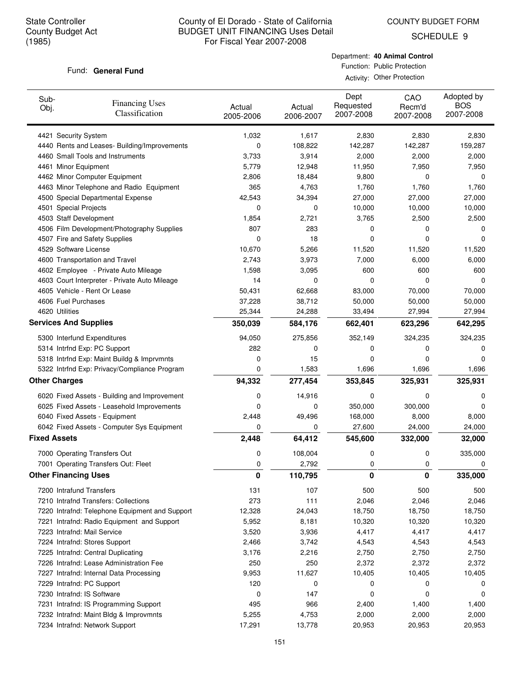COUNTY BUDGET FORM

SCHEDULE 9

### Fund: General Fund

Department: **40 Animal Control** Function: Public Protection

Activity: Other Protection

| Sub-<br>Obj.        | <b>Financing Uses</b><br>Classification        | Actual<br>2005-2006 | Actual<br>2006-2007 | Dept<br>Requested<br>2007-2008 | CAO<br>Recm'd<br>2007-2008 | Adopted by<br><b>BOS</b><br>2007-2008 |
|---------------------|------------------------------------------------|---------------------|---------------------|--------------------------------|----------------------------|---------------------------------------|
|                     | 4421 Security System                           | 1,032               | 1,617               | 2,830                          | 2,830                      | 2,830                                 |
|                     | 4440 Rents and Leases- Building/Improvements   | 0                   | 108,822             | 142,287                        | 142,287                    | 159,287                               |
|                     | 4460 Small Tools and Instruments               | 3,733               | 3,914               | 2,000                          | 2,000                      | 2,000                                 |
|                     | 4461 Minor Equipment                           | 5,779               | 12,948              | 11,950                         | 7,950                      | 7,950                                 |
|                     | 4462 Minor Computer Equipment                  | 2,806               | 18,484              | 9,800                          | 0                          | 0                                     |
|                     | 4463 Minor Telephone and Radio Equipment       | 365                 | 4,763               | 1,760                          | 1,760                      | 1,760                                 |
|                     | 4500 Special Departmental Expense              | 42,543              | 34,394              | 27,000                         | 27,000                     | 27,000                                |
|                     | 4501 Special Projects                          | 0                   | 0                   | 10,000                         | 10,000                     | 10,000                                |
|                     | 4503 Staff Development                         | 1,854               | 2,721               | 3,765                          | 2,500                      | 2,500                                 |
|                     | 4506 Film Development/Photography Supplies     | 807                 | 283                 | 0                              | 0                          | 0                                     |
|                     | 4507 Fire and Safety Supplies                  | 0                   | 18                  | 0                              | 0                          | 0                                     |
|                     | 4529 Software License                          | 10,670              | 5,266               | 11,520                         | 11,520                     | 11,520                                |
|                     | 4600 Transportation and Travel                 | 2,743               | 3,973               | 7,000                          | 6,000                      | 6,000                                 |
|                     | 4602 Employee - Private Auto Mileage           | 1,598               | 3,095               | 600                            | 600                        | 600                                   |
|                     | 4603 Court Interpreter - Private Auto Mileage  | 14                  | 0                   | 0                              | $\mathbf 0$                | 0                                     |
|                     | 4605 Vehicle - Rent Or Lease                   | 50,431              | 62,668              | 83,000                         | 70,000                     | 70,000                                |
|                     | 4606 Fuel Purchases                            | 37,228              | 38,712              | 50,000                         | 50,000                     | 50,000                                |
|                     | 4620 Utilities                                 | 25,344              | 24,288              | 33,494                         | 27,994                     | 27,994                                |
|                     | <b>Services And Supplies</b>                   | 350,039             | 584,176             | 662,401                        | 623,296                    | 642,295                               |
|                     | 5300 Interfund Expenditures                    | 94,050              | 275,856             | 352,149                        | 324,235                    | 324,235                               |
|                     | 5314 Intrfnd Exp: PC Support                   | 282                 | 0                   | 0                              | 0                          | 0                                     |
|                     | 5318 Intrfnd Exp: Maint Buildg & Imprvmnts     | 0                   | 15                  | 0                              | 0                          | 0                                     |
|                     | 5322 Intrfnd Exp: Privacy/Compliance Program   | 0                   | 1,583               | 1,696                          | 1,696                      | 1,696                                 |
|                     | <b>Other Charges</b>                           | 94,332              | 277,454             | 353,845                        | 325,931                    | 325,931                               |
|                     | 6020 Fixed Assets - Building and Improvement   | 0                   | 14,916              | 0                              | $\mathbf 0$                | 0                                     |
|                     | 6025 Fixed Assets - Leasehold Improvements     | 0                   | 0                   | 350,000                        | 300,000                    | 0                                     |
|                     | 6040 Fixed Assets - Equipment                  | 2,448               | 49,496              | 168,000                        | 8,000                      | 8,000                                 |
|                     | 6042 Fixed Assets - Computer Sys Equipment     | 0                   | 0                   | 27,600                         | 24,000                     | 24,000                                |
| <b>Fixed Assets</b> |                                                | 2,448               | 64,412              | 545,600                        | 332,000                    | 32,000                                |
|                     | 7000 Operating Transfers Out                   | 0                   | 108,004             | 0                              | 0                          | 335,000                               |
|                     | 7001 Operating Transfers Out: Fleet            | 0                   | 2,792               | 0                              | 0                          | 0                                     |
|                     | <b>Other Financing Uses</b>                    | $\mathbf 0$         | 110,795             | 0                              | 0                          | 335,000                               |
|                     | 7200 Intrafund Transfers                       | 131                 | 107                 | 500                            | 500                        | 500                                   |
|                     | 7210 Intrafnd Transfers: Collections           | 273                 | 111                 | 2,046                          | 2,046                      | 2,046                                 |
|                     | 7220 Intrafnd: Telephone Equipment and Support | 12,328              | 24,043              | 18,750                         | 18,750                     | 18,750                                |
|                     | 7221 Intrafnd: Radio Equipment and Support     | 5,952               | 8,181               | 10,320                         | 10,320                     | 10,320                                |
|                     | 7223 Intrafnd: Mail Service                    | 3,520               | 3,936               | 4,417                          | 4,417                      | 4,417                                 |
|                     | 7224 Intrafnd: Stores Support                  | 2,466               | 3,742               | 4,543                          | 4,543                      | 4,543                                 |
|                     | 7225 Intrafnd: Central Duplicating             | 3,176               | 2,216               | 2,750                          | 2,750                      | 2,750                                 |
|                     | 7226 Intrafnd: Lease Administration Fee        | 250                 | 250                 | 2,372                          | 2,372                      | 2,372                                 |
|                     | 7227 Intrafnd: Internal Data Processing        | 9,953               | 11,627              | 10,405                         | 10,405                     | 10,405                                |
|                     | 7229 Intrafnd: PC Support                      | 120                 | 0                   | 0                              | 0                          | 0                                     |
|                     | 7230 Intrafnd: IS Software                     | 0                   | 147                 | 0                              | 0                          | 0                                     |
|                     | 7231 Intrafnd: IS Programming Support          | 495                 | 966                 | 2,400                          | 1,400                      | 1,400                                 |
|                     | 7232 Intrafnd: Maint Bldg & Improvmnts         | 5,255               | 4,753               | 2,000                          | 2,000                      | 2,000                                 |
|                     | 7234 Intrafnd: Network Support                 | 17,291              | 13,778              | 20,953                         | 20,953                     | 20,953                                |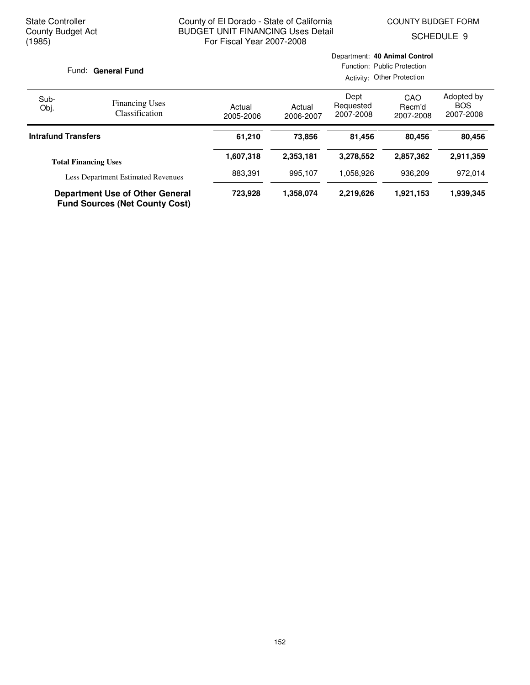Department: **40 Animal Control**

SCHEDULE 9

| Fund: General Fund         |                                                                                 | Function: Public Protection<br>Activity: Other Protection |                     |                                |                            |                                       |
|----------------------------|---------------------------------------------------------------------------------|-----------------------------------------------------------|---------------------|--------------------------------|----------------------------|---------------------------------------|
| Sub-<br>Obj.               | <b>Financing Uses</b><br><b>Classification</b>                                  | Actual<br>2005-2006                                       | Actual<br>2006-2007 | Dept<br>Requested<br>2007-2008 | CAO<br>Recm'd<br>2007-2008 | Adopted by<br><b>BOS</b><br>2007-2008 |
| <b>Intrafund Transfers</b> |                                                                                 | 61,210                                                    | 73,856              | 81,456                         | 80.456                     | 80,456                                |
|                            | <b>Total Financing Uses</b>                                                     | 1,607,318                                                 | 2,353,181           | 3,278,552                      | 2,857,362                  | 2,911,359                             |
|                            | <b>Less Department Estimated Revenues</b>                                       | 883,391                                                   | 995,107             | 1,058,926                      | 936.209                    | 972,014                               |
|                            | <b>Department Use of Other General</b><br><b>Fund Sources (Net County Cost)</b> | 723,928                                                   | 1,358,074           | 2,219,626                      | 1,921,153                  | 1,939,345                             |

## 152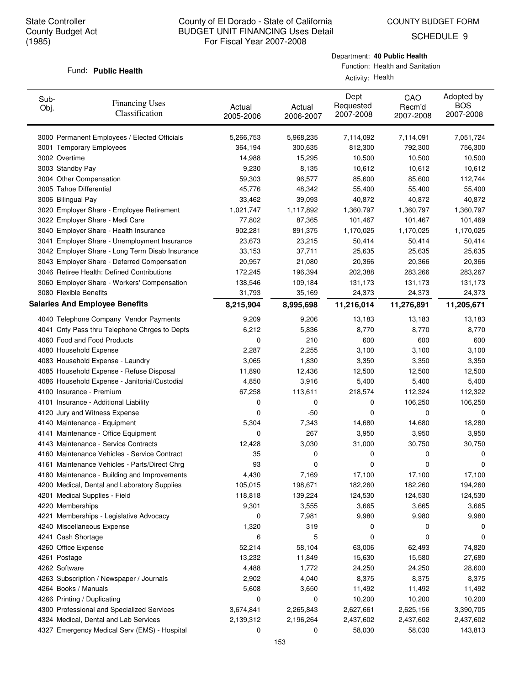SCHEDULE 9

#### Fund: Public Health

Department: **40 Public Health**

Function: Health and Sanitation Activity: Health

| Sub-<br>Obj. | <b>Financing Uses</b><br>Classification         | Actual<br>2005-2006 | Actual<br>2006-2007 | Dept<br>Requested<br>2007-2008 | CAO<br>Recm'd<br>2007-2008 | Adopted by<br><b>BOS</b><br>2007-2008 |
|--------------|-------------------------------------------------|---------------------|---------------------|--------------------------------|----------------------------|---------------------------------------|
|              | 3000 Permanent Employees / Elected Officials    | 5,266,753           | 5,968,235           | 7,114,092                      | 7,114,091                  | 7,051,724                             |
|              | 3001 Temporary Employees                        | 364,194             | 300,635             | 812,300                        | 792,300                    | 756,300                               |
|              | 3002 Overtime                                   | 14,988              | 15,295              | 10,500                         | 10,500                     | 10,500                                |
|              | 3003 Standby Pay                                | 9,230               | 8,135               | 10,612                         | 10,612                     | 10,612                                |
|              | 3004 Other Compensation                         | 59,303              | 96,577              | 85,600                         | 85,600                     | 112,744                               |
|              | 3005 Tahoe Differential                         | 45,776              | 48,342              | 55,400                         | 55,400                     | 55,400                                |
|              | 3006 Bilingual Pay                              | 33,462              | 39,093              | 40,872                         | 40,872                     | 40,872                                |
|              | 3020 Employer Share - Employee Retirement       | 1,021,747           | 1,117,892           | 1,360,797                      | 1,360,797                  | 1,360,797                             |
|              | 3022 Employer Share - Medi Care                 | 77,802              | 87,365              | 101,467                        | 101,467                    | 101,469                               |
|              | 3040 Employer Share - Health Insurance          | 902,281             | 891,375             | 1,170,025                      | 1,170,025                  | 1,170,025                             |
|              | 3041 Employer Share - Unemployment Insurance    | 23,673              | 23,215              | 50,414                         | 50,414                     | 50,414                                |
|              | 3042 Employer Share - Long Term Disab Insurance | 33,153              | 37,711              | 25,635                         | 25,635                     | 25,635                                |
|              | 3043 Employer Share - Deferred Compensation     | 20,957              | 21,080              | 20,366                         | 20,366                     | 20,366                                |
|              | 3046 Retiree Health: Defined Contributions      | 172,245             | 196,394             | 202,388                        | 283,266                    | 283,267                               |
|              | 3060 Employer Share - Workers' Compensation     | 138,546             | 109,184             | 131,173                        | 131,173                    | 131,173                               |
|              | 3080 Flexible Benefits                          | 31,793              | 35,169              | 24,373                         | 24,373                     | 24,373                                |
|              | <b>Salaries And Employee Benefits</b>           | 8,215,904           | 8,995,698           | 11,216,014                     | 11,276,891                 | 11,205,671                            |
|              | 4040 Telephone Company Vendor Payments          | 9,209               | 9,206               | 13,183                         | 13,183                     | 13,183                                |
|              | 4041 Cnty Pass thru Telephone Chrges to Depts   | 6,212               | 5,836               | 8,770                          | 8,770                      | 8,770                                 |
|              | 4060 Food and Food Products                     | 0                   | 210                 | 600                            | 600                        | 600                                   |
|              | 4080 Household Expense                          | 2,287               | 2,255               | 3,100                          | 3,100                      | 3,100                                 |
|              | 4083 Household Expense - Laundry                | 3,065               | 1,830               | 3,350                          | 3,350                      | 3,350                                 |
|              | 4085 Household Expense - Refuse Disposal        | 11,890              | 12,436              | 12,500                         | 12,500                     | 12,500                                |
|              | 4086 Household Expense - Janitorial/Custodial   | 4,850               | 3,916               | 5,400                          | 5,400                      | 5,400                                 |
|              | 4100 Insurance - Premium                        | 67,258              | 113,611             | 218,574                        | 112,324                    | 112,322                               |
|              | 4101 Insurance - Additional Liability           | 0                   | 0                   | 0                              | 106,250                    | 106,250                               |
|              | 4120 Jury and Witness Expense                   | 0                   | $-50$               | 0                              | 0                          | 0                                     |
|              | 4140 Maintenance - Equipment                    | 5,304               | 7,343               | 14,680                         | 14,680                     | 18,280                                |
|              | 4141 Maintenance - Office Equipment             | 0                   | 267                 | 3,950                          | 3,950                      | 3,950                                 |
|              | 4143 Maintenance - Service Contracts            | 12,428              | 3,030               | 31,000                         | 30,750                     | 30,750                                |
|              | 4160 Maintenance Vehicles - Service Contract    | 35                  | 0                   | 0                              | 0                          | 0                                     |
|              | 4161 Maintenance Vehicles - Parts/Direct Chrg   | 93                  | 0                   | 0                              | 0                          | 0                                     |
|              | 4180 Maintenance - Building and Improvements    | 4,430               | 7,169               | 17,100                         | 17,100                     | 17,100                                |
|              | 4200 Medical, Dental and Laboratory Supplies    | 105,015             | 198,671             | 182,260                        | 182,260                    | 194,260                               |
|              | 4201 Medical Supplies - Field                   | 118,818             | 139,224             | 124,530                        | 124,530                    | 124,530                               |
|              | 4220 Memberships                                | 9,301               | 3,555               | 3,665                          | 3,665                      | 3,665                                 |
|              | 4221 Memberships - Legislative Advocacy         | 0                   | 7,981               | 9,980                          | 9,980                      | 9,980                                 |
|              | 4240 Miscellaneous Expense                      | 1,320               | 319                 | 0                              | 0                          | 0                                     |
|              | 4241 Cash Shortage                              | 6                   | 5                   | 0                              | 0                          | 0                                     |
|              | 4260 Office Expense                             | 52,214              | 58,104              | 63,006                         | 62,493                     | 74,820                                |
|              | 4261 Postage                                    | 13,232              | 11,849              | 15,630                         | 15,580                     | 27,680                                |
|              | 4262 Software                                   | 4,488               | 1,772               | 24,250                         | 24,250                     | 28,600                                |
|              | 4263 Subscription / Newspaper / Journals        | 2,902               | 4,040               | 8,375                          | 8,375                      | 8,375                                 |
|              | 4264 Books / Manuals                            | 5,608               | 3,650               | 11,492                         | 11,492                     | 11,492                                |
|              | 4266 Printing / Duplicating                     | 0                   | 0                   | 10,200                         | 10,200                     | 10,200                                |
|              | 4300 Professional and Specialized Services      | 3,674,841           | 2,265,843           | 2,627,661                      | 2,625,156                  | 3,390,705                             |
|              | 4324 Medical, Dental and Lab Services           | 2,139,312           | 2,196,264           | 2,437,602                      | 2,437,602                  | 2,437,602                             |
|              | 4327 Emergency Medical Serv (EMS) - Hospital    | 0                   | 0                   | 58,030                         | 58,030                     | 143,813                               |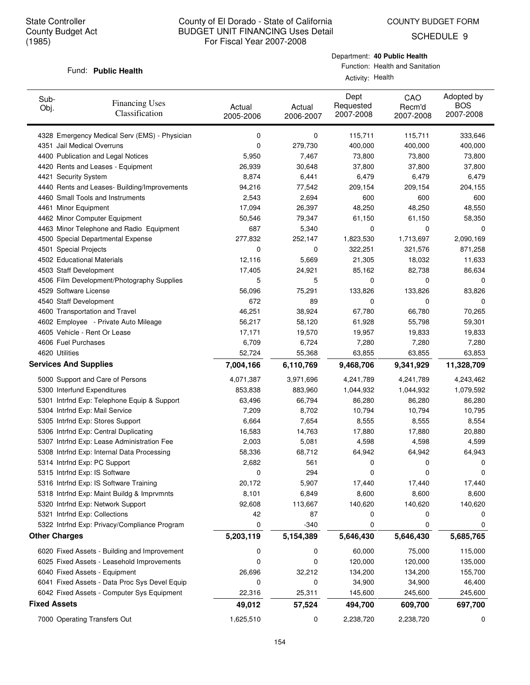SCHEDULE 9

#### Fund: Public Health

## Department: **40 Public Health**

Function: Health and Sanitation

Activity: Health

| Sub-<br>Obj.        | <b>Financing Uses</b><br>Classification       | Actual<br>2005-2006 | Actual<br>2006-2007 | Dept<br>Requested<br>2007-2008 | CAO<br>Recm'd<br>2007-2008 | Adopted by<br><b>BOS</b><br>2007-2008 |
|---------------------|-----------------------------------------------|---------------------|---------------------|--------------------------------|----------------------------|---------------------------------------|
|                     | 4328 Emergency Medical Serv (EMS) - Physician | 0                   | 0                   | 115,711                        | 115,711                    | 333,646                               |
|                     | 4351 Jail Medical Overruns                    | 0                   | 279,730             | 400,000                        | 400,000                    | 400,000                               |
|                     | 4400 Publication and Legal Notices            | 5,950               | 7,467               | 73,800                         | 73,800                     | 73,800                                |
|                     | 4420 Rents and Leases - Equipment             | 26,939              | 30,648              | 37,800                         | 37,800                     | 37,800                                |
|                     | 4421 Security System                          | 8,874               | 6,441               | 6,479                          | 6,479                      | 6,479                                 |
|                     | 4440 Rents and Leases- Building/Improvements  | 94,216              | 77,542              | 209,154                        | 209,154                    | 204,155                               |
|                     | 4460 Small Tools and Instruments              | 2,543               | 2,694               | 600                            | 600                        | 600                                   |
|                     | 4461 Minor Equipment                          | 17,094              | 26,397              | 48,250                         | 48,250                     | 48,550                                |
|                     | 4462 Minor Computer Equipment                 | 50,546              | 79,347              | 61,150                         | 61,150                     | 58,350                                |
|                     | 4463 Minor Telephone and Radio Equipment      | 687                 | 5,340               | 0                              | 0                          | 0                                     |
|                     | 4500 Special Departmental Expense             | 277,832             | 252,147             | 1,823,530                      | 1,713,697                  | 2,090,169                             |
|                     | 4501 Special Projects                         | 0                   | 0                   | 322,251                        | 321,576                    | 871,258                               |
|                     | 4502 Educational Materials                    | 12,116              | 5,669               | 21,305                         | 18,032                     | 11,633                                |
|                     | 4503 Staff Development                        | 17,405              | 24,921              | 85,162                         | 82,738                     | 86,634                                |
|                     | 4506 Film Development/Photography Supplies    | 5                   | 5                   | 0                              | 0                          | 0                                     |
|                     | 4529 Software License                         | 56,096              | 75,291              | 133,826                        | 133,826                    | 83,826                                |
|                     | 4540 Staff Development                        | 672                 | 89                  | 0                              | 0                          | 0                                     |
|                     | 4600 Transportation and Travel                | 46,251              | 38,924              | 67,780                         | 66,780                     | 70,265                                |
|                     | 4602 Employee - Private Auto Mileage          | 56,217              | 58,120              | 61,928                         | 55,798                     | 59,301                                |
|                     | 4605 Vehicle - Rent Or Lease                  | 17,171              | 19,570              | 19,957                         | 19,833                     | 19,833                                |
|                     | 4606 Fuel Purchases                           | 6,709               | 6,724               | 7,280                          | 7,280                      | 7,280                                 |
|                     | 4620 Utilities                                | 52,724              | 55,368              | 63,855                         | 63,855                     | 63,853                                |
|                     | <b>Services And Supplies</b>                  | 7,004,166           | 6,110,769           | 9,468,706                      | 9,341,929                  | 11,328,709                            |
|                     |                                               |                     |                     |                                |                            |                                       |
|                     | 5000 Support and Care of Persons              | 4,071,387           | 3,971,696           | 4,241,789                      | 4,241,789                  | 4,243,462                             |
|                     | 5300 Interfund Expenditures                   | 853,838             | 883,960             | 1,044,932                      | 1,044,932                  | 1,079,592                             |
|                     | 5301 Intrfnd Exp: Telephone Equip & Support   | 63,496              | 66,794              | 86,280                         | 86,280                     | 86,280                                |
|                     | 5304 Intrfnd Exp: Mail Service                | 7,209               | 8,702               | 10,794                         | 10,794                     | 10,795                                |
|                     | 5305 Intrfnd Exp: Stores Support              | 6,664               | 7,654               | 8,555                          | 8,555                      | 8,554                                 |
|                     | 5306 Intrfnd Exp: Central Duplicating         | 16,583              | 14,763              | 17,880                         | 17,880                     | 20,880                                |
|                     | 5307 Intrfnd Exp: Lease Administration Fee    | 2,003               | 5,081               | 4,598                          | 4,598                      | 4,599                                 |
|                     | 5308 Intrfnd Exp: Internal Data Processing    | 58,336              | 68,712              | 64,942                         | 64,942                     | 64,943                                |
|                     | 5314 Intrfnd Exp: PC Support                  | 2,682               | 561                 | 0                              | 0                          | 0                                     |
|                     | 5315 Intrfnd Exp: IS Software                 | 0                   | 294                 | 0                              | 0                          | 0                                     |
|                     | 5316 Intrfnd Exp: IS Software Training        | 20,172              | 5,907               | 17,440                         | 17,440                     | 17,440                                |
|                     | 5318 Intrfnd Exp: Maint Buildg & Imprvmnts    | 8,101               | 6,849               | 8,600                          | 8,600                      | 8,600                                 |
|                     | 5320 Intrfnd Exp: Network Support             | 92,608              | 113,667             | 140,620                        | 140,620                    | 140,620                               |
|                     | 5321 Intrfnd Exp: Collections                 | 42                  | 87                  | 0                              | 0                          | 0                                     |
|                     | 5322 Intrfnd Exp: Privacy/Compliance Program  | 0                   | $-340$              | 0                              | 0                          | 0                                     |
|                     | <b>Other Charges</b>                          | 5,203,119           | 5,154,389           | 5,646,430                      | 5,646,430                  | 5,685,765                             |
|                     | 6020 Fixed Assets - Building and Improvement  | 0                   | 0                   | 60,000                         | 75,000                     | 115,000                               |
|                     | 6025 Fixed Assets - Leasehold Improvements    | 0                   | 0                   | 120,000                        | 120,000                    | 135,000                               |
|                     | 6040 Fixed Assets - Equipment                 | 26,696              | 32,212              | 134,200                        | 134,200                    | 155,700                               |
|                     | 6041 Fixed Assets - Data Proc Sys Devel Equip | 0                   | 0                   | 34,900                         | 34,900                     | 46,400                                |
|                     | 6042 Fixed Assets - Computer Sys Equipment    | 22,316              | 25,311              | 145,600                        | 245,600                    | 245,600                               |
| <b>Fixed Assets</b> |                                               | 49,012              | 57,524              | 494,700                        | 609,700                    | 697,700                               |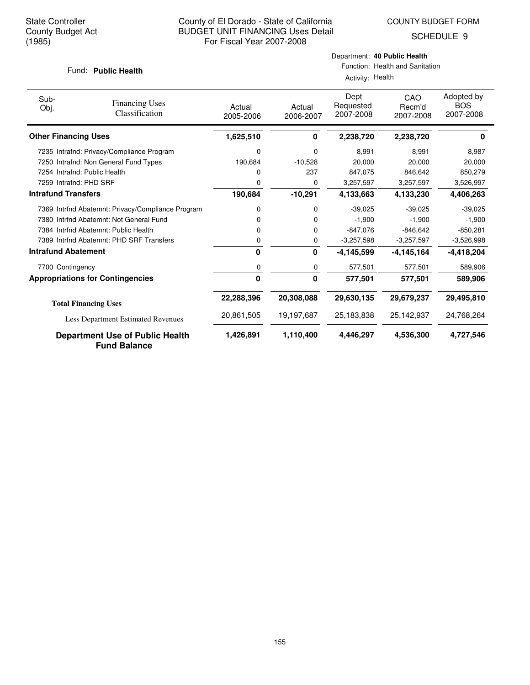SCHEDULE 9

### Fund: Public Health

## Department: **40 Public Health**

Function: Health and Sanitation

| Activity: Health |  |  |
|------------------|--|--|
|------------------|--|--|

| Sub-<br>Obj.               | <b>Financing Uses</b><br>Classification                       | Actual<br>2005-2006 | Actual<br>2006-2007 | Dept<br>Requested<br>2007-2008 | CAO<br>Recm'd<br>2007-2008 | Adopted by<br><b>BOS</b><br>2007-2008 |
|----------------------------|---------------------------------------------------------------|---------------------|---------------------|--------------------------------|----------------------------|---------------------------------------|
|                            | <b>Other Financing Uses</b>                                   | 1,625,510           | 0                   | 2,238,720                      | 2.238.720                  | 0                                     |
|                            | 7235 Intrafnd: Privacy/Compliance Program                     | 0                   | 0                   | 8,991                          | 8,991                      | 8,987                                 |
|                            | 7250 Intrafnd: Non General Fund Types                         | 190,684             | $-10,528$           | 20,000                         | 20,000                     | 20,000                                |
|                            | 7254 Intrafnd: Public Health                                  | 0                   | 237                 | 847,075                        | 846,642                    | 850,279                               |
|                            | 7259 Intrafnd: PHD SRF                                        | 0                   | 0                   | 3,257,597                      | 3,257,597                  | 3,526,997                             |
| <b>Intrafund Transfers</b> |                                                               | 190,684             | $-10,291$           | 4,133,663                      | 4,133,230                  | 4,406,263                             |
|                            | 7369 Intrfnd Abatemnt: Privacy/Compliance Program             | 0                   | 0                   | $-39,025$                      | $-39,025$                  | $-39,025$                             |
|                            | 7380 Intrind Abatemnt: Not General Fund                       | 0                   | 0                   | $-1.900$                       | $-1.900$                   | $-1,900$                              |
|                            | 7384 Intrind Abatemnt: Public Health                          | 0                   | 0                   | $-847,076$                     | $-846,642$                 | $-850,281$                            |
|                            | 7389 Intrfnd Abatemnt: PHD SRF Transfers                      | 0                   | 0                   | $-3,257,598$                   | $-3,257,597$               | $-3,526,998$                          |
|                            | <b>Intrafund Abatement</b>                                    | 0                   | 0                   | $-4, 145, 599$                 | $-4,145,164$               | $-4,418,204$                          |
|                            | 7700 Contingency                                              | 0                   | 0                   | 577,501                        | 577,501                    | 589.906                               |
|                            | <b>Appropriations for Contingencies</b>                       | 0                   | 0                   | 577,501                        | 577,501                    | 589,906                               |
|                            | <b>Total Financing Uses</b>                                   | 22,288,396          | 20,308,088          | 29,630,135                     | 29,679,237                 | 29,495,810                            |
|                            | Less Department Estimated Revenues                            | 20,861,505          | 19,197,687          | 25,183,838                     | 25,142,937                 | 24,768,264                            |
|                            | <b>Department Use of Public Health</b><br><b>Fund Balance</b> | 1,426,891           | 1,110,400           | 4,446,297                      | 4,536,300                  | 4,727,546                             |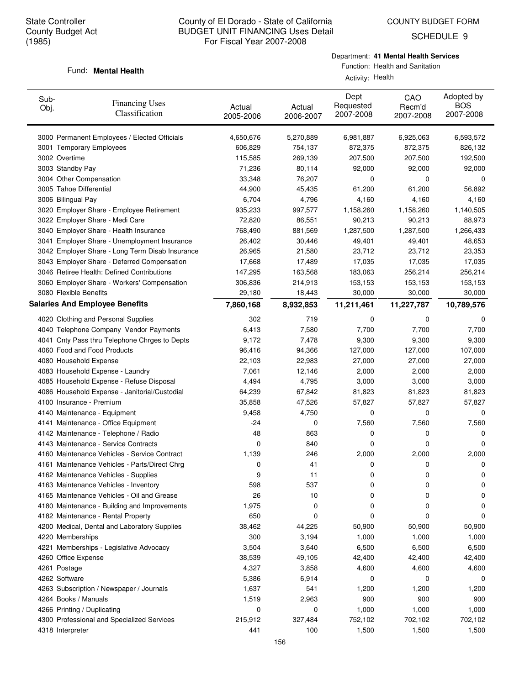SCHEDULE 9

## Fund: **Mental Health**

Department: **41 Mental Health Services**

Function: Health and Sanitation Activity: Health

| Sub-<br>Obj. | <b>Financing Uses</b><br>Classification         | Actual<br>2005-2006 | Actual<br>2006-2007 | Dept<br>Requested<br>2007-2008 | CAO<br>Recm'd<br>2007-2008 | Adopted by<br><b>BOS</b><br>2007-2008 |
|--------------|-------------------------------------------------|---------------------|---------------------|--------------------------------|----------------------------|---------------------------------------|
|              | 3000 Permanent Employees / Elected Officials    | 4,650,676           | 5,270,889           | 6,981,887                      | 6,925,063                  | 6,593,572                             |
|              | 3001 Temporary Employees                        | 606,829             | 754,137             | 872,375                        | 872,375                    | 826,132                               |
|              | 3002 Overtime                                   | 115,585             | 269,139             | 207,500                        | 207,500                    | 192,500                               |
|              | 3003 Standby Pay                                | 71,236              | 80,114              | 92,000                         | 92,000                     | 92,000                                |
|              | 3004 Other Compensation                         | 33,348              | 76,207              | 0                              | 0                          | 0                                     |
|              | 3005 Tahoe Differential                         | 44,900              | 45,435              | 61,200                         | 61,200                     | 56,892                                |
|              | 3006 Bilingual Pay                              | 6,704               | 4,796               | 4,160                          | 4,160                      | 4,160                                 |
|              | 3020 Employer Share - Employee Retirement       | 935,233             | 997,577             | 1,158,260                      | 1,158,260                  | 1,140,505                             |
|              | 3022 Employer Share - Medi Care                 | 72,820              | 86,551              | 90,213                         | 90,213                     | 88,973                                |
|              | 3040 Employer Share - Health Insurance          | 768,490             | 881,569             | 1,287,500                      | 1,287,500                  | 1,266,433                             |
|              | 3041 Employer Share - Unemployment Insurance    | 26,402              | 30,446              | 49,401                         | 49,401                     | 48,653                                |
|              | 3042 Employer Share - Long Term Disab Insurance | 26,965              | 21,580              | 23,712                         | 23,712                     | 23,353                                |
|              | 3043 Employer Share - Deferred Compensation     | 17,668              | 17,489              | 17,035                         | 17,035                     | 17,035                                |
|              | 3046 Retiree Health: Defined Contributions      | 147,295             | 163,568             | 183,063                        | 256,214                    | 256,214                               |
|              | 3060 Employer Share - Workers' Compensation     | 306,836             | 214,913             | 153,153                        | 153,153                    | 153,153                               |
|              | 3080 Flexible Benefits                          | 29,180              | 18,443              | 30,000                         | 30,000                     | 30,000                                |
|              | <b>Salaries And Employee Benefits</b>           | 7,860,168           | 8,932,853           | 11,211,461                     | 11,227,787                 | 10,789,576                            |
|              | 4020 Clothing and Personal Supplies             | 302                 | 719                 | 0                              | 0                          | 0                                     |
|              | 4040 Telephone Company Vendor Payments          | 6,413               | 7,580               | 7,700                          | 7,700                      | 7,700                                 |
|              | 4041 Cnty Pass thru Telephone Chrges to Depts   | 9,172               | 7,478               | 9,300                          | 9,300                      | 9,300                                 |
|              | 4060 Food and Food Products                     | 96,416              | 94,366              | 127,000                        | 127,000                    | 107,000                               |
|              | 4080 Household Expense                          | 22,103              | 22,983              | 27,000                         | 27,000                     | 27,000                                |
|              | 4083 Household Expense - Laundry                | 7,061               | 12,146              | 2,000                          | 2,000                      | 2,000                                 |
|              | 4085 Household Expense - Refuse Disposal        | 4,494               | 4,795               | 3,000                          | 3,000                      | 3,000                                 |
|              | 4086 Household Expense - Janitorial/Custodial   | 64,239              | 67,842              | 81,823                         | 81,823                     | 81,823                                |
|              | 4100 Insurance - Premium                        | 35,858              | 47,526              | 57,827                         | 57,827                     | 57,827                                |
|              | 4140 Maintenance - Equipment                    | 9,458               | 4,750               | 0                              | 0                          | 0                                     |
|              | 4141 Maintenance - Office Equipment             | -24                 | 0                   | 7,560                          | 7,560                      | 7,560                                 |
|              | 4142 Maintenance - Telephone / Radio            | 48                  | 863                 | 0                              | 0                          | 0                                     |
|              | 4143 Maintenance - Service Contracts            | 0                   | 840                 | 0                              | 0                          | 0                                     |
|              | 4160 Maintenance Vehicles - Service Contract    | 1,139               | 246                 | 2,000                          | 2,000                      | 2,000                                 |
|              | 4161 Maintenance Vehicles - Parts/Direct Chrg   | 0                   | 41                  | 0                              | 0                          | 0                                     |
|              | 4162 Maintenance Vehicles - Supplies            | 9                   | 11                  | 0                              | U                          | U                                     |
|              | 4163 Maintenance Vehicles - Inventory           | 598                 | 537                 | 0                              | 0                          | 0                                     |
|              | 4165 Maintenance Vehicles - Oil and Grease      | 26                  | 10                  | 0                              | 0                          | 0                                     |
|              | 4180 Maintenance - Building and Improvements    | 1,975               | 0                   | 0                              | 0                          | 0                                     |
|              | 4182 Maintenance - Rental Property              | 650                 | 0                   | 0                              | 0                          | 0                                     |
|              | 4200 Medical, Dental and Laboratory Supplies    | 38,462              | 44,225              | 50,900                         | 50,900                     | 50,900                                |
|              | 4220 Memberships                                | 300                 | 3,194               | 1,000                          | 1,000                      | 1,000                                 |
|              | 4221 Memberships - Legislative Advocacy         | 3,504               | 3,640               | 6,500                          | 6,500                      | 6,500                                 |
|              | 4260 Office Expense                             | 38,539              | 49,105              | 42,400                         | 42,400                     | 42,400                                |
|              | 4261 Postage                                    | 4,327               | 3,858               | 4,600                          | 4,600                      | 4,600                                 |
|              | 4262 Software                                   | 5,386               | 6,914               | 0                              | 0                          | 0                                     |
|              | 4263 Subscription / Newspaper / Journals        | 1,637               | 541                 | 1,200                          | 1,200                      | 1,200                                 |
|              | 4264 Books / Manuals                            | 1,519               | 2,963               | 900                            | 900                        | 900                                   |
|              | 4266 Printing / Duplicating                     | 0                   | 0                   | 1,000                          | 1,000                      | 1,000                                 |
|              | 4300 Professional and Specialized Services      | 215,912             | 327,484             | 752,102                        | 702,102                    | 702,102                               |
|              | 4318 Interpreter                                | 441                 | 100                 | 1,500                          | 1,500                      | 1,500                                 |
|              |                                                 |                     |                     |                                |                            |                                       |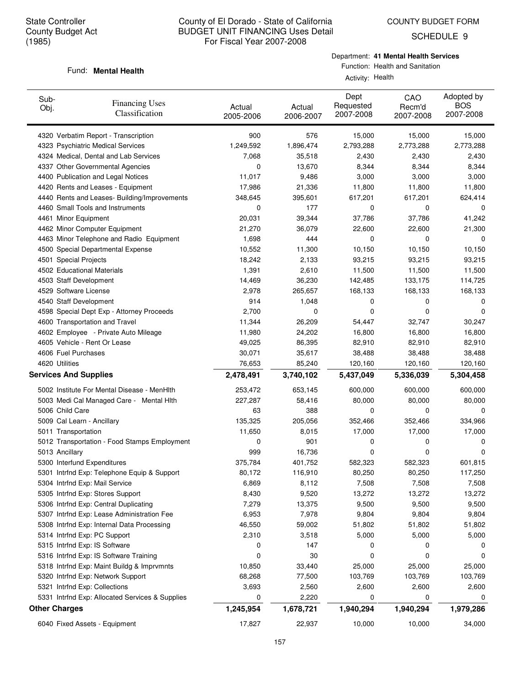Fund: **Mental Health** 

## County of El Dorado - State of California BUDGET UNIT FINANCING Uses Detail For Fiscal Year 2007-2008

SCHEDULE 9

## Department: **41 Mental Health Services**

## Function: Health and Sanitation

#### Activity: Health

| Sub-<br>Obj. | <b>Financing Uses</b><br>Classification         | Actual<br>2005-2006 | Actual<br>2006-2007 | Dept<br>Requested<br>2007-2008 | CAO<br>Recm'd<br>2007-2008 | Adopted by<br><b>BOS</b><br>2007-2008 |
|--------------|-------------------------------------------------|---------------------|---------------------|--------------------------------|----------------------------|---------------------------------------|
|              | 4320 Verbatim Report - Transcription            | 900                 | 576                 | 15,000                         | 15,000                     | 15,000                                |
|              | 4323 Psychiatric Medical Services               | 1,249,592           | 1,896,474           | 2,793,288                      | 2,773,288                  | 2,773,288                             |
|              | 4324 Medical, Dental and Lab Services           | 7,068               | 35,518              | 2,430                          | 2,430                      | 2,430                                 |
|              | 4337 Other Governmental Agencies                | 0                   | 13,670              | 8,344                          | 8,344                      | 8,344                                 |
|              | 4400 Publication and Legal Notices              | 11,017              | 9,486               | 3,000                          | 3,000                      | 3,000                                 |
|              | 4420 Rents and Leases - Equipment               | 17,986              | 21,336              | 11,800                         | 11,800                     | 11,800                                |
|              | 4440 Rents and Leases- Building/Improvements    | 348,645             | 395,601             | 617,201                        | 617,201                    | 624,414                               |
|              | 4460 Small Tools and Instruments                | 0                   | 177                 | 0                              | 0                          | 0                                     |
|              | 4461 Minor Equipment                            | 20,031              | 39,344              | 37,786                         | 37,786                     | 41,242                                |
|              | 4462 Minor Computer Equipment                   | 21,270              | 36,079              | 22,600                         | 22,600                     | 21,300                                |
|              | 4463 Minor Telephone and Radio Equipment        | 1,698               | 444                 | 0                              | 0                          | 0                                     |
|              | 4500 Special Departmental Expense               | 10,552              | 11,300              | 10,150                         | 10,150                     | 10,150                                |
|              | 4501 Special Projects                           | 18,242              | 2,133               | 93,215                         | 93,215                     | 93,215                                |
|              | 4502 Educational Materials                      | 1,391               | 2,610               | 11,500                         | 11,500                     | 11,500                                |
|              | 4503 Staff Development                          | 14,469              | 36,230              | 142,485                        | 133,175                    | 114,725                               |
|              | 4529 Software License                           | 2,978               | 265,657             | 168,133                        | 168,133                    | 168,133                               |
|              | 4540 Staff Development                          | 914                 | 1,048               | 0                              | 0                          | 0                                     |
|              | 4598 Special Dept Exp - Attorney Proceeds       | 2,700               | 0                   | 0                              | 0                          | 0                                     |
|              | 4600 Transportation and Travel                  | 11,344              | 26,209              | 54,447                         | 32,747                     | 30,247                                |
|              | 4602 Employee - Private Auto Mileage            | 11,980              | 24,202              | 16,800                         | 16,800                     | 16,800                                |
|              | 4605 Vehicle - Rent Or Lease                    | 49,025              | 86,395              | 82,910                         | 82,910                     | 82,910                                |
|              | 4606 Fuel Purchases                             | 30,071              | 35,617              | 38,488                         | 38,488                     | 38,488                                |
|              | 4620 Utilities                                  | 76,653              | 85,240              | 120,160                        | 120,160                    | 120,160                               |
|              | <b>Services And Supplies</b>                    | 2,478,491           | 3,740,102           | 5,437,049                      | 5,336,039                  | 5,304,458                             |
|              | 5002 Institute For Mental Disease - MenHIth     | 253,472             | 653,145             | 600,000                        | 600,000                    | 600,000                               |
|              | 5003 Medi Cal Managed Care - Mental Hith        | 227,287             | 58,416              | 80,000                         | 80,000                     | 80,000                                |
|              | 5006 Child Care                                 | 63                  | 388                 | 0                              | 0                          | 0                                     |
|              | 5009 Cal Learn - Ancillary                      | 135,325             | 205,056             | 352,466                        | 352,466                    | 334,966                               |
|              | 5011 Transportation                             | 11,650              | 8,015               | 17,000                         | 17,000                     | 17,000                                |
|              | 5012 Transportation - Food Stamps Employment    | 0                   | 901                 | 0                              | 0                          | 0                                     |
|              | 5013 Ancillary                                  | 999                 | 16,736              | 0                              | 0                          | 0                                     |
|              | 5300 Interfund Expenditures                     | 375,784             | 401,752             | 582,323                        | 582,323                    | 601,815                               |
|              | 5301 Intrfnd Exp: Telephone Equip & Support     | 80,172              | 116,910             | 80,250                         | 80,250                     | 117,250                               |
|              | 5304 Intrfnd Exp: Mail Service                  | 6,869               | 8,112               | 7,508                          | 7,508                      | 7,508                                 |
|              | 5305 Intrfnd Exp: Stores Support                | 8,430               | 9,520               | 13,272                         | 13,272                     | 13,272                                |
|              | 5306 Intrfnd Exp: Central Duplicating           | 7,279               | 13,375              | 9,500                          | 9,500                      | 9,500                                 |
|              | 5307 Intrfnd Exp: Lease Administration Fee      | 6,953               | 7,978               | 9,804                          | 9,804                      | 9,804                                 |
|              | 5308 Intrfnd Exp: Internal Data Processing      | 46,550              | 59,002              | 51,802                         | 51,802                     | 51,802                                |
|              | 5314 Intrfnd Exp: PC Support                    | 2,310               | 3,518               | 5,000                          | 5,000                      | 5,000                                 |
|              | 5315 Intrfnd Exp: IS Software                   | 0                   | 147                 | 0                              | 0                          | 0                                     |
|              | 5316 Intrfnd Exp: IS Software Training          | 0                   | 30                  | 0                              | 0                          | 0                                     |
|              | 5318 Intrfnd Exp: Maint Buildg & Imprvmnts      | 10,850              | 33,440              | 25,000                         | 25,000                     | 25,000                                |
|              | 5320 Intrfnd Exp: Network Support               | 68,268              | 77,500              | 103,769                        | 103,769                    | 103,769                               |
|              | 5321 Intrfnd Exp: Collections                   | 3,693               | 2,560               | 2,600                          | 2,600                      | 2,600                                 |
|              | 5331 Intrfnd Exp: Allocated Services & Supplies | 0                   | 2,220               | 0                              | 0                          | 0                                     |
|              | <b>Other Charges</b>                            | 1,245,954           | 1,678,721           | 1,940,294                      | 1,940,294                  | 1,979,286                             |
|              | 6040 Fixed Assets - Equipment                   | 17,827              | 22,937              | 10,000                         | 10,000                     | 34,000                                |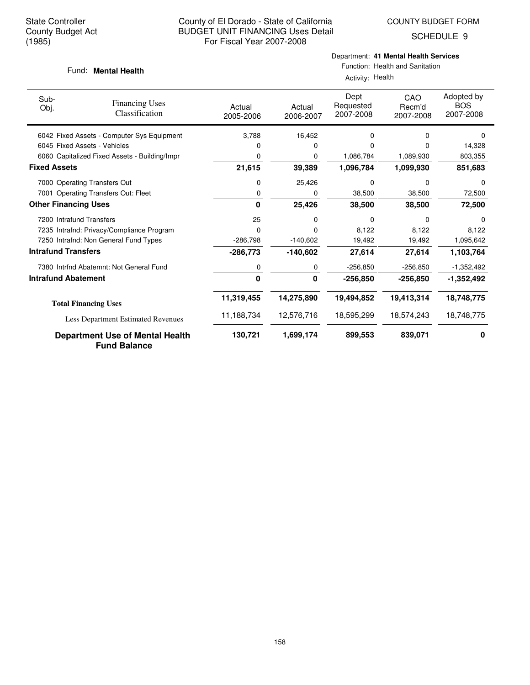SCHEDULE 9

## Fund: **Mental Health**

## Department: **41 Mental Health Services**

Function: Health and Sanitation Activity: Health

| Sub-<br>Obj.        | <b>Financing Uses</b><br>Classification                       | Actual<br>2005-2006 | Actual<br>2006-2007 | Dept<br>Requested<br>2007-2008 | CAO<br>Recm'd<br>2007-2008 | Adopted by<br><b>BOS</b><br>2007-2008 |
|---------------------|---------------------------------------------------------------|---------------------|---------------------|--------------------------------|----------------------------|---------------------------------------|
|                     | 6042 Fixed Assets - Computer Sys Equipment                    | 3.788               | 16,452              | 0                              | 0                          | $\Omega$                              |
|                     | 6045 Fixed Assets - Vehicles                                  | 0                   | 0                   | $\Omega$                       | 0                          | 14,328                                |
|                     | 6060 Capitalized Fixed Assets - Building/Impr                 | 0                   | 0                   | 1,086,784                      | 1,089,930                  | 803,355                               |
| <b>Fixed Assets</b> |                                                               | 21,615              | 39,389              | 1,096,784                      | 1,099,930                  | 851,683                               |
|                     | 7000 Operating Transfers Out                                  | 0                   | 25,426              | 0                              | $\Omega$                   | 0                                     |
|                     | 7001 Operating Transfers Out: Fleet                           | 0                   | 0                   | 38,500                         | 38,500                     | 72,500                                |
|                     | <b>Other Financing Uses</b>                                   | $\Omega$            | 25,426              | 38,500                         | 38,500                     | 72,500                                |
|                     | 7200 Intrafund Transfers                                      | 25                  | 0                   | $\Omega$                       | 0                          | $\Omega$                              |
|                     | 7235 Intrafnd: Privacy/Compliance Program                     | $\Omega$            | 0                   | 8.122                          | 8,122                      | 8,122                                 |
|                     | 7250 Intrafnd: Non General Fund Types                         | $-286,798$          | $-140,602$          | 19,492                         | 19,492                     | 1,095,642                             |
|                     | <b>Intrafund Transfers</b>                                    | $-286,773$          | $-140,602$          | 27,614                         | 27,614                     | 1,103,764                             |
|                     | 7380 Intrfnd Abatemnt: Not General Fund                       | 0                   | 0                   | $-256,850$                     | $-256,850$                 | $-1,352,492$                          |
|                     | <b>Intrafund Abatement</b>                                    | 0                   | 0                   | $-256,850$                     | $-256,850$                 | $-1,352,492$                          |
|                     | <b>Total Financing Uses</b>                                   | 11,319,455          | 14,275,890          | 19,494,852                     | 19,413,314                 | 18,748,775                            |
|                     | Less Department Estimated Revenues                            | 11,188,734          | 12,576,716          | 18,595,299                     | 18,574,243                 | 18,748,775                            |
|                     | <b>Department Use of Mental Health</b><br><b>Fund Balance</b> | 130,721             | 1,699,174           | 899,553                        | 839,071                    | 0                                     |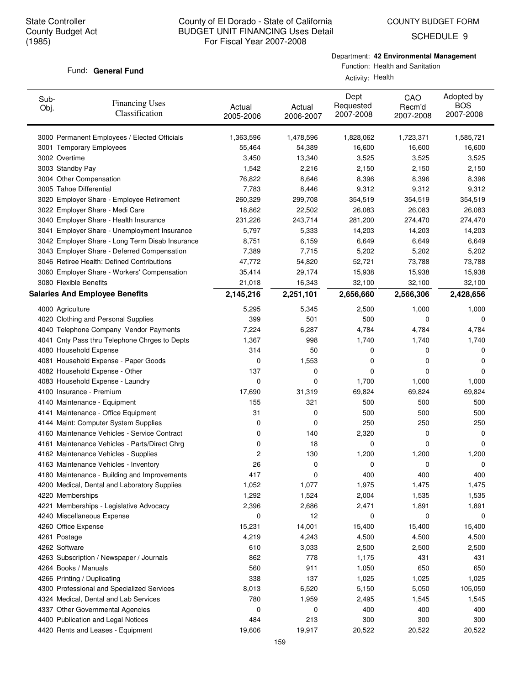COUNTY BUDGET FORM

SCHEDULE 9

## Fund: General Fund

Department: **42 Environmental Management**

Function: Health and Sanitation Activity: Health

| Sub-<br>Obj. | <b>Financing Uses</b><br>Classification         | Actual<br>2005-2006 | Actual<br>2006-2007 | Dept<br>Requested<br>2007-2008 | CAO<br>Recm'd<br>2007-2008 | Adopted by<br><b>BOS</b><br>2007-2008 |
|--------------|-------------------------------------------------|---------------------|---------------------|--------------------------------|----------------------------|---------------------------------------|
|              | 3000 Permanent Employees / Elected Officials    | 1,363,596           | 1,478,596           | 1,828,062                      | 1,723,371                  | 1,585,721                             |
|              | 3001 Temporary Employees                        | 55,464              | 54,389              | 16,600                         | 16,600                     | 16,600                                |
|              | 3002 Overtime                                   | 3,450               | 13,340              | 3,525                          | 3,525                      | 3,525                                 |
|              | 3003 Standby Pay                                | 1,542               | 2,216               | 2,150                          | 2,150                      | 2,150                                 |
|              | 3004 Other Compensation                         | 76,822              | 8,646               | 8,396                          | 8,396                      | 8,396                                 |
|              | 3005 Tahoe Differential                         | 7,783               | 8,446               | 9,312                          | 9,312                      | 9,312                                 |
|              | 3020 Employer Share - Employee Retirement       | 260,329             | 299,708             | 354,519                        | 354,519                    | 354,519                               |
|              | 3022 Employer Share - Medi Care                 | 18,862              | 22,502              | 26,083                         | 26,083                     | 26,083                                |
|              | 3040 Employer Share - Health Insurance          | 231,226             | 243,714             | 281,200                        | 274,470                    | 274,470                               |
|              | 3041 Employer Share - Unemployment Insurance    | 5,797               | 5,333               | 14,203                         | 14,203                     | 14,203                                |
|              | 3042 Employer Share - Long Term Disab Insurance | 8,751               | 6,159               | 6,649                          | 6,649                      | 6,649                                 |
|              | 3043 Employer Share - Deferred Compensation     | 7,389               | 7,715               | 5,202                          | 5,202                      | 5,202                                 |
|              | 3046 Retiree Health: Defined Contributions      | 47,772              | 54,820              | 52,721                         | 73,788                     | 73,788                                |
|              | 3060 Employer Share - Workers' Compensation     | 35,414              | 29,174              | 15,938                         | 15,938                     | 15,938                                |
|              | 3080 Flexible Benefits                          | 21,018              | 16,343              | 32,100                         | 32,100                     | 32,100                                |
|              | <b>Salaries And Employee Benefits</b>           | 2,145,216           | 2,251,101           | 2,656,660                      | 2,566,306                  | 2,428,656                             |
|              | 4000 Agriculture                                | 5,295               | 5,345               | 2,500                          | 1,000                      | 1,000                                 |
|              | 4020 Clothing and Personal Supplies             | 399                 | 501                 | 500                            | 0                          | 0                                     |
|              | 4040 Telephone Company Vendor Payments          | 7,224               | 6,287               | 4,784                          | 4,784                      | 4,784                                 |
|              | 4041 Cnty Pass thru Telephone Chrges to Depts   | 1,367               | 998                 | 1,740                          | 1,740                      | 1,740                                 |
|              | 4080 Household Expense                          | 314                 | 50                  | 0                              | 0                          | 0                                     |
|              | 4081 Household Expense - Paper Goods            | 0                   | 1,553               | 0                              | 0                          | 0                                     |
|              | 4082 Household Expense - Other                  | 137                 | 0                   | 0                              | 0                          | 0                                     |
|              | 4083 Household Expense - Laundry                | 0                   | 0                   | 1,700                          | 1,000                      | 1,000                                 |
|              | 4100 Insurance - Premium                        | 17,690              | 31,319              | 69,824                         | 69,824                     | 69,824                                |
|              | 4140 Maintenance - Equipment                    | 155                 | 321                 | 500                            | 500                        | 500                                   |
|              | 4141 Maintenance - Office Equipment             | 31                  | 0                   | 500                            | 500                        | 500                                   |
|              | 4144 Maint: Computer System Supplies            | 0                   | 0                   | 250                            | 250                        | 250                                   |
|              | 4160 Maintenance Vehicles - Service Contract    | 0                   | 140                 | 2,320                          | 0                          | 0                                     |
|              | 4161 Maintenance Vehicles - Parts/Direct Chrg   | 0                   | 18                  | 0                              | 0                          | 0                                     |
|              | 4162 Maintenance Vehicles - Supplies            | 2                   | 130                 | 1,200                          | 1,200                      | 1,200                                 |
|              | 4163 Maintenance Vehicles - Inventory           | 26                  | 0                   | 0                              | 0                          | 0                                     |
|              | 4180 Maintenance - Building and Improvements    | 417                 | U                   | 400                            | 400                        | 400                                   |
|              | 4200 Medical, Dental and Laboratory Supplies    | 1,052               | 1,077               | 1,975                          | 1,475                      | 1,475                                 |
|              | 4220 Memberships                                | 1,292               | 1,524               | 2,004                          | 1,535                      | 1,535                                 |
|              | 4221 Memberships - Legislative Advocacy         | 2,396               | 2,686               | 2,471                          | 1,891                      | 1,891                                 |
|              | 4240 Miscellaneous Expense                      | 0                   | 12                  | 0                              | 0                          | 0                                     |
|              | 4260 Office Expense                             | 15,231              | 14,001              | 15,400                         | 15,400                     | 15,400                                |
|              | 4261 Postage                                    | 4,219               | 4,243               | 4,500                          | 4,500                      | 4,500                                 |
|              | 4262 Software                                   | 610                 | 3,033               | 2,500                          | 2,500                      | 2,500                                 |
|              | 4263 Subscription / Newspaper / Journals        | 862                 | 778                 | 1,175                          | 431                        | 431                                   |
|              | 4264 Books / Manuals                            | 560                 | 911                 | 1,050                          | 650                        | 650                                   |
|              | 4266 Printing / Duplicating                     | 338                 | 137                 | 1,025                          | 1,025                      | 1,025                                 |
|              | 4300 Professional and Specialized Services      | 8,013               | 6,520               | 5,150                          | 5,050                      | 105,050                               |
|              | 4324 Medical, Dental and Lab Services           | 780                 | 1,959               | 2,495                          | 1,545                      | 1,545                                 |
|              | 4337 Other Governmental Agencies                | 0                   | 0                   | 400                            | 400                        | 400                                   |
|              | 4400 Publication and Legal Notices              | 484                 | 213                 | 300                            | 300                        | 300                                   |
|              | 4420 Rents and Leases - Equipment               | 19,606              | 19,917              | 20,522                         | 20,522                     | 20,522                                |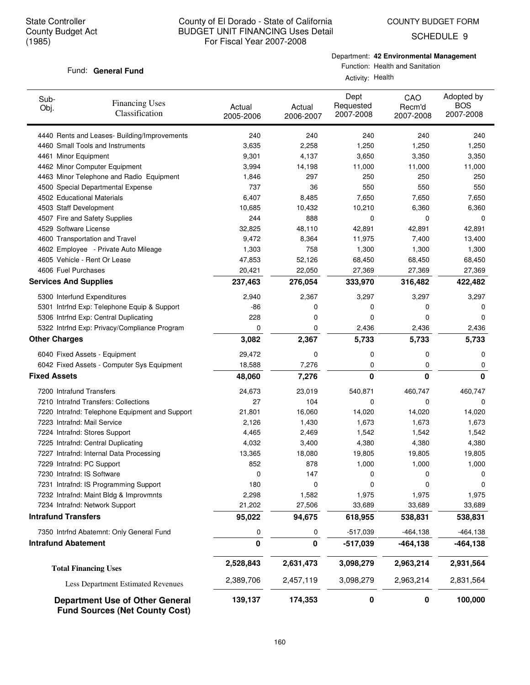SCHEDULE 9

## Fund: General Fund

Department: **42 Environmental Management**

Function: Health and Sanitation Activity: Health

| Sub-<br><b>Financing Uses</b><br>Obj.<br>Classification | Actual<br>2005-2006 | Actual<br>2006-2007 | Dept<br>Requested<br>2007-2008 | CAO<br>Recm'd<br>2007-2008 | Adopted by<br><b>BOS</b><br>2007-2008 |
|---------------------------------------------------------|---------------------|---------------------|--------------------------------|----------------------------|---------------------------------------|
| 4440 Rents and Leases- Building/Improvements            | 240                 | 240                 | 240                            | 240                        | 240                                   |
| 4460 Small Tools and Instruments                        | 3,635               | 2,258               | 1,250                          | 1,250                      | 1,250                                 |
| 4461 Minor Equipment                                    | 9,301               | 4,137               | 3,650                          | 3,350                      | 3,350                                 |
| 4462 Minor Computer Equipment                           | 3,994               | 14,198              | 11,000                         | 11,000                     | 11,000                                |
| 4463 Minor Telephone and Radio Equipment                | 1,846               | 297                 | 250                            | 250                        | 250                                   |
| 4500 Special Departmental Expense                       | 737                 | 36                  | 550                            | 550                        | 550                                   |
| 4502 Educational Materials                              | 6,407               | 8,485               | 7,650                          | 7,650                      | 7,650                                 |
| 4503 Staff Development                                  | 10,685              | 10,432              | 10,210                         | 6,360                      | 6,360                                 |
| 4507 Fire and Safety Supplies                           | 244                 | 888                 | 0                              | 0                          | 0                                     |
| 4529 Software License                                   | 32,825              | 48,110              | 42,891                         | 42,891                     | 42,891                                |
| 4600 Transportation and Travel                          | 9,472               | 8,364               | 11,975                         | 7,400                      | 13,400                                |
| 4602 Employee - Private Auto Mileage                    | 1,303               | 758                 | 1,300                          | 1,300                      | 1,300                                 |
| 4605 Vehicle - Rent Or Lease                            | 47,853              | 52,126              | 68,450                         | 68,450                     | 68,450                                |
| 4606 Fuel Purchases                                     | 20,421              | 22,050              | 27,369                         | 27,369                     | 27,369                                |
| <b>Services And Supplies</b>                            | 237,463             | 276,054             | 333,970                        | 316,482                    | 422,482                               |
| 5300 Interfund Expenditures                             | 2,940               | 2,367               | 3,297                          | 3,297                      | 3,297                                 |
| 5301 Intrfnd Exp: Telephone Equip & Support             | -86                 | 0                   | 0                              | 0                          | 0                                     |
| 5306 Intrfnd Exp: Central Duplicating                   | 228                 | 0                   | 0                              | 0                          | 0                                     |
| 5322 Intrfnd Exp: Privacy/Compliance Program            | 0                   | 0                   | 2,436                          | 2,436                      | 2,436                                 |
| <b>Other Charges</b>                                    | 3,082               | 2,367               | 5,733                          | 5,733                      | 5,733                                 |
| 6040 Fixed Assets - Equipment                           | 29,472              | 0                   | 0                              | 0                          | 0                                     |
| 6042 Fixed Assets - Computer Sys Equipment              | 18,588              | 7,276               | 0                              | 0                          | 0                                     |
| <b>Fixed Assets</b>                                     | 48,060              | 7,276               | 0                              | $\bf{0}$                   | 0                                     |
| 7200 Intrafund Transfers                                | 24,673              | 23,019              | 540,871                        | 460,747                    | 460,747                               |
| 7210 Intrafnd Transfers: Collections                    | 27                  | 104                 | 0                              | 0                          | 0                                     |
| 7220 Intrafnd: Telephone Equipment and Support          | 21,801              | 16,060              | 14,020                         | 14,020                     | 14,020                                |
| 7223 Intrafnd: Mail Service                             | 2,126               | 1,430               | 1,673                          | 1,673                      | 1,673                                 |
| 7224 Intrafnd: Stores Support                           | 4,465               | 2,469               | 1,542                          | 1,542                      | 1,542                                 |
| 7225 Intrafnd: Central Duplicating                      | 4,032               | 3,400               | 4,380                          | 4,380                      | 4,380                                 |
| 7227 Intrafnd: Internal Data Processing                 | 13,365              | 18,080              | 19,805                         | 19,805                     | 19,805                                |
| 7229 Intrafnd: PC Support                               | 852                 | 878                 | 1,000                          | 1,000                      | 1,000                                 |
| 7230 Intrafnd: IS Software                              | 0                   | 147                 | 0                              | 0                          | 0                                     |
| 7231 Intrafnd: IS Programming Support                   | 180                 | 0                   | 0                              | 0                          | 0                                     |
| 7232 Intrafnd: Maint Bldg & Improvmnts                  | 2,298               | 1,582               | 1,975                          | 1,975                      | 1,975                                 |
| 7234 Intrafnd: Network Support                          | 21,202              | 27,506              | 33,689                         | 33,689                     | 33,689                                |
| <b>Intrafund Transfers</b>                              | 95,022              | 94,675              | 618,955                        | 538,831                    | 538,831                               |
| 7350 Intrfnd Abatemnt: Only General Fund                | 0                   | 0                   | $-517,039$                     | $-464, 138$                | $-464, 138$                           |
| <b>Intrafund Abatement</b>                              | 0                   | 0                   | $-517,039$                     | -464,138                   | -464,138                              |
| <b>Total Financing Uses</b>                             | 2,528,843           | 2,631,473           | 3,098,279                      | 2,963,214                  | 2,931,564                             |
| <b>Less Department Estimated Revenues</b>               | 2,389,706           | 2,457,119           | 3,098,279                      | 2,963,214                  | 2,831,564                             |
| <b>Department Use of Other General</b>                  | 139,137             | 174,353             | 0                              | 0                          | 100,000                               |

**Fund Sources (Net County Cost)**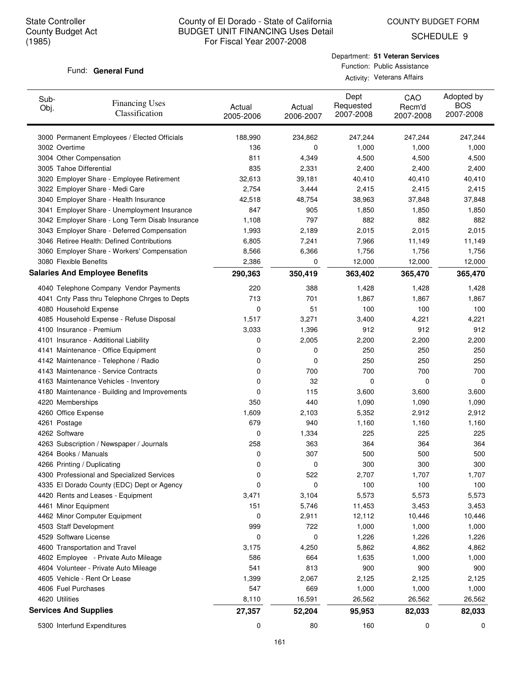COUNTY BUDGET FORM

SCHEDULE 9

#### Fund: General Fund

Department: **51 Veteran Services** Function: Public Assistance Activity: Veterans Affairs

| Sub-<br>Obj. | <b>Financing Uses</b><br>Classification         | Actual<br>2005-2006 | Actual<br>2006-2007 | Dept<br>Requested<br>2007-2008 | CAO<br>Recm'd<br>2007-2008 | Adopted by<br><b>BOS</b><br>2007-2008 |
|--------------|-------------------------------------------------|---------------------|---------------------|--------------------------------|----------------------------|---------------------------------------|
|              | 3000 Permanent Employees / Elected Officials    | 188,990             | 234,862             | 247,244                        | 247,244                    | 247,244                               |
|              | 3002 Overtime                                   | 136                 | 0                   | 1,000                          | 1,000                      | 1,000                                 |
|              | 3004 Other Compensation                         | 811                 | 4,349               | 4,500                          | 4,500                      | 4,500                                 |
|              | 3005 Tahoe Differential                         | 835                 | 2,331               | 2,400                          | 2,400                      | 2,400                                 |
|              | 3020 Employer Share - Employee Retirement       | 32,613              | 39,181              | 40,410                         | 40,410                     | 40,410                                |
|              | 3022 Employer Share - Medi Care                 | 2,754               | 3,444               | 2,415                          | 2,415                      | 2,415                                 |
|              | 3040 Employer Share - Health Insurance          | 42,518              | 48,754              | 38,963                         | 37,848                     | 37,848                                |
|              | 3041 Employer Share - Unemployment Insurance    | 847                 | 905                 | 1,850                          | 1,850                      | 1,850                                 |
|              | 3042 Employer Share - Long Term Disab Insurance | 1,108               | 797                 | 882                            | 882                        | 882                                   |
|              | 3043 Employer Share - Deferred Compensation     | 1,993               | 2,189               | 2,015                          | 2,015                      | 2,015                                 |
|              | 3046 Retiree Health: Defined Contributions      | 6,805               | 7,241               | 7,966                          | 11,149                     | 11,149                                |
|              | 3060 Employer Share - Workers' Compensation     | 8,566               | 6,366               | 1,756                          | 1,756                      | 1,756                                 |
|              | 3080 Flexible Benefits                          | 2,386               | 0                   | 12,000                         | 12,000                     | 12,000                                |
|              | <b>Salaries And Employee Benefits</b>           | 290,363             | 350,419             | 363,402                        | 365,470                    | 365,470                               |
|              | 4040 Telephone Company Vendor Payments          | 220                 | 388                 | 1,428                          | 1,428                      | 1,428                                 |
|              | 4041 Cnty Pass thru Telephone Chrges to Depts   | 713                 | 701                 | 1,867                          | 1,867                      | 1,867                                 |
|              | 4080 Household Expense                          | 0                   | 51                  | 100                            | 100                        | 100                                   |
|              | 4085 Household Expense - Refuse Disposal        | 1,517               | 3,271               | 3,400                          | 4,221                      | 4,221                                 |
|              | 4100 Insurance - Premium                        | 3,033               | 1,396               | 912                            | 912                        | 912                                   |
|              | 4101 Insurance - Additional Liability           | 0                   | 2,005               | 2,200                          | 2,200                      | 2,200                                 |
|              | 4141 Maintenance - Office Equipment             | 0                   | 0                   | 250                            | 250                        | 250                                   |
|              | 4142 Maintenance - Telephone / Radio            | 0                   | 0                   | 250                            | 250                        | 250                                   |
|              | 4143 Maintenance - Service Contracts            | 0                   | 700                 | 700                            | 700                        | 700                                   |
|              | 4163 Maintenance Vehicles - Inventory           | 0                   | 32                  | 0                              | 0                          | 0                                     |
|              | 4180 Maintenance - Building and Improvements    | 0                   | 115                 | 3,600                          | 3,600                      | 3,600                                 |
|              | 4220 Memberships                                | 350                 | 440                 | 1,090                          | 1,090                      | 1,090                                 |
|              | 4260 Office Expense                             | 1,609               | 2,103               | 5,352                          | 2,912                      | 2,912                                 |
|              | 4261 Postage                                    | 679                 | 940                 | 1,160                          | 1,160                      | 1,160                                 |
|              | 4262 Software                                   | 0                   | 1,334               | 225                            | 225                        | 225                                   |
|              | 4263 Subscription / Newspaper / Journals        | 258                 | 363                 | 364                            | 364                        | 364                                   |
|              | 4264 Books / Manuals                            | 0                   | 307                 | 500                            | 500                        | 500                                   |
|              | 4266 Printing / Duplicating                     | 0                   | 0                   | 300                            | 300                        | 300                                   |
|              | 4300 Professional and Specialized Services      | 0                   | 522                 | 2,707                          | 1,707                      | 1,707                                 |
|              | 4335 El Dorado County (EDC) Dept or Agency      | 0                   | 0                   | 100                            | 100                        | 100                                   |
|              | 4420 Rents and Leases - Equipment               | 3,471               | 3,104               | 5,573                          | 5,573                      | 5,573                                 |
|              | 4461 Minor Equipment                            | 151                 | 5,746               | 11,453                         | 3,453                      | 3,453                                 |
|              | 4462 Minor Computer Equipment                   | 0                   | 2,911               | 12,112                         | 10,446                     | 10,446                                |
|              | 4503 Staff Development                          | 999                 | 722                 | 1,000                          | 1,000                      | 1,000                                 |
|              | 4529 Software License                           | 0                   | 0                   | 1,226                          | 1,226                      | 1,226                                 |
|              | 4600 Transportation and Travel                  | 3,175               | 4,250               | 5,862                          | 4,862                      | 4,862                                 |
|              | 4602 Employee - Private Auto Mileage            | 586                 | 664                 | 1,635                          | 1,000                      | 1,000                                 |
|              | 4604 Volunteer - Private Auto Mileage           | 541                 | 813                 | 900                            | 900                        | 900                                   |
|              | 4605 Vehicle - Rent Or Lease                    | 1,399               | 2,067               | 2,125                          | 2,125                      | 2,125                                 |
|              | 4606 Fuel Purchases                             | 547                 | 669                 | 1,000                          | 1,000                      | 1,000                                 |
|              | 4620 Utilities                                  | 8,110               | 16,591              | 26,562                         | 26,562                     | 26,562                                |
|              | <b>Services And Supplies</b>                    | 27,357              | 52,204              | 95,953                         | 82,033                     | 82,033                                |
|              | 5300 Interfund Expenditures                     | 0                   | 80                  | 160                            | 0                          | 0                                     |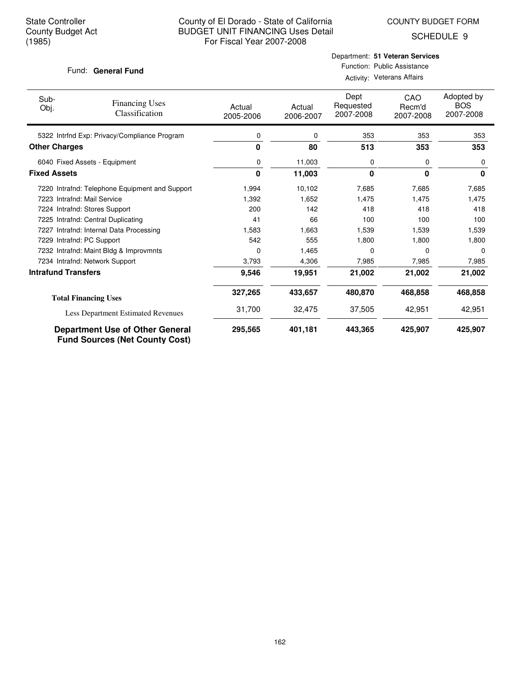COUNTY BUDGET FORM

SCHEDULE 9

### Fund: General Fund

## Department: **51 Veteran Services** Function: Public Assistance Activity: Veterans Affairs

| Sub-<br>Obj.               | <b>Financing Uses</b><br>Classification                                         | Actual<br>2005-2006 | Actual<br>2006-2007 | Dept<br>Requested<br>2007-2008 | CAO<br>Recm'd<br>2007-2008 | Adopted by<br><b>BOS</b><br>2007-2008 |
|----------------------------|---------------------------------------------------------------------------------|---------------------|---------------------|--------------------------------|----------------------------|---------------------------------------|
|                            | 5322 Intrfnd Exp: Privacy/Compliance Program                                    | 0                   | 0                   | 353                            | 353                        | 353                                   |
| <b>Other Charges</b>       |                                                                                 | 0                   | 80                  | 513                            | 353                        | 353                                   |
|                            | 6040 Fixed Assets - Equipment                                                   | 0                   | 11,003              | 0                              | 0                          | 0                                     |
| <b>Fixed Assets</b>        |                                                                                 | 0                   | 11,003              | 0                              | $\bf{0}$                   | 0                                     |
|                            | 7220 Intrafnd: Telephone Equipment and Support                                  | 1,994               | 10,102              | 7,685                          | 7,685                      | 7,685                                 |
|                            | 7223 Intrafnd: Mail Service                                                     | 1,392               | 1,652               | 1.475                          | 1,475                      | 1,475                                 |
|                            | 7224 Intrafnd: Stores Support                                                   | 200                 | 142                 | 418                            | 418                        | 418                                   |
|                            | 7225 Intrafnd: Central Duplicating                                              | 41                  | 66                  | 100                            | 100                        | 100                                   |
| 7227                       | Intrafnd: Internal Data Processing                                              | 1,583               | 1,663               | 1,539                          | 1,539                      | 1,539                                 |
|                            | 7229 Intrafnd: PC Support                                                       | 542                 | 555                 | 1,800                          | 1,800                      | 1,800                                 |
|                            | 7232 Intrafnd: Maint Bldg & Improvmnts                                          | 0                   | 1,465               | 0                              | 0                          | 0                                     |
|                            | 7234 Intrafnd: Network Support                                                  | 3,793               | 4,306               | 7,985                          | 7,985                      | 7,985                                 |
| <b>Intrafund Transfers</b> |                                                                                 | 9,546               | 19,951              | 21,002                         | 21,002                     | 21,002                                |
|                            | <b>Total Financing Uses</b>                                                     | 327,265             | 433,657             | 480,870                        | 468,858                    | 468,858                               |
|                            | Less Department Estimated Revenues                                              | 31,700              | 32,475              | 37,505                         | 42,951                     | 42,951                                |
|                            | <b>Department Use of Other General</b><br><b>Fund Sources (Net County Cost)</b> | 295,565             | 401,181             | 443,365                        | 425,907                    | 425,907                               |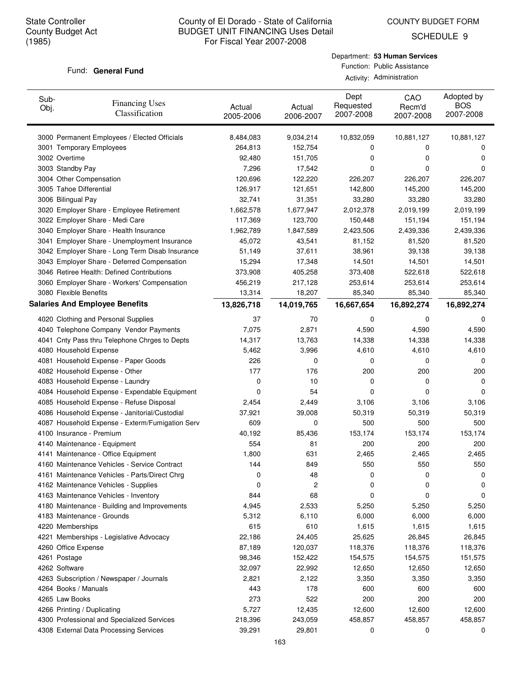COUNTY BUDGET FORM

SCHEDULE 9

#### Fund: General Fund

| Sub-<br>Obj.  | <b>Financing Uses</b><br>Classification         | Actual<br>2005-2006 | Actual<br>2006-2007 | Dept<br>Requested<br>2007-2008 | CAO<br>Recm'd<br>2007-2008 | Adopted by<br><b>BOS</b><br>2007-2008 |
|---------------|-------------------------------------------------|---------------------|---------------------|--------------------------------|----------------------------|---------------------------------------|
|               | 3000 Permanent Employees / Elected Officials    | 8,484,083           | 9,034,214           | 10,832,059                     | 10,881,127                 | 10,881,127                            |
|               | 3001 Temporary Employees                        | 264,813             | 152,754             | 0                              | 0                          | 0                                     |
| 3002 Overtime |                                                 | 92,480              | 151,705             | 0                              | 0                          | 0                                     |
|               | 3003 Standby Pay                                | 7,296               | 17,542              | 0                              | 0                          | 0                                     |
|               | 3004 Other Compensation                         | 120,696             | 122,220             | 226,207                        | 226,207                    | 226,207                               |
|               | 3005 Tahoe Differential                         | 126,917             | 121,651             | 142,800                        | 145,200                    | 145,200                               |
|               | 3006 Bilingual Pay                              | 32,741              | 31,351              | 33,280                         | 33,280                     | 33,280                                |
|               | 3020 Employer Share - Employee Retirement       | 1,662,578           | 1,677,947           | 2,012,378                      | 2,019,199                  | 2,019,199                             |
|               | 3022 Employer Share - Medi Care                 | 117,369             | 123,700             | 150,448                        | 151,194                    | 151,194                               |
|               | 3040 Employer Share - Health Insurance          | 1,962,789           | 1,847,589           | 2,423,506                      | 2,439,336                  | 2,439,336                             |
|               | 3041 Employer Share - Unemployment Insurance    | 45,072              | 43,541              | 81,152                         | 81,520                     | 81,520                                |
|               | 3042 Employer Share - Long Term Disab Insurance | 51,149              | 37,611              | 38,961                         | 39,138                     | 39,138                                |
|               | 3043 Employer Share - Deferred Compensation     | 15,294              | 17,348              | 14,501                         | 14,501                     | 14,501                                |
|               | 3046 Retiree Health: Defined Contributions      | 373,908             | 405,258             | 373,408                        | 522,618                    | 522,618                               |
|               | 3060 Employer Share - Workers' Compensation     | 456,219             | 217,128             | 253,614                        | 253,614                    | 253,614                               |
|               | 3080 Flexible Benefits                          | 13,314              | 18,207              | 85,340                         | 85,340                     | 85,340                                |
|               | <b>Salaries And Employee Benefits</b>           | 13,826,718          | 14,019,765          | 16,667,654                     | 16,892,274                 | 16,892,274                            |
|               | 4020 Clothing and Personal Supplies             | 37                  | 70                  | 0                              | 0                          | 0                                     |
|               | 4040 Telephone Company Vendor Payments          | 7,075               | 2,871               | 4,590                          | 4,590                      | 4,590                                 |
|               | 4041 Cnty Pass thru Telephone Chrges to Depts   | 14,317              | 13,763              | 14,338                         | 14,338                     | 14,338                                |
|               | 4080 Household Expense                          | 5,462               | 3,996               | 4,610                          | 4,610                      | 4,610                                 |
|               | 4081 Household Expense - Paper Goods            | 226                 | 0                   | 0                              | 0                          | 0                                     |
|               | 4082 Household Expense - Other                  | 177                 | 176                 | 200                            | 200                        | 200                                   |
|               | 4083 Household Expense - Laundry                | 0                   | 10                  | 0                              | 0                          | 0                                     |
|               | 4084 Household Expense - Expendable Equipment   | 0                   | 54                  | 0                              | 0                          | 0                                     |
|               | 4085 Household Expense - Refuse Disposal        | 2,454               | 2,449               | 3,106                          | 3,106                      | 3,106                                 |
|               | 4086 Household Expense - Janitorial/Custodial   | 37,921              | 39,008              | 50,319                         | 50,319                     | 50,319                                |
|               | 4087 Household Expense - Exterm/Fumigation Serv | 609                 | 0                   | 500                            | 500                        | 500                                   |
|               | 4100 Insurance - Premium                        | 40,192              | 85,436              | 153,174                        | 153,174                    | 153,174                               |
|               | 4140 Maintenance - Equipment                    | 554                 | 81                  | 200                            | 200                        | 200                                   |
|               | 4141 Maintenance - Office Equipment             | 1,800               | 631                 | 2,465                          | 2,465                      | 2,465                                 |
|               | 4160 Maintenance Vehicles - Service Contract    | 144                 | 849                 | 550                            | 550                        | 550                                   |
|               | 4161 Maintenance Vehicles - Parts/Direct Chrg   |                     | 48                  | 0                              |                            |                                       |
|               | 4162 Maintenance Vehicles - Supplies            | U<br>0              | 2                   | 0                              | U<br>0                     | U<br>0                                |
|               | 4163 Maintenance Vehicles - Inventory           | 844                 | 68                  | 0                              | 0                          | 0                                     |
|               | 4180 Maintenance - Building and Improvements    | 4,945               | 2,533               | 5,250                          | 5,250                      | 5,250                                 |
|               | 4183 Maintenance - Grounds                      | 5,312               | 6,110               | 6,000                          | 6,000                      | 6,000                                 |
|               | 4220 Memberships                                | 615                 | 610                 | 1,615                          | 1,615                      | 1,615                                 |
|               | 4221 Memberships - Legislative Advocacy         | 22,186              | 24,405              | 25,625                         | 26,845                     | 26,845                                |
|               | 4260 Office Expense                             | 87,189              | 120,037             | 118,376                        | 118,376                    | 118,376                               |
| 4261 Postage  |                                                 |                     |                     |                                |                            |                                       |
| 4262 Software |                                                 | 98,346<br>32,097    | 152,422<br>22,992   | 154,575<br>12,650              | 154,575<br>12,650          | 151,575<br>12,650                     |
|               |                                                 |                     |                     |                                |                            |                                       |
|               | 4263 Subscription / Newspaper / Journals        | 2,821               | 2,122               | 3,350                          | 3,350                      | 3,350                                 |
|               | 4264 Books / Manuals                            | 443                 | 178                 | 600                            | 600                        | 600                                   |
|               | 4265 Law Books                                  | 273                 | 522                 | 200                            | 200                        | 200                                   |
|               | 4266 Printing / Duplicating                     | 5,727               | 12,435              | 12,600                         | 12,600                     | 12,600                                |
|               | 4300 Professional and Specialized Services      | 218,396             | 243,059             | 458,857                        | 458,857                    | 458,857                               |
|               | 4308 External Data Processing Services          | 39,291              | 29,801              | 0                              | 0                          | 0                                     |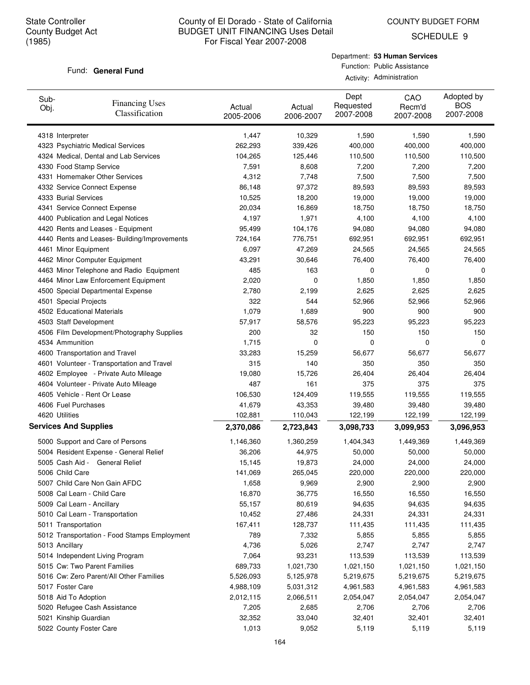SCHEDULE 9

#### Fund: General Fund

Department: **53 Human Services** Function: Public Assistance Activity: Administration

| Sub-<br>Obj.                 | <b>Financing Uses</b><br>Classification      | Actual<br>2005-2006 | Actual<br>2006-2007 | Dept<br>Requested<br>2007-2008 | CAO<br>Recm'd<br>2007-2008 | Adopted by<br><b>BOS</b><br>2007-2008 |
|------------------------------|----------------------------------------------|---------------------|---------------------|--------------------------------|----------------------------|---------------------------------------|
| 4318 Interpreter             |                                              | 1,447               | 10,329              | 1,590                          | 1,590                      | 1,590                                 |
|                              | 4323 Psychiatric Medical Services            | 262,293             | 339,426             | 400,000                        | 400,000                    | 400,000                               |
|                              | 4324 Medical, Dental and Lab Services        | 104,265             | 125,446             | 110,500                        | 110,500                    | 110,500                               |
| 4330 Food Stamp Service      |                                              | 7,591               | 8,608               | 7,200                          | 7,200                      | 7,200                                 |
|                              | 4331 Homemaker Other Services                | 4,312               | 7,748               | 7,500                          | 7,500                      | 7,500                                 |
|                              | 4332 Service Connect Expense                 | 86,148              | 97,372              | 89,593                         | 89,593                     | 89,593                                |
| 4333 Burial Services         |                                              | 10,525              | 18,200              | 19,000                         | 19,000                     | 19,000                                |
|                              | 4341 Service Connect Expense                 | 20,034              | 16,869              | 18,750                         | 18,750                     | 18,750                                |
|                              | 4400 Publication and Legal Notices           | 4,197               | 1,971               | 4,100                          | 4,100                      | 4,100                                 |
|                              | 4420 Rents and Leases - Equipment            | 95,499              | 104,176             | 94,080                         | 94,080                     | 94,080                                |
|                              | 4440 Rents and Leases- Building/Improvements | 724,164             | 776,751             | 692,951                        | 692,951                    | 692,951                               |
| 4461 Minor Equipment         |                                              | 6,097               | 47,269              | 24,565                         | 24,565                     | 24,565                                |
|                              | 4462 Minor Computer Equipment                | 43,291              | 30,646              | 76,400                         | 76,400                     | 76,400                                |
|                              | 4463 Minor Telephone and Radio Equipment     | 485                 | 163                 | 0                              | 0                          | 0                                     |
|                              | 4464 Minor Law Enforcement Equipment         | 2,020               | 0                   | 1,850                          | 1,850                      | 1,850                                 |
|                              | 4500 Special Departmental Expense            | 2,780               | 2,199               | 2,625                          | 2,625                      | 2,625                                 |
| 4501 Special Projects        |                                              | 322                 | 544                 | 52,966                         | 52,966                     | 52,966                                |
| 4502 Educational Materials   |                                              | 1,079               | 1,689               | 900                            | 900                        | 900                                   |
| 4503 Staff Development       |                                              | 57,917              | 58,576              | 95,223                         | 95,223                     | 95,223                                |
|                              | 4506 Film Development/Photography Supplies   | 200                 | 32                  | 150                            | 150                        | 150                                   |
| 4534 Ammunition              |                                              | 1,715               | 0                   | 0                              | 0                          | 0                                     |
|                              | 4600 Transportation and Travel               | 33,283              | 15,259              | 56,677                         | 56,677                     | 56,677                                |
|                              | 4601 Volunteer - Transportation and Travel   | 315                 | 140                 | 350                            | 350                        | 350                                   |
|                              | 4602 Employee - Private Auto Mileage         | 19,080              | 15,726              | 26,404                         | 26,404                     | 26,404                                |
|                              | 4604 Volunteer - Private Auto Mileage        | 487                 | 161                 | 375                            | 375                        | 375                                   |
|                              | 4605 Vehicle - Rent Or Lease                 | 106,530             | 124,409             | 119,555                        | 119,555                    | 119,555                               |
| 4606 Fuel Purchases          |                                              | 41,679              | 43,353              | 39,480                         | 39,480                     | 39,480                                |
| 4620 Utilities               |                                              | 102,881             | 110,043             | 122,199                        | 122,199                    | 122,199                               |
| <b>Services And Supplies</b> |                                              | 2,370,086           | 2,723,843           | 3,098,733                      | 3,099,953                  | 3,096,953                             |
|                              | 5000 Support and Care of Persons             | 1,146,360           | 1,360,259           | 1,404,343                      | 1,449,369                  | 1,449,369                             |
|                              | 5004 Resident Expense - General Relief       | 36,206              | 44,975              | 50,000                         | 50,000                     | 50,000                                |
|                              | 5005 Cash Aid - General Relief               | 15,145              | 19,873              | 24,000                         | 24,000                     | 24,000                                |
| 5006 Child Care              |                                              | 141,069             | 265,045             | 220,000                        | 220,000                    | 220,000                               |
|                              | 5007 Child Care Non Gain AFDC                | 1,658               | 9,969               | 2,900                          | 2,900                      | 2,900                                 |
|                              | 5008 Cal Learn - Child Care                  | 16,870              | 36,775              | 16,550                         | 16,550                     | 16,550                                |
| 5009 Cal Learn - Ancillary   |                                              | 55,157              | 80,619              | 94,635                         | 94,635                     | 94,635                                |
|                              | 5010 Cal Learn - Transportation              | 10,452              | 27,486              | 24,331                         | 24,331                     | 24,331                                |
| 5011 Transportation          |                                              | 167,411             | 128,737             | 111,435                        | 111,435                    | 111,435                               |
|                              | 5012 Transportation - Food Stamps Employment | 789                 | 7,332               | 5,855                          | 5,855                      | 5,855                                 |
| 5013 Ancillary               |                                              | 4,736               | 5,026               | 2,747                          | 2,747                      | 2,747                                 |
|                              | 5014 Independent Living Program              | 7,064               | 93,231              | 113,539                        | 113,539                    | 113,539                               |
|                              | 5015 Cw: Two Parent Families                 | 689,733             | 1,021,730           | 1,021,150                      | 1,021,150                  | 1,021,150                             |
|                              | 5016 Cw: Zero Parent/All Other Families      | 5,526,093           | 5,125,978           | 5,219,675                      | 5,219,675                  | 5,219,675                             |
| 5017 Foster Care             |                                              | 4,988,109           | 5,031,312           | 4,961,583                      | 4,961,583                  | 4,961,583                             |
| 5018 Aid To Adoption         |                                              | 2,012,115           | 2,066,511           | 2,054,047                      | 2,054,047                  | 2,054,047                             |
|                              | 5020 Refugee Cash Assistance                 | 7,205               | 2,685               | 2,706                          | 2,706                      | 2,706                                 |
| 5021 Kinship Guardian        |                                              | 32,352              | 33,040              | 32,401                         | 32,401                     | 32,401                                |
| 5022 County Foster Care      |                                              | 1,013               | 9,052               | 5,119                          | 5,119                      | 5,119                                 |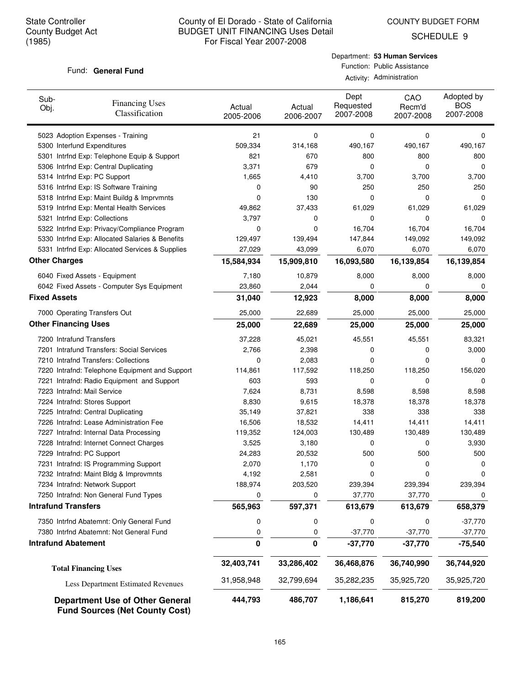COUNTY BUDGET FORM

SCHEDULE 9

### Fund: General Fund

Department: **53 Human Services** Function: Public Assistance Activity: Administration

| Sub-<br><b>Financing Uses</b><br>Obj.<br>Classification                         | Actual<br>2005-2006 | Actual<br>2006-2007 | Dept<br>Requested<br>2007-2008 | CAO<br>Recm'd<br>2007-2008 | Adopted by<br><b>BOS</b><br>2007-2008 |
|---------------------------------------------------------------------------------|---------------------|---------------------|--------------------------------|----------------------------|---------------------------------------|
| 5023 Adoption Expenses - Training                                               | 21                  | 0                   | 0                              | 0                          | 0                                     |
| 5300 Interfund Expenditures                                                     | 509,334             | 314,168             | 490,167                        | 490,167                    | 490,167                               |
| 5301 Intrfnd Exp: Telephone Equip & Support                                     | 821                 | 670                 | 800                            | 800                        | 800                                   |
| 5306 Intrfnd Exp: Central Duplicating                                           | 3,371               | 679                 | 0                              | 0                          | 0                                     |
| 5314 Intrfnd Exp: PC Support                                                    | 1,665               | 4,410               | 3,700                          | 3,700                      | 3,700                                 |
| 5316 Intrfnd Exp: IS Software Training                                          | 0                   | 90                  | 250                            | 250                        | 250                                   |
| 5318 Intrfnd Exp: Maint Buildg & Imprvmnts                                      | 0                   | 130                 | 0                              | 0                          | 0                                     |
| 5319 Intrfnd Exp: Mental Health Services                                        | 49,862              | 37,433              | 61,029                         | 61,029                     | 61,029                                |
| 5321 Intrfnd Exp: Collections                                                   | 3,797               | 0                   | 0                              | 0                          | 0                                     |
| 5322 Intrfnd Exp: Privacy/Compliance Program                                    | 0                   | 0                   | 16,704                         | 16,704                     | 16,704                                |
| 5330 Intrfnd Exp: Allocated Salaries & Benefits                                 | 129,497             | 139,494             | 147,844                        | 149,092                    | 149,092                               |
| 5331 Intrfnd Exp: Allocated Services & Supplies                                 | 27,029              | 43,099              | 6,070                          | 6,070                      | 6,070                                 |
| <b>Other Charges</b>                                                            | 15,584,934          | 15,909,810          | 16,093,580                     | 16,139,854                 | 16,139,854                            |
| 6040 Fixed Assets - Equipment                                                   | 7,180               | 10,879              | 8,000                          | 8,000                      | 8,000                                 |
| 6042 Fixed Assets - Computer Sys Equipment                                      | 23,860              | 2,044               | 0                              | 0                          | 0                                     |
| <b>Fixed Assets</b>                                                             | 31,040              | 12,923              | 8,000                          | 8,000                      | 8,000                                 |
| 7000 Operating Transfers Out                                                    | 25,000              | 22,689              | 25,000                         | 25,000                     | 25,000                                |
| <b>Other Financing Uses</b>                                                     | 25,000              | 22,689              | 25,000                         | 25,000                     | 25,000                                |
| 7200 Intrafund Transfers                                                        | 37,228              | 45,021              | 45,551                         | 45,551                     | 83,321                                |
| 7201 Intrafund Transfers: Social Services                                       | 2,766               | 2,398               | 0                              | 0                          | 3,000                                 |
| 7210 Intrafnd Transfers: Collections                                            | 0                   | 2,083               | 0                              | 0                          | 0                                     |
| 7220 Intrafnd: Telephone Equipment and Support                                  | 114,861             | 117,592             | 118,250                        | 118,250                    | 156,020                               |
| 7221 Intrafnd: Radio Equipment and Support                                      | 603                 | 593                 | 0                              | $\mathbf 0$                | 0                                     |
| 7223 Intrafnd: Mail Service                                                     | 7,624               | 8,731               | 8,598                          | 8,598                      | 8,598                                 |
| 7224 Intrafnd: Stores Support                                                   | 8,830               | 9,615               | 18,378                         | 18,378                     | 18,378                                |
| 7225 Intrafnd: Central Duplicating                                              | 35,149              | 37,821              | 338                            | 338                        | 338                                   |
| 7226 Intrafnd: Lease Administration Fee                                         | 16,506              | 18,532              | 14,411                         | 14,411                     | 14,411                                |
| 7227 Intrafnd: Internal Data Processing                                         | 119,352             | 124,003             | 130,489                        | 130,489                    | 130,489                               |
| 7228 Intrafnd: Internet Connect Charges                                         | 3,525               | 3,180               | 0                              | 0                          | 3,930                                 |
| 7229 Intrafnd: PC Support                                                       | 24,283              | 20,532              | 500                            | 500                        | 500                                   |
| 7231 Intrafnd: IS Programming Support                                           | 2,070               | 1,170               | 0                              | 0                          | 0                                     |
| 7232 Intrafnd: Maint Bldg & Improvmnts                                          | 4,192               | 2,581               | 0                              |                            |                                       |
| 7234 Intrafnd: Network Support                                                  | 188,974             | 203,520             | 239,394                        | 239,394                    | 239,394                               |
| 7250 Intrafnd: Non General Fund Types                                           | 0                   | 0                   | 37,770                         | 37,770                     | 0                                     |
| <b>Intrafund Transfers</b>                                                      | 565,963             | 597,371             | 613,679                        | 613,679                    | 658,379                               |
| 7350 Intrfnd Abatemnt: Only General Fund                                        | 0                   | 0                   | 0                              | 0                          | $-37,770$                             |
| 7380 Intrfnd Abatemnt: Not General Fund                                         | 0                   | 0                   | $-37,770$                      | $-37,770$                  | $-37,770$                             |
| <b>Intrafund Abatement</b>                                                      | 0                   | 0                   | $-37,770$                      | $-37,770$                  | $-75,540$                             |
| <b>Total Financing Uses</b>                                                     | 32,403,741          | 33,286,402          | 36,468,876                     | 36,740,990                 | 36,744,920                            |
| Less Department Estimated Revenues                                              | 31,958,948          | 32,799,694          | 35,282,235                     | 35,925,720                 | 35,925,720                            |
| <b>Department Use of Other General</b><br><b>Fund Sources (Net County Cost)</b> | 444,793             | 486,707             | 1,186,641                      | 815,270                    | 819,200                               |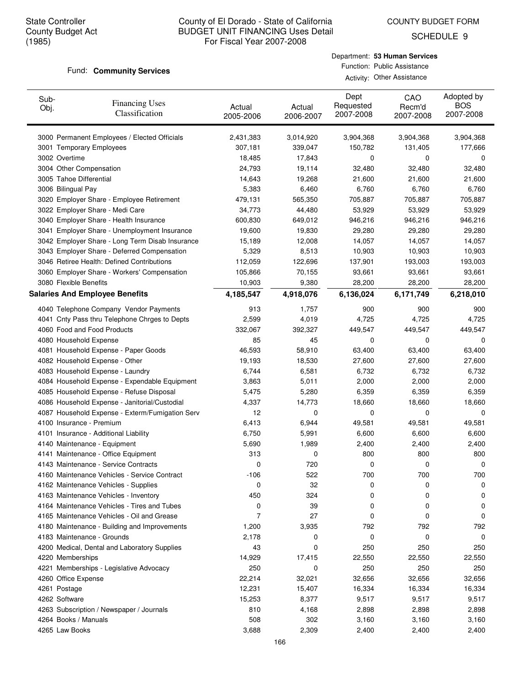COUNTY BUDGET FORM

SCHEDULE 9

#### Fund: **Community Services**

## Department: **53 Human Services** Function: Public Assistance Activity: Other Assistance

| Sub-<br>Obj. | <b>Financing Uses</b><br>Classification         | Actual<br>2005-2006 | Actual<br>2006-2007 | Dept<br>Requested<br>2007-2008 | CAO<br>Recm'd<br>2007-2008 | Adopted by<br><b>BOS</b><br>2007-2008 |
|--------------|-------------------------------------------------|---------------------|---------------------|--------------------------------|----------------------------|---------------------------------------|
|              | 3000 Permanent Employees / Elected Officials    | 2,431,383           | 3,014,920           | 3,904,368                      | 3,904,368                  | 3,904,368                             |
|              | 3001 Temporary Employees                        | 307,181             | 339,047             | 150,782                        | 131,405                    | 177,666                               |
|              | 3002 Overtime                                   | 18,485              | 17,843              | 0                              | 0                          | 0                                     |
|              | 3004 Other Compensation                         | 24,793              | 19,114              | 32,480                         | 32,480                     | 32,480                                |
|              | 3005 Tahoe Differential                         | 14,643              | 19,268              | 21,600                         | 21,600                     | 21,600                                |
|              | 3006 Bilingual Pay                              | 5,383               | 6,460               | 6,760                          | 6,760                      | 6,760                                 |
|              | 3020 Employer Share - Employee Retirement       | 479,131             | 565,350             | 705,887                        | 705,887                    | 705,887                               |
|              | 3022 Employer Share - Medi Care                 | 34,773              | 44,480              | 53,929                         | 53,929                     | 53,929                                |
|              | 3040 Employer Share - Health Insurance          | 600,830             | 649,012             | 946,216                        | 946,216                    | 946,216                               |
|              | 3041 Employer Share - Unemployment Insurance    | 19,600              | 19,830              | 29,280                         | 29,280                     | 29,280                                |
|              | 3042 Employer Share - Long Term Disab Insurance | 15,189              | 12,008              | 14,057                         | 14,057                     | 14,057                                |
|              | 3043 Employer Share - Deferred Compensation     | 5,329               | 8,513               | 10,903                         | 10,903                     | 10,903                                |
|              | 3046 Retiree Health: Defined Contributions      | 112,059             | 122,696             | 137,901                        | 193,003                    | 193,003                               |
|              | 3060 Employer Share - Workers' Compensation     | 105,866             | 70,155              | 93,661                         | 93,661                     | 93,661                                |
|              | 3080 Flexible Benefits                          | 10,903              | 9,380               | 28,200                         | 28,200                     | 28,200                                |
|              | <b>Salaries And Employee Benefits</b>           | 4,185,547           | 4,918,076           | 6,136,024                      | 6,171,749                  | 6,218,010                             |
|              | 4040 Telephone Company Vendor Payments          | 913                 | 1,757               | 900                            | 900                        | 900                                   |
|              | 4041 Cnty Pass thru Telephone Chrges to Depts   | 2,599               | 4,019               | 4,725                          | 4,725                      | 4,725                                 |
|              | 4060 Food and Food Products                     | 332,067             | 392,327             | 449,547                        | 449,547                    | 449,547                               |
|              | 4080 Household Expense                          | 85                  | 45                  | 0                              | 0                          | 0                                     |
|              | 4081 Household Expense - Paper Goods            | 46,593              | 58,910              | 63,400                         | 63,400                     | 63,400                                |
|              | 4082 Household Expense - Other                  | 19,193              | 18,530              | 27,600                         | 27,600                     | 27,600                                |
|              | 4083 Household Expense - Laundry                | 6,744               | 6,581               | 6,732                          | 6,732                      | 6,732                                 |
|              | 4084 Household Expense - Expendable Equipment   | 3,863               | 5,011               | 2,000                          | 2,000                      | 2,000                                 |
|              | 4085 Household Expense - Refuse Disposal        | 5,475               | 5,280               | 6,359                          | 6,359                      | 6,359                                 |
|              | 4086 Household Expense - Janitorial/Custodial   | 4,337               | 14,773              | 18,660                         | 18,660                     | 18,660                                |
|              | 4087 Household Expense - Exterm/Fumigation Serv | 12                  | 0                   | 0                              | 0                          | 0                                     |
|              | 4100 Insurance - Premium                        | 6,413               | 6,944               | 49,581                         | 49,581                     | 49,581                                |
|              | 4101 Insurance - Additional Liability           | 6,750               | 5,991               | 6,600                          | 6,600                      | 6,600                                 |
|              | 4140 Maintenance - Equipment                    | 5,690               | 1,989               | 2,400                          | 2,400                      | 2,400                                 |
|              | 4141 Maintenance - Office Equipment             | 313                 | 0                   | 800                            | 800                        | 800                                   |
|              | 4143 Maintenance - Service Contracts            | 0                   | 720                 | 0                              | 0                          | 0                                     |
|              | 4160 Maintenance Vehicles - Service Contract    | $-106$              | 522                 | 700                            | 700                        | 700                                   |
|              | 4162 Maintenance Vehicles - Supplies            | 0                   | 32                  | 0                              | 0                          | 0                                     |
|              | 4163 Maintenance Vehicles - Inventory           | 450                 | 324                 | 0                              | 0                          | 0                                     |
|              | 4164 Maintenance Vehicles - Tires and Tubes     | 0                   | 39                  | 0                              | 0                          | 0                                     |
|              | 4165 Maintenance Vehicles - Oil and Grease      | 7                   | 27                  | 0                              | 0                          | 0                                     |
|              | 4180 Maintenance - Building and Improvements    | 1,200               | 3,935               | 792                            | 792                        | 792                                   |
|              | 4183 Maintenance - Grounds                      | 2,178               | 0                   | 0                              | 0                          | 0                                     |
|              | 4200 Medical, Dental and Laboratory Supplies    | 43                  | 0                   | 250                            | 250                        | 250                                   |
|              | 4220 Memberships                                | 14,929              | 17,415              | 22,550                         | 22,550                     | 22,550                                |
|              | 4221 Memberships - Legislative Advocacy         | 250                 | 0                   | 250                            | 250                        | 250                                   |
|              | 4260 Office Expense                             | 22,214              | 32,021              | 32,656                         | 32,656                     | 32,656                                |
|              | 4261 Postage                                    | 12,231              | 15,407              | 16,334                         | 16,334                     | 16,334                                |
|              | 4262 Software                                   | 15,253              | 8,377               | 9,517                          | 9,517                      | 9,517                                 |
|              | 4263 Subscription / Newspaper / Journals        | 810                 | 4,168               | 2,898                          | 2,898                      | 2,898                                 |
|              | 4264 Books / Manuals                            | 508                 | 302                 | 3,160                          | 3,160                      | 3,160                                 |
|              | 4265 Law Books                                  | 3,688               | 2,309               | 2,400                          | 2,400                      | 2,400                                 |
|              |                                                 |                     |                     |                                |                            |                                       |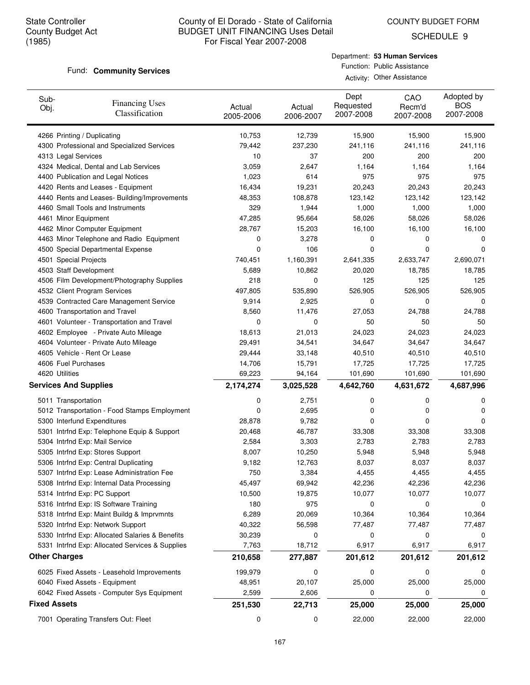SCHEDULE 9

#### Fund: **Community Services**

| Department: 53 Human Services |
|-------------------------------|
| Function: Public Assistance   |
| Activity: Other Assistance    |

| Sub-<br>Obj.        | <b>Financing Uses</b><br>Classification                                              | Actual<br>2005-2006 | Actual<br>2006-2007 | Dept<br>Requested<br>2007-2008 | CAO<br>Recm'd<br>2007-2008 | Adopted by<br><b>BOS</b><br>2007-2008 |
|---------------------|--------------------------------------------------------------------------------------|---------------------|---------------------|--------------------------------|----------------------------|---------------------------------------|
|                     | 4266 Printing / Duplicating                                                          | 10,753              | 12,739              | 15,900                         | 15,900                     | 15,900                                |
|                     | 4300 Professional and Specialized Services                                           | 79,442              | 237,230             | 241,116                        | 241,116                    | 241,116                               |
|                     | 4313 Legal Services                                                                  | 10                  | 37                  | 200                            | 200                        | 200                                   |
|                     | 4324 Medical, Dental and Lab Services                                                | 3,059               | 2,647               | 1,164                          | 1,164                      | 1,164                                 |
|                     | 4400 Publication and Legal Notices                                                   | 1,023               | 614                 | 975                            | 975                        | 975                                   |
|                     | 4420 Rents and Leases - Equipment                                                    | 16,434              | 19,231              | 20,243                         | 20,243                     | 20,243                                |
|                     | 4440 Rents and Leases- Building/Improvements                                         | 48,353              | 108,878             | 123,142                        | 123,142                    | 123,142                               |
|                     | 4460 Small Tools and Instruments                                                     | 329                 | 1,944               | 1,000                          | 1,000                      | 1,000                                 |
|                     | 4461 Minor Equipment                                                                 | 47,285              | 95,664              | 58,026                         | 58,026                     | 58,026                                |
|                     | 4462 Minor Computer Equipment                                                        | 28,767              | 15,203              | 16,100                         | 16,100                     | 16,100                                |
|                     | 4463 Minor Telephone and Radio Equipment                                             | 0                   | 3,278               | 0                              | 0                          | 0                                     |
|                     | 4500 Special Departmental Expense                                                    | 0                   | 106                 | 0                              | 0                          | 0                                     |
|                     | 4501 Special Projects                                                                | 740,451             | 1,160,391           | 2,641,335                      | 2,633,747                  | 2,690,071                             |
|                     | 4503 Staff Development                                                               | 5,689               | 10,862              | 20,020                         | 18,785                     | 18,785                                |
|                     | 4506 Film Development/Photography Supplies                                           | 218                 | 0                   | 125                            | 125                        | 125                                   |
|                     | 4532 Client Program Services                                                         | 497,805             | 535,890             | 526,905                        | 526,905                    | 526,905                               |
|                     | 4539 Contracted Care Management Service                                              | 9,914               | 2,925               | 0                              | 0                          | 0                                     |
|                     | 4600 Transportation and Travel                                                       | 8,560               | 11,476              | 27,053                         | 24,788                     | 24,788                                |
|                     | 4601 Volunteer - Transportation and Travel                                           | 0                   | 0                   | 50                             | 50                         | 50                                    |
|                     | 4602 Employee - Private Auto Mileage                                                 | 18,613              | 21,013              | 24,023                         | 24,023                     | 24,023                                |
|                     | 4604 Volunteer - Private Auto Mileage                                                | 29,491              | 34,541              | 34,647                         | 34,647                     | 34,647                                |
|                     | 4605 Vehicle - Rent Or Lease                                                         | 29,444              | 33,148              | 40,510                         | 40,510                     | 40,510                                |
|                     | 4606 Fuel Purchases                                                                  | 14,706              | 15,791              | 17,725                         | 17,725                     | 17,725                                |
|                     | 4620 Utilities<br><b>Services And Supplies</b>                                       | 69,223<br>2,174,274 | 94,164              | 101,690<br>4,642,760           | 101,690<br>4,631,672       | 101,690                               |
|                     |                                                                                      |                     | 3,025,528           |                                |                            | 4,687,996                             |
|                     | 5011 Transportation                                                                  | 0                   | 2,751               | 0                              | 0                          | 0                                     |
|                     | 5012 Transportation - Food Stamps Employment                                         | 0                   | 2,695               | 0                              | 0                          | 0                                     |
|                     | 5300 Interfund Expenditures                                                          | 28,878              | 9,782               | 0                              | 0                          | 0                                     |
|                     | 5301 Intrfnd Exp: Telephone Equip & Support                                          | 20,468              | 46,787              | 33,308                         | 33,308                     | 33,308                                |
|                     | 5304 Intrfnd Exp: Mail Service                                                       | 2,584               | 3,303               | 2,783                          | 2,783                      | 2,783                                 |
|                     | 5305 Intrfnd Exp: Stores Support                                                     | 8,007               | 10,250              | 5,948                          | 5,948                      | 5,948                                 |
|                     | 5306 Intrfnd Exp: Central Duplicating                                                | 9,182               | 12,763              | 8,037                          | 8,037                      | 8,037                                 |
|                     | 5307 Intrfnd Exp: Lease Administration Fee                                           | 750                 | 3,384               | 4,455                          | 4,455                      | 4,455                                 |
|                     | 5308 Intrfnd Exp: Internal Data Processing                                           | 45,497              | 69,942              | 42,236                         | 42,236                     | 42,236                                |
|                     | 5314 Intrfnd Exp: PC Support                                                         | 10,500              | 19,875              | 10,077                         | 10,077                     | 10,077                                |
|                     | 5316 Intrfnd Exp: IS Software Training<br>5318 Intrfnd Exp: Maint Buildg & Imprvmnts | 180                 | 975<br>20,069       | 0                              | 0                          | 0                                     |
|                     | 5320 Intrfnd Exp: Network Support                                                    | 6,289<br>40,322     | 56,598              | 10,364<br>77,487               | 10,364<br>77,487           | 10,364<br>77,487                      |
|                     | 5330 Intrfnd Exp: Allocated Salaries & Benefits                                      | 30,239              | 0                   | 0                              | 0                          | 0                                     |
|                     | 5331 Intrfnd Exp: Allocated Services & Supplies                                      | 7,763               | 18,712              | 6,917                          | 6,917                      | 6,917                                 |
|                     | <b>Other Charges</b>                                                                 | 210,658             | 277,887             | 201,612                        | 201,612                    | 201,612                               |
|                     |                                                                                      |                     |                     |                                |                            |                                       |
|                     | 6025 Fixed Assets - Leasehold Improvements                                           | 199,979             | 0                   | 0                              | 0                          | 0                                     |
|                     | 6040 Fixed Assets - Equipment                                                        | 48,951              | 20,107              | 25,000                         | 25,000                     | 25,000                                |
|                     | 6042 Fixed Assets - Computer Sys Equipment                                           | 2,599               | 2,606               | 0                              | 0                          | 0                                     |
| <b>Fixed Assets</b> |                                                                                      | 251,530             | 22,713              | 25,000                         | 25,000                     | 25,000                                |
|                     | 7001 Operating Transfers Out: Fleet                                                  | 0                   | 0                   | 22,000                         | 22,000                     | 22,000                                |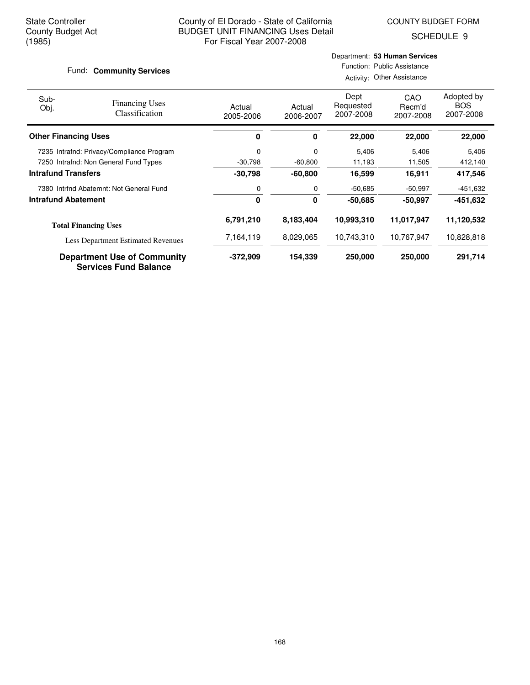SCHEDULE 9

#### Fund: **Community Services**

## Department: **53 Human Services** Function: Public Assistance

Activity: Other Assistance

| Sub-<br>Obj.                | <b>Financing Uses</b><br>Classification                            | Actual<br>2005-2006 | Actual<br>2006-2007 | Dept<br>Requested<br>2007-2008 | CAO<br>Recm'd<br>2007-2008 | Adopted by<br><b>BOS</b><br>2007-2008 |
|-----------------------------|--------------------------------------------------------------------|---------------------|---------------------|--------------------------------|----------------------------|---------------------------------------|
| <b>Other Financing Uses</b> |                                                                    | 0                   | 0                   | 22,000                         | 22,000                     | 22,000                                |
|                             | 7235 Intrafnd: Privacy/Compliance Program                          | 0                   | 0                   | 5.406                          | 5,406                      | 5,406                                 |
|                             | 7250 Intrafnd: Non General Fund Types                              | $-30,798$           | $-60,800$           | 11,193                         | 11,505                     | 412,140                               |
| <b>Intrafund Transfers</b>  |                                                                    | $-30,798$           | $-60,800$           | 16,599                         | 16,911                     | 417,546                               |
|                             | 7380 Intrind Abatemnt: Not General Fund                            | 0                   | 0                   | -50,685                        | $-50,997$                  | -451,632                              |
| <b>Intrafund Abatement</b>  |                                                                    | 0                   | 0                   | -50.685                        | -50,997                    | -451,632                              |
|                             | <b>Total Financing Uses</b>                                        | 6,791,210           | 8,183,404           | 10,993,310                     | 11,017,947                 | 11,120,532                            |
|                             | <b>Less Department Estimated Revenues</b>                          | 7,164,119           | 8,029,065           | 10,743,310                     | 10,767,947                 | 10,828,818                            |
|                             | <b>Department Use of Community</b><br><b>Services Fund Balance</b> | $-372,909$          | 154,339             | 250,000                        | 250,000                    | 291,714                               |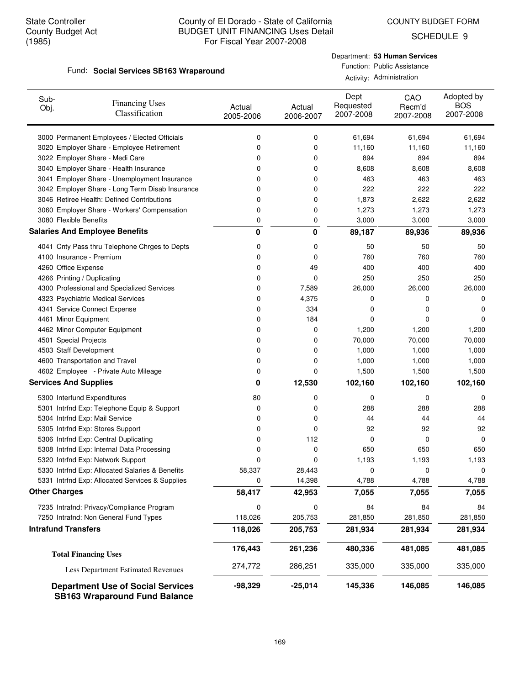SCHEDULE 9

#### Fund: Social Services SB163 Wraparound

#### Department: **53 Human Services** Function: Public Assistance

Activity: Administration

| Sub-<br>Obj. | <b>Financing Uses</b><br>Classification                                          | Actual<br>2005-2006 | Actual<br>2006-2007 | Dept<br>Requested<br>2007-2008 | CAO<br>Recm'd<br>2007-2008 | Adopted by<br><b>BOS</b><br>2007-2008 |
|--------------|----------------------------------------------------------------------------------|---------------------|---------------------|--------------------------------|----------------------------|---------------------------------------|
|              | 3000 Permanent Employees / Elected Officials                                     | 0                   | 0                   | 61,694                         | 61,694                     | 61,694                                |
|              | 3020 Employer Share - Employee Retirement                                        | 0                   | 0                   | 11,160                         | 11,160                     | 11,160                                |
|              | 3022 Employer Share - Medi Care                                                  | 0                   | 0                   | 894                            | 894                        | 894                                   |
|              | 3040 Employer Share - Health Insurance                                           | 0                   | 0                   | 8,608                          | 8,608                      | 8,608                                 |
|              | 3041 Employer Share - Unemployment Insurance                                     | 0                   | 0                   | 463                            | 463                        | 463                                   |
|              | 3042 Employer Share - Long Term Disab Insurance                                  | 0                   | 0                   | 222                            | 222                        | 222                                   |
|              | 3046 Retiree Health: Defined Contributions                                       | 0                   | 0                   | 1,873                          | 2,622                      | 2,622                                 |
|              | 3060 Employer Share - Workers' Compensation                                      | 0                   | 0                   | 1,273                          | 1,273                      | 1,273                                 |
|              | 3080 Flexible Benefits                                                           | 0                   | 0                   | 3,000                          | 3,000                      | 3,000                                 |
|              | <b>Salaries And Employee Benefits</b>                                            | 0                   | 0                   | 89,187                         | 89,936                     | 89,936                                |
|              | 4041 Cnty Pass thru Telephone Chrges to Depts                                    | 0                   | 0                   | 50                             | 50                         | 50                                    |
|              | 4100 Insurance - Premium                                                         | 0                   | 0                   | 760                            | 760                        | 760                                   |
|              | 4260 Office Expense                                                              | 0                   | 49                  | 400                            | 400                        | 400                                   |
|              | 4266 Printing / Duplicating                                                      | 0                   | 0                   | 250                            | 250                        | 250                                   |
|              | 4300 Professional and Specialized Services                                       | 0                   | 7,589               | 26,000                         | 26,000                     | 26,000                                |
|              | 4323 Psychiatric Medical Services                                                | 0                   | 4,375<br>334        | 0                              | 0                          | 0                                     |
|              | 4341 Service Connect Expense<br>4461 Minor Equipment                             | 0<br>0              | 184                 | 0<br>0                         | 0<br>0                     | 0<br>0                                |
|              | 4462 Minor Computer Equipment                                                    | 0                   | 0                   | 1,200                          | 1,200                      | 1,200                                 |
|              | 4501 Special Projects                                                            | 0                   | 0                   | 70,000                         | 70,000                     | 70,000                                |
|              | 4503 Staff Development                                                           | 0                   | 0                   | 1,000                          | 1,000                      | 1,000                                 |
|              | 4600 Transportation and Travel                                                   | 0                   | 0                   | 1,000                          | 1,000                      | 1,000                                 |
|              | 4602 Employee - Private Auto Mileage                                             | 0                   | 0                   | 1,500                          | 1,500                      | 1,500                                 |
|              | <b>Services And Supplies</b>                                                     | 0                   | 12,530              | 102,160                        | 102,160                    | 102,160                               |
|              | 5300 Interfund Expenditures                                                      | 80                  | 0                   | 0                              | 0                          | 0                                     |
|              | 5301 Intrfnd Exp: Telephone Equip & Support                                      | 0                   | 0                   | 288                            | 288                        | 288                                   |
|              | 5304 Intrfnd Exp: Mail Service                                                   | 0                   | 0                   | 44                             | 44                         | 44                                    |
|              | 5305 Intrfnd Exp: Stores Support                                                 | 0                   | 0                   | 92                             | 92                         | 92                                    |
|              | 5306 Intrfnd Exp: Central Duplicating                                            | 0                   | 112                 | 0                              | 0                          | 0                                     |
|              | 5308 Intrfnd Exp: Internal Data Processing                                       | 0                   | 0                   | 650                            | 650                        | 650                                   |
|              | 5320 Intrfnd Exp: Network Support                                                | 0                   | 0                   | 1,193                          | 1,193                      | 1,193                                 |
|              | 5330 Intrfnd Exp: Allocated Salaries & Benefits                                  | 58,337              | 28,443              | 0                              | 0                          | 0                                     |
|              | 5331 Intrfnd Exp: Allocated Services & Supplies                                  | 0                   | 14,398              | 4,788                          | 4,788                      | 4,788                                 |
|              | <b>Other Charges</b>                                                             | 58,417              | 42,953              | 7,055                          | 7,055                      | 7,055                                 |
|              | 7235 Intrafnd: Privacy/Compliance Program                                        | 0                   | 0                   | 84                             | 84                         | 84                                    |
|              | 7250 Intrafnd: Non General Fund Types                                            | 118,026             | 205,753             | 281,850                        | 281,850                    | 281,850                               |
|              | <b>Intrafund Transfers</b>                                                       | 118,026             | 205,753             | 281,934                        | 281,934                    | 281,934                               |
|              | <b>Total Financing Uses</b>                                                      | 176,443             | 261,236             | 480,336                        | 481,085                    | 481,085                               |
|              | Less Department Estimated Revenues                                               | 274,772             | 286,251             | 335,000                        | 335,000                    | 335,000                               |
|              | <b>Department Use of Social Services</b><br><b>SB163 Wraparound Fund Balance</b> | $-98,329$           | $-25,014$           | 145,336                        | 146,085                    | 146,085                               |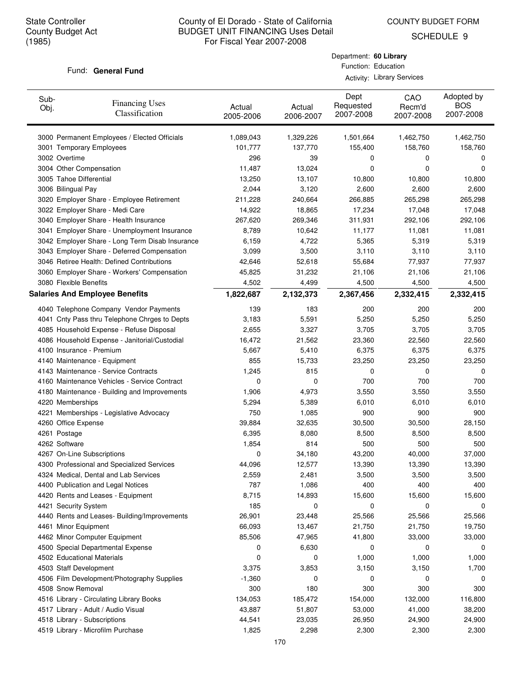COUNTY BUDGET FORM

Department: **60 Library** Function: Education Activity: Library Services

SCHEDULE 9

#### Fund: General Fund

| 3000 Permanent Employees / Elected Officials<br>1,501,664<br>1,462,750<br>1,462,750<br>1,089,043<br>1,329,226<br>101,777<br>137,770<br>155,400<br>158,760<br>158,760<br>3001 Temporary Employees<br>3002 Overtime<br>296<br>39<br>0<br>0<br>0<br>3004 Other Compensation<br>11,487<br>0<br>13,024<br>0<br>0<br>3005 Tahoe Differential<br>13,250<br>13,107<br>10,800<br>10,800<br>10,800<br>3006 Bilingual Pay<br>2,044<br>2,600<br>2,600<br>3,120<br>2,600<br>3020 Employer Share - Employee Retirement<br>211,228<br>240,664<br>266,885<br>265,298<br>265,298<br>3022 Employer Share - Medi Care<br>17,234<br>14,922<br>18,865<br>17,048<br>17,048<br>3040 Employer Share - Health Insurance<br>311,931<br>267,620<br>269,346<br>292,106<br>292,106<br>3041 Employer Share - Unemployment Insurance<br>8,789<br>11,177<br>10,642<br>11,081<br>11,081<br>3042 Employer Share - Long Term Disab Insurance<br>5,365<br>5,319<br>6,159<br>4,722<br>5,319<br>3043 Employer Share - Deferred Compensation<br>3,110<br>3,110<br>3,099<br>3,500<br>3,110<br>3046 Retiree Health: Defined Contributions<br>77,937<br>42,646<br>52,618<br>55,684<br>77,937<br>3060 Employer Share - Workers' Compensation<br>21,106<br>45,825<br>31,232<br>21,106<br>21,106<br>3080 Flexible Benefits<br>4,502<br>4,500<br>4,500<br>4,500<br>4,499<br><b>Salaries And Employee Benefits</b><br>2,332,415<br>1,822,687<br>2,132,373<br>2,367,456<br>2,332,415<br>4040 Telephone Company Vendor Payments<br>139<br>200<br>200<br>200<br>183<br>4041 Cnty Pass thru Telephone Chrges to Depts<br>3,183<br>5,591<br>5,250<br>5,250<br>5,250<br>3,705<br>3,705<br>4085 Household Expense - Refuse Disposal<br>2,655<br>3,327<br>3,705<br>4086 Household Expense - Janitorial/Custodial<br>16,472<br>22,560<br>22,560<br>21,562<br>23,360<br>4100 Insurance - Premium<br>5,667<br>5,410<br>6,375<br>6,375<br>6,375<br>4140 Maintenance - Equipment<br>855<br>15,733<br>23,250<br>23,250<br>23,250<br>1,245<br>815<br>4143 Maintenance - Service Contracts<br>0<br>0<br>0<br>700<br>4160 Maintenance Vehicles - Service Contract<br>0<br>0<br>700<br>700<br>4180 Maintenance - Building and Improvements<br>1,906<br>4,973<br>3,550<br>3,550<br>3,550<br>4220 Memberships<br>5,294<br>6,010<br>6,010<br>6,010<br>5,389<br>750<br>1,085<br>900<br>900<br>900<br>4221 Memberships - Legislative Advocacy<br>39,884<br>30,500<br>30,500<br>28,150<br>4260 Office Expense<br>32,635<br>4261 Postage<br>6,395<br>8,500<br>8,500<br>8,500<br>8,080<br>4262 Software<br>1,854<br>814<br>500<br>500<br>500<br>4267 On-Line Subscriptions<br>34,180<br>43,200<br>40,000<br>37,000<br>0<br>4300 Professional and Specialized Services<br>44,096<br>12,577<br>13,390<br>13,390<br>13,390<br>2,559<br>2,481<br>3,500<br>3,500<br>3,500<br>4324 Medical, Dental and Lab Services<br>787<br>400<br>400<br>400<br>4400 Publication and Legal Notices<br>1,086<br>4420 Rents and Leases - Equipment<br>8,715<br>14,893<br>15,600<br>15,600<br>15,600<br>185<br>4421 Security System<br>0<br>0<br>0<br>0<br>23,448<br>25,566<br>25,566<br>4440 Rents and Leases- Building/Improvements<br>26,901<br>25,566<br>66,093<br>21,750<br>4461 Minor Equipment<br>13,467<br>21,750<br>19,750<br>4462 Minor Computer Equipment<br>85,506<br>47,965<br>41,800<br>33,000<br>33,000<br>6,630<br>4500 Special Departmental Expense<br>0<br>0<br>0<br>0<br>4502 Educational Materials<br>1,000<br>0<br>0<br>1,000<br>1,000<br>4503 Staff Development<br>1,700<br>3,375<br>3,853<br>3,150<br>3,150<br>4506 Film Development/Photography Supplies<br>$-1,360$<br>0<br>0<br>0<br>0<br>4508 Snow Removal<br>300<br>180<br>300<br>300<br>300<br>134,053<br>185,472<br>154,000<br>132,000<br>116,800<br>4516 Library - Circulating Library Books<br>4517 Library - Adult / Audio Visual<br>43,887<br>51,807<br>53,000<br>41,000<br>38,200<br>4518 Library - Subscriptions<br>44,541<br>23,035<br>26,950<br>24,900<br>24,900<br>4519 Library - Microfilm Purchase<br>1,825<br>2,300<br>2,298<br>2,300<br>2,300 | Sub-<br>Obj. | <b>Financing Uses</b><br>Classification | Actual<br>2005-2006 | Actual<br>2006-2007 | Dept<br>Requested<br>2007-2008 | CAO<br>Recm'd<br>2007-2008 | Adopted by<br><b>BOS</b><br>2007-2008 |
|-------------------------------------------------------------------------------------------------------------------------------------------------------------------------------------------------------------------------------------------------------------------------------------------------------------------------------------------------------------------------------------------------------------------------------------------------------------------------------------------------------------------------------------------------------------------------------------------------------------------------------------------------------------------------------------------------------------------------------------------------------------------------------------------------------------------------------------------------------------------------------------------------------------------------------------------------------------------------------------------------------------------------------------------------------------------------------------------------------------------------------------------------------------------------------------------------------------------------------------------------------------------------------------------------------------------------------------------------------------------------------------------------------------------------------------------------------------------------------------------------------------------------------------------------------------------------------------------------------------------------------------------------------------------------------------------------------------------------------------------------------------------------------------------------------------------------------------------------------------------------------------------------------------------------------------------------------------------------------------------------------------------------------------------------------------------------------------------------------------------------------------------------------------------------------------------------------------------------------------------------------------------------------------------------------------------------------------------------------------------------------------------------------------------------------------------------------------------------------------------------------------------------------------------------------------------------------------------------------------------------------------------------------------------------------------------------------------------------------------------------------------------------------------------------------------------------------------------------------------------------------------------------------------------------------------------------------------------------------------------------------------------------------------------------------------------------------------------------------------------------------------------------------------------------------------------------------------------------------------------------------------------------------------------------------------------------------------------------------------------------------------------------------------------------------------------------------------------------------------------------------------------------------------------------------------------------------------------------------------------------------------------------------------------------------------------------------------------------------------------------------------------------------------------------------------------------------------------------------------------------------------------------------------------------------------------------------------------------------------------------------------------------------------------|--------------|-----------------------------------------|---------------------|---------------------|--------------------------------|----------------------------|---------------------------------------|
|                                                                                                                                                                                                                                                                                                                                                                                                                                                                                                                                                                                                                                                                                                                                                                                                                                                                                                                                                                                                                                                                                                                                                                                                                                                                                                                                                                                                                                                                                                                                                                                                                                                                                                                                                                                                                                                                                                                                                                                                                                                                                                                                                                                                                                                                                                                                                                                                                                                                                                                                                                                                                                                                                                                                                                                                                                                                                                                                                                                                                                                                                                                                                                                                                                                                                                                                                                                                                                                                                                                                                                                                                                                                                                                                                                                                                                                                                                                                                                                                                                           |              |                                         |                     |                     |                                |                            |                                       |
|                                                                                                                                                                                                                                                                                                                                                                                                                                                                                                                                                                                                                                                                                                                                                                                                                                                                                                                                                                                                                                                                                                                                                                                                                                                                                                                                                                                                                                                                                                                                                                                                                                                                                                                                                                                                                                                                                                                                                                                                                                                                                                                                                                                                                                                                                                                                                                                                                                                                                                                                                                                                                                                                                                                                                                                                                                                                                                                                                                                                                                                                                                                                                                                                                                                                                                                                                                                                                                                                                                                                                                                                                                                                                                                                                                                                                                                                                                                                                                                                                                           |              |                                         |                     |                     |                                |                            |                                       |
|                                                                                                                                                                                                                                                                                                                                                                                                                                                                                                                                                                                                                                                                                                                                                                                                                                                                                                                                                                                                                                                                                                                                                                                                                                                                                                                                                                                                                                                                                                                                                                                                                                                                                                                                                                                                                                                                                                                                                                                                                                                                                                                                                                                                                                                                                                                                                                                                                                                                                                                                                                                                                                                                                                                                                                                                                                                                                                                                                                                                                                                                                                                                                                                                                                                                                                                                                                                                                                                                                                                                                                                                                                                                                                                                                                                                                                                                                                                                                                                                                                           |              |                                         |                     |                     |                                |                            |                                       |
|                                                                                                                                                                                                                                                                                                                                                                                                                                                                                                                                                                                                                                                                                                                                                                                                                                                                                                                                                                                                                                                                                                                                                                                                                                                                                                                                                                                                                                                                                                                                                                                                                                                                                                                                                                                                                                                                                                                                                                                                                                                                                                                                                                                                                                                                                                                                                                                                                                                                                                                                                                                                                                                                                                                                                                                                                                                                                                                                                                                                                                                                                                                                                                                                                                                                                                                                                                                                                                                                                                                                                                                                                                                                                                                                                                                                                                                                                                                                                                                                                                           |              |                                         |                     |                     |                                |                            |                                       |
|                                                                                                                                                                                                                                                                                                                                                                                                                                                                                                                                                                                                                                                                                                                                                                                                                                                                                                                                                                                                                                                                                                                                                                                                                                                                                                                                                                                                                                                                                                                                                                                                                                                                                                                                                                                                                                                                                                                                                                                                                                                                                                                                                                                                                                                                                                                                                                                                                                                                                                                                                                                                                                                                                                                                                                                                                                                                                                                                                                                                                                                                                                                                                                                                                                                                                                                                                                                                                                                                                                                                                                                                                                                                                                                                                                                                                                                                                                                                                                                                                                           |              |                                         |                     |                     |                                |                            |                                       |
|                                                                                                                                                                                                                                                                                                                                                                                                                                                                                                                                                                                                                                                                                                                                                                                                                                                                                                                                                                                                                                                                                                                                                                                                                                                                                                                                                                                                                                                                                                                                                                                                                                                                                                                                                                                                                                                                                                                                                                                                                                                                                                                                                                                                                                                                                                                                                                                                                                                                                                                                                                                                                                                                                                                                                                                                                                                                                                                                                                                                                                                                                                                                                                                                                                                                                                                                                                                                                                                                                                                                                                                                                                                                                                                                                                                                                                                                                                                                                                                                                                           |              |                                         |                     |                     |                                |                            |                                       |
|                                                                                                                                                                                                                                                                                                                                                                                                                                                                                                                                                                                                                                                                                                                                                                                                                                                                                                                                                                                                                                                                                                                                                                                                                                                                                                                                                                                                                                                                                                                                                                                                                                                                                                                                                                                                                                                                                                                                                                                                                                                                                                                                                                                                                                                                                                                                                                                                                                                                                                                                                                                                                                                                                                                                                                                                                                                                                                                                                                                                                                                                                                                                                                                                                                                                                                                                                                                                                                                                                                                                                                                                                                                                                                                                                                                                                                                                                                                                                                                                                                           |              |                                         |                     |                     |                                |                            |                                       |
|                                                                                                                                                                                                                                                                                                                                                                                                                                                                                                                                                                                                                                                                                                                                                                                                                                                                                                                                                                                                                                                                                                                                                                                                                                                                                                                                                                                                                                                                                                                                                                                                                                                                                                                                                                                                                                                                                                                                                                                                                                                                                                                                                                                                                                                                                                                                                                                                                                                                                                                                                                                                                                                                                                                                                                                                                                                                                                                                                                                                                                                                                                                                                                                                                                                                                                                                                                                                                                                                                                                                                                                                                                                                                                                                                                                                                                                                                                                                                                                                                                           |              |                                         |                     |                     |                                |                            |                                       |
|                                                                                                                                                                                                                                                                                                                                                                                                                                                                                                                                                                                                                                                                                                                                                                                                                                                                                                                                                                                                                                                                                                                                                                                                                                                                                                                                                                                                                                                                                                                                                                                                                                                                                                                                                                                                                                                                                                                                                                                                                                                                                                                                                                                                                                                                                                                                                                                                                                                                                                                                                                                                                                                                                                                                                                                                                                                                                                                                                                                                                                                                                                                                                                                                                                                                                                                                                                                                                                                                                                                                                                                                                                                                                                                                                                                                                                                                                                                                                                                                                                           |              |                                         |                     |                     |                                |                            |                                       |
|                                                                                                                                                                                                                                                                                                                                                                                                                                                                                                                                                                                                                                                                                                                                                                                                                                                                                                                                                                                                                                                                                                                                                                                                                                                                                                                                                                                                                                                                                                                                                                                                                                                                                                                                                                                                                                                                                                                                                                                                                                                                                                                                                                                                                                                                                                                                                                                                                                                                                                                                                                                                                                                                                                                                                                                                                                                                                                                                                                                                                                                                                                                                                                                                                                                                                                                                                                                                                                                                                                                                                                                                                                                                                                                                                                                                                                                                                                                                                                                                                                           |              |                                         |                     |                     |                                |                            |                                       |
|                                                                                                                                                                                                                                                                                                                                                                                                                                                                                                                                                                                                                                                                                                                                                                                                                                                                                                                                                                                                                                                                                                                                                                                                                                                                                                                                                                                                                                                                                                                                                                                                                                                                                                                                                                                                                                                                                                                                                                                                                                                                                                                                                                                                                                                                                                                                                                                                                                                                                                                                                                                                                                                                                                                                                                                                                                                                                                                                                                                                                                                                                                                                                                                                                                                                                                                                                                                                                                                                                                                                                                                                                                                                                                                                                                                                                                                                                                                                                                                                                                           |              |                                         |                     |                     |                                |                            |                                       |
|                                                                                                                                                                                                                                                                                                                                                                                                                                                                                                                                                                                                                                                                                                                                                                                                                                                                                                                                                                                                                                                                                                                                                                                                                                                                                                                                                                                                                                                                                                                                                                                                                                                                                                                                                                                                                                                                                                                                                                                                                                                                                                                                                                                                                                                                                                                                                                                                                                                                                                                                                                                                                                                                                                                                                                                                                                                                                                                                                                                                                                                                                                                                                                                                                                                                                                                                                                                                                                                                                                                                                                                                                                                                                                                                                                                                                                                                                                                                                                                                                                           |              |                                         |                     |                     |                                |                            |                                       |
|                                                                                                                                                                                                                                                                                                                                                                                                                                                                                                                                                                                                                                                                                                                                                                                                                                                                                                                                                                                                                                                                                                                                                                                                                                                                                                                                                                                                                                                                                                                                                                                                                                                                                                                                                                                                                                                                                                                                                                                                                                                                                                                                                                                                                                                                                                                                                                                                                                                                                                                                                                                                                                                                                                                                                                                                                                                                                                                                                                                                                                                                                                                                                                                                                                                                                                                                                                                                                                                                                                                                                                                                                                                                                                                                                                                                                                                                                                                                                                                                                                           |              |                                         |                     |                     |                                |                            |                                       |
|                                                                                                                                                                                                                                                                                                                                                                                                                                                                                                                                                                                                                                                                                                                                                                                                                                                                                                                                                                                                                                                                                                                                                                                                                                                                                                                                                                                                                                                                                                                                                                                                                                                                                                                                                                                                                                                                                                                                                                                                                                                                                                                                                                                                                                                                                                                                                                                                                                                                                                                                                                                                                                                                                                                                                                                                                                                                                                                                                                                                                                                                                                                                                                                                                                                                                                                                                                                                                                                                                                                                                                                                                                                                                                                                                                                                                                                                                                                                                                                                                                           |              |                                         |                     |                     |                                |                            |                                       |
|                                                                                                                                                                                                                                                                                                                                                                                                                                                                                                                                                                                                                                                                                                                                                                                                                                                                                                                                                                                                                                                                                                                                                                                                                                                                                                                                                                                                                                                                                                                                                                                                                                                                                                                                                                                                                                                                                                                                                                                                                                                                                                                                                                                                                                                                                                                                                                                                                                                                                                                                                                                                                                                                                                                                                                                                                                                                                                                                                                                                                                                                                                                                                                                                                                                                                                                                                                                                                                                                                                                                                                                                                                                                                                                                                                                                                                                                                                                                                                                                                                           |              |                                         |                     |                     |                                |                            |                                       |
|                                                                                                                                                                                                                                                                                                                                                                                                                                                                                                                                                                                                                                                                                                                                                                                                                                                                                                                                                                                                                                                                                                                                                                                                                                                                                                                                                                                                                                                                                                                                                                                                                                                                                                                                                                                                                                                                                                                                                                                                                                                                                                                                                                                                                                                                                                                                                                                                                                                                                                                                                                                                                                                                                                                                                                                                                                                                                                                                                                                                                                                                                                                                                                                                                                                                                                                                                                                                                                                                                                                                                                                                                                                                                                                                                                                                                                                                                                                                                                                                                                           |              |                                         |                     |                     |                                |                            |                                       |
|                                                                                                                                                                                                                                                                                                                                                                                                                                                                                                                                                                                                                                                                                                                                                                                                                                                                                                                                                                                                                                                                                                                                                                                                                                                                                                                                                                                                                                                                                                                                                                                                                                                                                                                                                                                                                                                                                                                                                                                                                                                                                                                                                                                                                                                                                                                                                                                                                                                                                                                                                                                                                                                                                                                                                                                                                                                                                                                                                                                                                                                                                                                                                                                                                                                                                                                                                                                                                                                                                                                                                                                                                                                                                                                                                                                                                                                                                                                                                                                                                                           |              |                                         |                     |                     |                                |                            |                                       |
|                                                                                                                                                                                                                                                                                                                                                                                                                                                                                                                                                                                                                                                                                                                                                                                                                                                                                                                                                                                                                                                                                                                                                                                                                                                                                                                                                                                                                                                                                                                                                                                                                                                                                                                                                                                                                                                                                                                                                                                                                                                                                                                                                                                                                                                                                                                                                                                                                                                                                                                                                                                                                                                                                                                                                                                                                                                                                                                                                                                                                                                                                                                                                                                                                                                                                                                                                                                                                                                                                                                                                                                                                                                                                                                                                                                                                                                                                                                                                                                                                                           |              |                                         |                     |                     |                                |                            |                                       |
|                                                                                                                                                                                                                                                                                                                                                                                                                                                                                                                                                                                                                                                                                                                                                                                                                                                                                                                                                                                                                                                                                                                                                                                                                                                                                                                                                                                                                                                                                                                                                                                                                                                                                                                                                                                                                                                                                                                                                                                                                                                                                                                                                                                                                                                                                                                                                                                                                                                                                                                                                                                                                                                                                                                                                                                                                                                                                                                                                                                                                                                                                                                                                                                                                                                                                                                                                                                                                                                                                                                                                                                                                                                                                                                                                                                                                                                                                                                                                                                                                                           |              |                                         |                     |                     |                                |                            |                                       |
|                                                                                                                                                                                                                                                                                                                                                                                                                                                                                                                                                                                                                                                                                                                                                                                                                                                                                                                                                                                                                                                                                                                                                                                                                                                                                                                                                                                                                                                                                                                                                                                                                                                                                                                                                                                                                                                                                                                                                                                                                                                                                                                                                                                                                                                                                                                                                                                                                                                                                                                                                                                                                                                                                                                                                                                                                                                                                                                                                                                                                                                                                                                                                                                                                                                                                                                                                                                                                                                                                                                                                                                                                                                                                                                                                                                                                                                                                                                                                                                                                                           |              |                                         |                     |                     |                                |                            |                                       |
|                                                                                                                                                                                                                                                                                                                                                                                                                                                                                                                                                                                                                                                                                                                                                                                                                                                                                                                                                                                                                                                                                                                                                                                                                                                                                                                                                                                                                                                                                                                                                                                                                                                                                                                                                                                                                                                                                                                                                                                                                                                                                                                                                                                                                                                                                                                                                                                                                                                                                                                                                                                                                                                                                                                                                                                                                                                                                                                                                                                                                                                                                                                                                                                                                                                                                                                                                                                                                                                                                                                                                                                                                                                                                                                                                                                                                                                                                                                                                                                                                                           |              |                                         |                     |                     |                                |                            |                                       |
|                                                                                                                                                                                                                                                                                                                                                                                                                                                                                                                                                                                                                                                                                                                                                                                                                                                                                                                                                                                                                                                                                                                                                                                                                                                                                                                                                                                                                                                                                                                                                                                                                                                                                                                                                                                                                                                                                                                                                                                                                                                                                                                                                                                                                                                                                                                                                                                                                                                                                                                                                                                                                                                                                                                                                                                                                                                                                                                                                                                                                                                                                                                                                                                                                                                                                                                                                                                                                                                                                                                                                                                                                                                                                                                                                                                                                                                                                                                                                                                                                                           |              |                                         |                     |                     |                                |                            |                                       |
|                                                                                                                                                                                                                                                                                                                                                                                                                                                                                                                                                                                                                                                                                                                                                                                                                                                                                                                                                                                                                                                                                                                                                                                                                                                                                                                                                                                                                                                                                                                                                                                                                                                                                                                                                                                                                                                                                                                                                                                                                                                                                                                                                                                                                                                                                                                                                                                                                                                                                                                                                                                                                                                                                                                                                                                                                                                                                                                                                                                                                                                                                                                                                                                                                                                                                                                                                                                                                                                                                                                                                                                                                                                                                                                                                                                                                                                                                                                                                                                                                                           |              |                                         |                     |                     |                                |                            |                                       |
|                                                                                                                                                                                                                                                                                                                                                                                                                                                                                                                                                                                                                                                                                                                                                                                                                                                                                                                                                                                                                                                                                                                                                                                                                                                                                                                                                                                                                                                                                                                                                                                                                                                                                                                                                                                                                                                                                                                                                                                                                                                                                                                                                                                                                                                                                                                                                                                                                                                                                                                                                                                                                                                                                                                                                                                                                                                                                                                                                                                                                                                                                                                                                                                                                                                                                                                                                                                                                                                                                                                                                                                                                                                                                                                                                                                                                                                                                                                                                                                                                                           |              |                                         |                     |                     |                                |                            |                                       |
|                                                                                                                                                                                                                                                                                                                                                                                                                                                                                                                                                                                                                                                                                                                                                                                                                                                                                                                                                                                                                                                                                                                                                                                                                                                                                                                                                                                                                                                                                                                                                                                                                                                                                                                                                                                                                                                                                                                                                                                                                                                                                                                                                                                                                                                                                                                                                                                                                                                                                                                                                                                                                                                                                                                                                                                                                                                                                                                                                                                                                                                                                                                                                                                                                                                                                                                                                                                                                                                                                                                                                                                                                                                                                                                                                                                                                                                                                                                                                                                                                                           |              |                                         |                     |                     |                                |                            |                                       |
|                                                                                                                                                                                                                                                                                                                                                                                                                                                                                                                                                                                                                                                                                                                                                                                                                                                                                                                                                                                                                                                                                                                                                                                                                                                                                                                                                                                                                                                                                                                                                                                                                                                                                                                                                                                                                                                                                                                                                                                                                                                                                                                                                                                                                                                                                                                                                                                                                                                                                                                                                                                                                                                                                                                                                                                                                                                                                                                                                                                                                                                                                                                                                                                                                                                                                                                                                                                                                                                                                                                                                                                                                                                                                                                                                                                                                                                                                                                                                                                                                                           |              |                                         |                     |                     |                                |                            |                                       |
|                                                                                                                                                                                                                                                                                                                                                                                                                                                                                                                                                                                                                                                                                                                                                                                                                                                                                                                                                                                                                                                                                                                                                                                                                                                                                                                                                                                                                                                                                                                                                                                                                                                                                                                                                                                                                                                                                                                                                                                                                                                                                                                                                                                                                                                                                                                                                                                                                                                                                                                                                                                                                                                                                                                                                                                                                                                                                                                                                                                                                                                                                                                                                                                                                                                                                                                                                                                                                                                                                                                                                                                                                                                                                                                                                                                                                                                                                                                                                                                                                                           |              |                                         |                     |                     |                                |                            |                                       |
|                                                                                                                                                                                                                                                                                                                                                                                                                                                                                                                                                                                                                                                                                                                                                                                                                                                                                                                                                                                                                                                                                                                                                                                                                                                                                                                                                                                                                                                                                                                                                                                                                                                                                                                                                                                                                                                                                                                                                                                                                                                                                                                                                                                                                                                                                                                                                                                                                                                                                                                                                                                                                                                                                                                                                                                                                                                                                                                                                                                                                                                                                                                                                                                                                                                                                                                                                                                                                                                                                                                                                                                                                                                                                                                                                                                                                                                                                                                                                                                                                                           |              |                                         |                     |                     |                                |                            |                                       |
|                                                                                                                                                                                                                                                                                                                                                                                                                                                                                                                                                                                                                                                                                                                                                                                                                                                                                                                                                                                                                                                                                                                                                                                                                                                                                                                                                                                                                                                                                                                                                                                                                                                                                                                                                                                                                                                                                                                                                                                                                                                                                                                                                                                                                                                                                                                                                                                                                                                                                                                                                                                                                                                                                                                                                                                                                                                                                                                                                                                                                                                                                                                                                                                                                                                                                                                                                                                                                                                                                                                                                                                                                                                                                                                                                                                                                                                                                                                                                                                                                                           |              |                                         |                     |                     |                                |                            |                                       |
|                                                                                                                                                                                                                                                                                                                                                                                                                                                                                                                                                                                                                                                                                                                                                                                                                                                                                                                                                                                                                                                                                                                                                                                                                                                                                                                                                                                                                                                                                                                                                                                                                                                                                                                                                                                                                                                                                                                                                                                                                                                                                                                                                                                                                                                                                                                                                                                                                                                                                                                                                                                                                                                                                                                                                                                                                                                                                                                                                                                                                                                                                                                                                                                                                                                                                                                                                                                                                                                                                                                                                                                                                                                                                                                                                                                                                                                                                                                                                                                                                                           |              |                                         |                     |                     |                                |                            |                                       |
|                                                                                                                                                                                                                                                                                                                                                                                                                                                                                                                                                                                                                                                                                                                                                                                                                                                                                                                                                                                                                                                                                                                                                                                                                                                                                                                                                                                                                                                                                                                                                                                                                                                                                                                                                                                                                                                                                                                                                                                                                                                                                                                                                                                                                                                                                                                                                                                                                                                                                                                                                                                                                                                                                                                                                                                                                                                                                                                                                                                                                                                                                                                                                                                                                                                                                                                                                                                                                                                                                                                                                                                                                                                                                                                                                                                                                                                                                                                                                                                                                                           |              |                                         |                     |                     |                                |                            |                                       |
|                                                                                                                                                                                                                                                                                                                                                                                                                                                                                                                                                                                                                                                                                                                                                                                                                                                                                                                                                                                                                                                                                                                                                                                                                                                                                                                                                                                                                                                                                                                                                                                                                                                                                                                                                                                                                                                                                                                                                                                                                                                                                                                                                                                                                                                                                                                                                                                                                                                                                                                                                                                                                                                                                                                                                                                                                                                                                                                                                                                                                                                                                                                                                                                                                                                                                                                                                                                                                                                                                                                                                                                                                                                                                                                                                                                                                                                                                                                                                                                                                                           |              |                                         |                     |                     |                                |                            |                                       |
|                                                                                                                                                                                                                                                                                                                                                                                                                                                                                                                                                                                                                                                                                                                                                                                                                                                                                                                                                                                                                                                                                                                                                                                                                                                                                                                                                                                                                                                                                                                                                                                                                                                                                                                                                                                                                                                                                                                                                                                                                                                                                                                                                                                                                                                                                                                                                                                                                                                                                                                                                                                                                                                                                                                                                                                                                                                                                                                                                                                                                                                                                                                                                                                                                                                                                                                                                                                                                                                                                                                                                                                                                                                                                                                                                                                                                                                                                                                                                                                                                                           |              |                                         |                     |                     |                                |                            |                                       |
|                                                                                                                                                                                                                                                                                                                                                                                                                                                                                                                                                                                                                                                                                                                                                                                                                                                                                                                                                                                                                                                                                                                                                                                                                                                                                                                                                                                                                                                                                                                                                                                                                                                                                                                                                                                                                                                                                                                                                                                                                                                                                                                                                                                                                                                                                                                                                                                                                                                                                                                                                                                                                                                                                                                                                                                                                                                                                                                                                                                                                                                                                                                                                                                                                                                                                                                                                                                                                                                                                                                                                                                                                                                                                                                                                                                                                                                                                                                                                                                                                                           |              |                                         |                     |                     |                                |                            |                                       |
|                                                                                                                                                                                                                                                                                                                                                                                                                                                                                                                                                                                                                                                                                                                                                                                                                                                                                                                                                                                                                                                                                                                                                                                                                                                                                                                                                                                                                                                                                                                                                                                                                                                                                                                                                                                                                                                                                                                                                                                                                                                                                                                                                                                                                                                                                                                                                                                                                                                                                                                                                                                                                                                                                                                                                                                                                                                                                                                                                                                                                                                                                                                                                                                                                                                                                                                                                                                                                                                                                                                                                                                                                                                                                                                                                                                                                                                                                                                                                                                                                                           |              |                                         |                     |                     |                                |                            |                                       |
|                                                                                                                                                                                                                                                                                                                                                                                                                                                                                                                                                                                                                                                                                                                                                                                                                                                                                                                                                                                                                                                                                                                                                                                                                                                                                                                                                                                                                                                                                                                                                                                                                                                                                                                                                                                                                                                                                                                                                                                                                                                                                                                                                                                                                                                                                                                                                                                                                                                                                                                                                                                                                                                                                                                                                                                                                                                                                                                                                                                                                                                                                                                                                                                                                                                                                                                                                                                                                                                                                                                                                                                                                                                                                                                                                                                                                                                                                                                                                                                                                                           |              |                                         |                     |                     |                                |                            |                                       |
|                                                                                                                                                                                                                                                                                                                                                                                                                                                                                                                                                                                                                                                                                                                                                                                                                                                                                                                                                                                                                                                                                                                                                                                                                                                                                                                                                                                                                                                                                                                                                                                                                                                                                                                                                                                                                                                                                                                                                                                                                                                                                                                                                                                                                                                                                                                                                                                                                                                                                                                                                                                                                                                                                                                                                                                                                                                                                                                                                                                                                                                                                                                                                                                                                                                                                                                                                                                                                                                                                                                                                                                                                                                                                                                                                                                                                                                                                                                                                                                                                                           |              |                                         |                     |                     |                                |                            |                                       |
|                                                                                                                                                                                                                                                                                                                                                                                                                                                                                                                                                                                                                                                                                                                                                                                                                                                                                                                                                                                                                                                                                                                                                                                                                                                                                                                                                                                                                                                                                                                                                                                                                                                                                                                                                                                                                                                                                                                                                                                                                                                                                                                                                                                                                                                                                                                                                                                                                                                                                                                                                                                                                                                                                                                                                                                                                                                                                                                                                                                                                                                                                                                                                                                                                                                                                                                                                                                                                                                                                                                                                                                                                                                                                                                                                                                                                                                                                                                                                                                                                                           |              |                                         |                     |                     |                                |                            |                                       |
|                                                                                                                                                                                                                                                                                                                                                                                                                                                                                                                                                                                                                                                                                                                                                                                                                                                                                                                                                                                                                                                                                                                                                                                                                                                                                                                                                                                                                                                                                                                                                                                                                                                                                                                                                                                                                                                                                                                                                                                                                                                                                                                                                                                                                                                                                                                                                                                                                                                                                                                                                                                                                                                                                                                                                                                                                                                                                                                                                                                                                                                                                                                                                                                                                                                                                                                                                                                                                                                                                                                                                                                                                                                                                                                                                                                                                                                                                                                                                                                                                                           |              |                                         |                     |                     |                                |                            |                                       |
|                                                                                                                                                                                                                                                                                                                                                                                                                                                                                                                                                                                                                                                                                                                                                                                                                                                                                                                                                                                                                                                                                                                                                                                                                                                                                                                                                                                                                                                                                                                                                                                                                                                                                                                                                                                                                                                                                                                                                                                                                                                                                                                                                                                                                                                                                                                                                                                                                                                                                                                                                                                                                                                                                                                                                                                                                                                                                                                                                                                                                                                                                                                                                                                                                                                                                                                                                                                                                                                                                                                                                                                                                                                                                                                                                                                                                                                                                                                                                                                                                                           |              |                                         |                     |                     |                                |                            |                                       |
|                                                                                                                                                                                                                                                                                                                                                                                                                                                                                                                                                                                                                                                                                                                                                                                                                                                                                                                                                                                                                                                                                                                                                                                                                                                                                                                                                                                                                                                                                                                                                                                                                                                                                                                                                                                                                                                                                                                                                                                                                                                                                                                                                                                                                                                                                                                                                                                                                                                                                                                                                                                                                                                                                                                                                                                                                                                                                                                                                                                                                                                                                                                                                                                                                                                                                                                                                                                                                                                                                                                                                                                                                                                                                                                                                                                                                                                                                                                                                                                                                                           |              |                                         |                     |                     |                                |                            |                                       |
|                                                                                                                                                                                                                                                                                                                                                                                                                                                                                                                                                                                                                                                                                                                                                                                                                                                                                                                                                                                                                                                                                                                                                                                                                                                                                                                                                                                                                                                                                                                                                                                                                                                                                                                                                                                                                                                                                                                                                                                                                                                                                                                                                                                                                                                                                                                                                                                                                                                                                                                                                                                                                                                                                                                                                                                                                                                                                                                                                                                                                                                                                                                                                                                                                                                                                                                                                                                                                                                                                                                                                                                                                                                                                                                                                                                                                                                                                                                                                                                                                                           |              |                                         |                     |                     |                                |                            |                                       |
|                                                                                                                                                                                                                                                                                                                                                                                                                                                                                                                                                                                                                                                                                                                                                                                                                                                                                                                                                                                                                                                                                                                                                                                                                                                                                                                                                                                                                                                                                                                                                                                                                                                                                                                                                                                                                                                                                                                                                                                                                                                                                                                                                                                                                                                                                                                                                                                                                                                                                                                                                                                                                                                                                                                                                                                                                                                                                                                                                                                                                                                                                                                                                                                                                                                                                                                                                                                                                                                                                                                                                                                                                                                                                                                                                                                                                                                                                                                                                                                                                                           |              |                                         |                     |                     |                                |                            |                                       |
|                                                                                                                                                                                                                                                                                                                                                                                                                                                                                                                                                                                                                                                                                                                                                                                                                                                                                                                                                                                                                                                                                                                                                                                                                                                                                                                                                                                                                                                                                                                                                                                                                                                                                                                                                                                                                                                                                                                                                                                                                                                                                                                                                                                                                                                                                                                                                                                                                                                                                                                                                                                                                                                                                                                                                                                                                                                                                                                                                                                                                                                                                                                                                                                                                                                                                                                                                                                                                                                                                                                                                                                                                                                                                                                                                                                                                                                                                                                                                                                                                                           |              |                                         |                     |                     |                                |                            |                                       |
|                                                                                                                                                                                                                                                                                                                                                                                                                                                                                                                                                                                                                                                                                                                                                                                                                                                                                                                                                                                                                                                                                                                                                                                                                                                                                                                                                                                                                                                                                                                                                                                                                                                                                                                                                                                                                                                                                                                                                                                                                                                                                                                                                                                                                                                                                                                                                                                                                                                                                                                                                                                                                                                                                                                                                                                                                                                                                                                                                                                                                                                                                                                                                                                                                                                                                                                                                                                                                                                                                                                                                                                                                                                                                                                                                                                                                                                                                                                                                                                                                                           |              |                                         |                     |                     |                                |                            |                                       |
|                                                                                                                                                                                                                                                                                                                                                                                                                                                                                                                                                                                                                                                                                                                                                                                                                                                                                                                                                                                                                                                                                                                                                                                                                                                                                                                                                                                                                                                                                                                                                                                                                                                                                                                                                                                                                                                                                                                                                                                                                                                                                                                                                                                                                                                                                                                                                                                                                                                                                                                                                                                                                                                                                                                                                                                                                                                                                                                                                                                                                                                                                                                                                                                                                                                                                                                                                                                                                                                                                                                                                                                                                                                                                                                                                                                                                                                                                                                                                                                                                                           |              |                                         |                     |                     |                                |                            |                                       |
|                                                                                                                                                                                                                                                                                                                                                                                                                                                                                                                                                                                                                                                                                                                                                                                                                                                                                                                                                                                                                                                                                                                                                                                                                                                                                                                                                                                                                                                                                                                                                                                                                                                                                                                                                                                                                                                                                                                                                                                                                                                                                                                                                                                                                                                                                                                                                                                                                                                                                                                                                                                                                                                                                                                                                                                                                                                                                                                                                                                                                                                                                                                                                                                                                                                                                                                                                                                                                                                                                                                                                                                                                                                                                                                                                                                                                                                                                                                                                                                                                                           |              |                                         |                     |                     |                                |                            |                                       |
|                                                                                                                                                                                                                                                                                                                                                                                                                                                                                                                                                                                                                                                                                                                                                                                                                                                                                                                                                                                                                                                                                                                                                                                                                                                                                                                                                                                                                                                                                                                                                                                                                                                                                                                                                                                                                                                                                                                                                                                                                                                                                                                                                                                                                                                                                                                                                                                                                                                                                                                                                                                                                                                                                                                                                                                                                                                                                                                                                                                                                                                                                                                                                                                                                                                                                                                                                                                                                                                                                                                                                                                                                                                                                                                                                                                                                                                                                                                                                                                                                                           |              |                                         |                     |                     |                                |                            |                                       |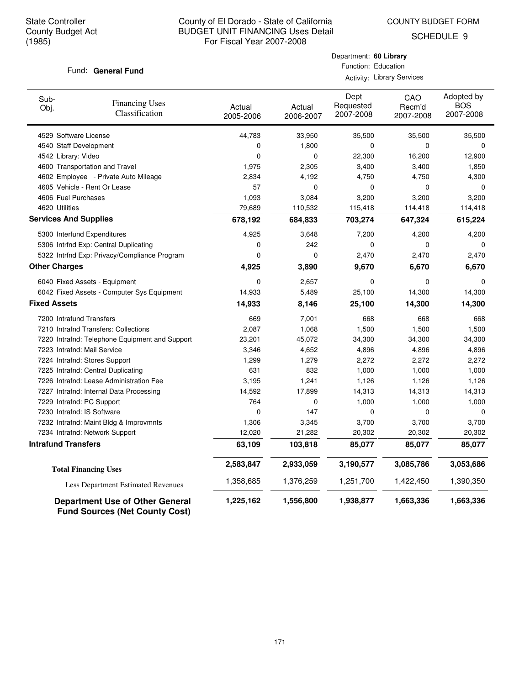COUNTY BUDGET FORM

SCHEDULE 9

## Fund: General Fund

| Department: 60 Library |                     |
|------------------------|---------------------|
|                        | Function: Education |

Activity: Library Services

| Sub-<br>Obj.                 | <b>Financing Uses</b><br>Classification                                         | Actual<br>2005-2006 | Actual<br>2006-2007 | Dept<br>Requested<br>2007-2008 | CAO<br>Recm'd<br>2007-2008 | Adopted by<br><b>BOS</b><br>2007-2008 |
|------------------------------|---------------------------------------------------------------------------------|---------------------|---------------------|--------------------------------|----------------------------|---------------------------------------|
| 4529 Software License        |                                                                                 | 44,783              | 33,950              | 35,500                         | 35,500                     | 35,500                                |
| 4540 Staff Development       |                                                                                 | 0                   | 1,800               | 0                              | 0                          | $\mathbf 0$                           |
| 4542 Library: Video          |                                                                                 | 0                   | 0                   | 22,300                         | 16,200                     | 12,900                                |
|                              | 4600 Transportation and Travel                                                  | 1,975               | 2,305               | 3,400                          | 3,400                      | 1,850                                 |
|                              | 4602 Employee - Private Auto Mileage                                            | 2,834               | 4,192               | 4,750                          | 4,750                      | 4,300                                 |
|                              | 4605 Vehicle - Rent Or Lease                                                    | 57                  | 0                   | 0                              | 0                          | $\Omega$                              |
| 4606 Fuel Purchases          |                                                                                 | 1,093               | 3,084               | 3,200                          | 3,200                      | 3,200                                 |
| 4620 Utilities               |                                                                                 | 79,689              | 110,532             | 115,418                        | 114,418                    | 114,418                               |
| <b>Services And Supplies</b> |                                                                                 | 678,192             | 684,833             | 703,274                        | 647,324                    | 615,224                               |
|                              | 5300 Interfund Expenditures                                                     | 4,925               | 3,648               | 7,200                          | 4,200                      | 4,200                                 |
|                              | 5306 Intrfnd Exp: Central Duplicating                                           | 0                   | 242                 | 0                              | 0                          | 0                                     |
|                              | 5322 Intrfnd Exp: Privacy/Compliance Program                                    | 0                   | 0                   | 2,470                          | 2,470                      | 2,470                                 |
| <b>Other Charges</b>         |                                                                                 | 4,925               | 3,890               | 9,670                          | 6,670                      | 6,670                                 |
|                              | 6040 Fixed Assets - Equipment                                                   | 0                   | 2,657               | 0                              | 0                          | 0                                     |
|                              | 6042 Fixed Assets - Computer Sys Equipment                                      | 14,933              | 5,489               | 25,100                         | 14,300                     | 14,300                                |
| <b>Fixed Assets</b>          |                                                                                 | 14,933              | 8,146               | 25,100                         | 14,300                     | 14,300                                |
| 7200 Intrafund Transfers     |                                                                                 | 669                 | 7,001               | 668                            | 668                        | 668                                   |
|                              | 7210 Intrafnd Transfers: Collections                                            | 2,087               | 1,068               | 1,500                          | 1,500                      | 1,500                                 |
|                              | 7220 Intrafnd: Telephone Equipment and Support                                  | 23,201              | 45,072              | 34,300                         | 34,300                     | 34,300                                |
| 7223 Intrafnd: Mail Service  |                                                                                 | 3,346               | 4,652               | 4,896                          | 4,896                      | 4,896                                 |
|                              | 7224 Intrafnd: Stores Support                                                   | 1,299               | 1,279               | 2,272                          | 2,272                      | 2,272                                 |
|                              | 7225 Intrafnd: Central Duplicating                                              | 631                 | 832                 | 1,000                          | 1,000                      | 1,000                                 |
|                              | 7226 Intrafnd: Lease Administration Fee                                         | 3,195               | 1,241               | 1,126                          | 1,126                      | 1,126                                 |
|                              | 7227 Intrafnd: Internal Data Processing                                         | 14,592              | 17,899              | 14,313                         | 14,313                     | 14,313                                |
| 7229 Intrafnd: PC Support    |                                                                                 | 764                 | 0                   | 1,000                          | 1,000                      | 1,000                                 |
| 7230 Intrafnd: IS Software   |                                                                                 | 0                   | 147                 | 0                              | 0                          | $\mathbf 0$                           |
|                              | 7232 Intrafnd: Maint Bldg & Improvmnts                                          | 1,306               | 3,345               | 3,700                          | 3,700                      | 3,700                                 |
|                              | 7234 Intrafnd: Network Support                                                  | 12,020              | 21,282              | 20,302                         | 20,302                     | 20,302                                |
| <b>Intrafund Transfers</b>   |                                                                                 | 63,109              | 103,818             | 85,077                         | 85,077                     | 85,077                                |
|                              | <b>Total Financing Uses</b>                                                     | 2,583,847           | 2,933,059           | 3,190,577                      | 3,085,786                  | 3,053,686                             |
|                              | Less Department Estimated Revenues                                              | 1,358,685           | 1,376,259           | 1,251,700                      | 1,422,450                  | 1,390,350                             |
|                              | <b>Department Use of Other General</b><br><b>Fund Sources (Net County Cost)</b> | 1,225,162           | 1,556,800           | 1,938,877                      | 1,663,336                  | 1,663,336                             |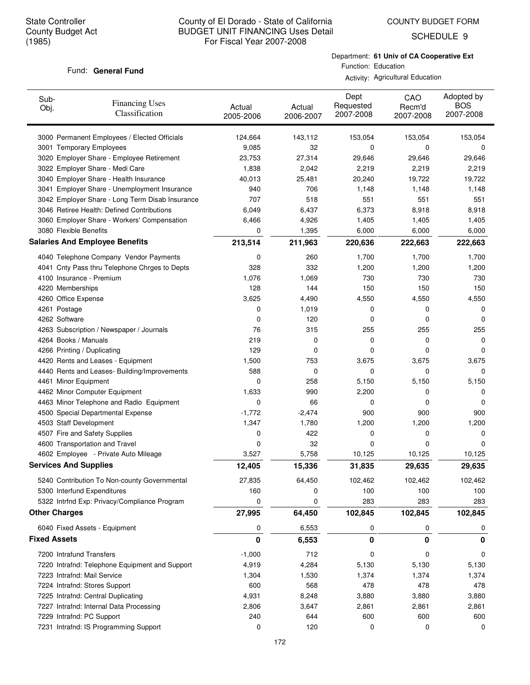SCHEDULE 9

#### Fund: General Fund

Department: **61 Univ of CA Cooperative Ext** Function: Education

Activity: Agricultural Education

| Sub-<br>Obj.         | <b>Financing Uses</b><br>Classification         | Actual<br>2005-2006 | Actual<br>2006-2007 | Dept<br>Requested<br>2007-2008 | CAO<br>Recm'd<br>2007-2008 | Adopted by<br><b>BOS</b><br>2007-2008 |
|----------------------|-------------------------------------------------|---------------------|---------------------|--------------------------------|----------------------------|---------------------------------------|
|                      | 3000 Permanent Employees / Elected Officials    | 124,664             | 143,112             | 153,054                        | 153,054                    | 153,054                               |
|                      | 3001 Temporary Employees                        | 9,085               | 32                  | 0                              | 0                          | 0                                     |
|                      | 3020 Employer Share - Employee Retirement       | 23,753              | 27,314              | 29,646                         | 29,646                     | 29,646                                |
|                      | 3022 Employer Share - Medi Care                 | 1,838               | 2,042               | 2,219                          | 2,219                      | 2,219                                 |
|                      | 3040 Employer Share - Health Insurance          | 40,013              | 25,481              | 20,240                         | 19,722                     | 19,722                                |
|                      | 3041 Employer Share - Unemployment Insurance    | 940                 | 706                 | 1,148                          | 1,148                      | 1,148                                 |
|                      | 3042 Employer Share - Long Term Disab Insurance | 707                 | 518                 | 551                            | 551                        | 551                                   |
|                      | 3046 Retiree Health: Defined Contributions      | 6,049               | 6,437               | 6,373                          | 8,918                      | 8,918                                 |
|                      | 3060 Employer Share - Workers' Compensation     | 6,466               | 4,926               | 1,405                          | 1,405                      | 1,405                                 |
|                      | 3080 Flexible Benefits                          | 0                   | 1,395               | 6,000                          | 6,000                      | 6,000                                 |
|                      | <b>Salaries And Employee Benefits</b>           | 213,514             | 211,963             | 220,636                        | 222,663                    | 222,663                               |
|                      | 4040 Telephone Company Vendor Payments          | 0                   | 260                 | 1,700                          | 1,700                      | 1,700                                 |
|                      | 4041 Cnty Pass thru Telephone Chrges to Depts   | 328                 | 332                 | 1,200                          | 1,200                      | 1,200                                 |
|                      | 4100 Insurance - Premium                        | 1,076               | 1,069               | 730                            | 730                        | 730                                   |
|                      | 4220 Memberships                                | 128                 | 144                 | 150                            | 150                        | 150                                   |
|                      | 4260 Office Expense                             | 3,625               | 4,490               | 4,550                          | 4,550                      | 4,550                                 |
| 4261 Postage         |                                                 | 0                   | 1,019               | 0                              | 0                          | 0                                     |
| 4262 Software        |                                                 | 0                   | 120                 | 0                              | 0                          | 0                                     |
|                      | 4263 Subscription / Newspaper / Journals        | 76                  | 315                 | 255                            | 255                        | 255                                   |
|                      | 4264 Books / Manuals                            | 219                 | 0                   | 0                              | 0                          | 0                                     |
|                      | 4266 Printing / Duplicating                     | 129                 | 0                   | 0                              | 0                          | 0                                     |
|                      | 4420 Rents and Leases - Equipment               | 1,500               | 753                 | 3,675                          | 3,675                      | 3,675                                 |
|                      | 4440 Rents and Leases- Building/Improvements    | 588                 | 0                   | 0                              | 0                          | 0                                     |
|                      | 4461 Minor Equipment                            | 0                   | 258                 | 5,150                          | 5,150                      | 5,150                                 |
|                      | 4462 Minor Computer Equipment                   | 1,633               | 990                 | 2,200                          | 0                          | 0                                     |
|                      | 4463 Minor Telephone and Radio Equipment        | 0                   | 66                  | 0                              | 0                          | 0                                     |
|                      | 4500 Special Departmental Expense               | $-1,772$            | $-2,474$            | 900                            | 900                        | 900                                   |
|                      | 4503 Staff Development                          | 1,347               | 1,780               | 1,200                          | 1,200                      | 1,200                                 |
|                      | 4507 Fire and Safety Supplies                   | 0                   | 422                 | 0                              | 0                          | 0                                     |
|                      | 4600 Transportation and Travel                  | 0                   | 32                  | 0                              | 0                          | 0                                     |
|                      | 4602 Employee - Private Auto Mileage            | 3,527               | 5,758               | 10,125                         | 10,125                     | 10,125                                |
|                      | <b>Services And Supplies</b>                    | 12,405              | 15,336              | 31,835                         | 29,635                     | 29,635                                |
|                      | 5240 Contribution To Non-county Governmental    | 27,835              | 64,450              | 102,462                        | 102,462                    | 102,462                               |
|                      | 5300 Interfund Expenditures                     | 160                 | 0                   | 100                            | 100                        | 100                                   |
|                      | 5322 Intrfnd Exp: Privacy/Compliance Program    | 0                   | 0                   | 283                            | 283                        | 283                                   |
| <b>Other Charges</b> |                                                 | 27,995              | 64,450              | 102,845                        | 102,845                    | 102,845                               |
|                      | 6040 Fixed Assets - Equipment                   | 0                   | 6,553               | 0                              | 0                          | 0                                     |
| <b>Fixed Assets</b>  |                                                 | 0                   | 6,553               | 0                              | 0                          | 0                                     |
|                      | 7200 Intrafund Transfers                        | $-1,000$            | 712                 | 0                              | 0                          | 0                                     |
|                      | 7220 Intrafnd: Telephone Equipment and Support  | 4,919               | 4,284               | 5,130                          | 5,130                      | 5,130                                 |
|                      | 7223 Intrafnd: Mail Service                     | 1,304               | 1,530               | 1,374                          | 1,374                      | 1,374                                 |
|                      | 7224 Intrafnd: Stores Support                   | 600                 | 568                 | 478                            | 478                        | 478                                   |
|                      | 7225 Intrafnd: Central Duplicating              | 4,931               | 8,248               | 3,880                          | 3,880                      | 3,880                                 |
|                      | 7227 Intrafnd: Internal Data Processing         | 2,806               | 3,647               | 2,861                          | 2,861                      | 2,861                                 |
|                      | 7229 Intrafnd: PC Support                       | 240                 | 644                 | 600                            | 600                        | 600                                   |
|                      | 7231 Intrafnd: IS Programming Support           | 0                   | 120                 | 0                              | 0                          | 0                                     |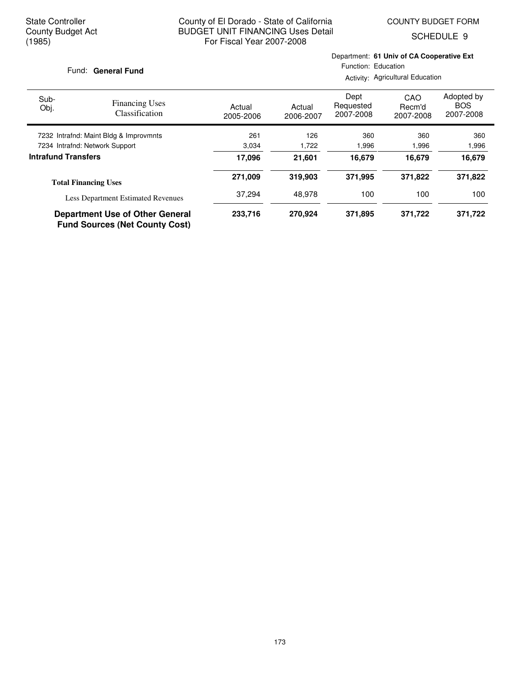SCHEDULE 9

#### Fund: General Fund

Department: **61 Univ of CA Cooperative Ext** Function: Education

Activity: Agricultural Education

| Sub-<br>Obj.               | <b>Financing Uses</b><br><b>Classification</b>                                  | Actual<br>2005-2006 | Actual<br>2006-2007 | Dept<br>Requested<br>2007-2008 | CAO<br>Recm'd<br>2007-2008 | Adopted by<br><b>BOS</b><br>2007-2008 |
|----------------------------|---------------------------------------------------------------------------------|---------------------|---------------------|--------------------------------|----------------------------|---------------------------------------|
|                            | 7232 Intrafnd: Maint Bldg & Improvmnts                                          | 261                 | 126                 | 360                            | 360                        | 360                                   |
|                            | 7234 Intrafnd: Network Support                                                  | 3,034               | 1,722               | 1,996                          | 1,996                      | 1,996                                 |
| <b>Intrafund Transfers</b> |                                                                                 | 17,096              | 21.601              | 16,679                         | 16.679                     | 16,679                                |
|                            | <b>Total Financing Uses</b>                                                     | 271.009             | 319,903             | 371.995                        | 371.822                    | 371,822                               |
|                            | <b>Less Department Estimated Revenues</b>                                       | 37.294              | 48.978              | 100                            | 100                        | 100                                   |
|                            | <b>Department Use of Other General</b><br><b>Fund Sources (Net County Cost)</b> | 233,716             | 270.924             | 371,895                        | 371,722                    | 371,722                               |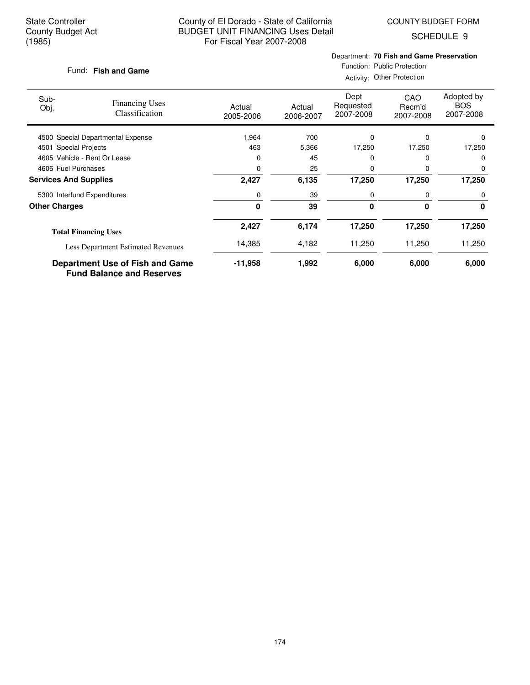COUNTY BUDGET FORM

SCHEDULE 9

### **Fish and Game** Fund:

## Department: **70 Fish and Game Preservation**

Function: Public Protection Activity: Other Protection

| Sub-<br>Obj.                 | <b>Financing Uses</b><br><b>Classification</b>                             | Actual<br>2005-2006 | Actual<br>2006-2007 | Dept<br>Requested<br>2007-2008 | CAO<br>Recm'd<br>2007-2008 | Adopted by<br><b>BOS</b><br>2007-2008 |
|------------------------------|----------------------------------------------------------------------------|---------------------|---------------------|--------------------------------|----------------------------|---------------------------------------|
|                              | 4500 Special Departmental Expense                                          | 1,964               | 700                 | 0                              | $\Omega$                   | $\Omega$                              |
| 4501 Special Projects        |                                                                            | 463                 | 5,366               | 17,250                         | 17,250                     | 17,250                                |
|                              | 4605 Vehicle - Rent Or Lease                                               | 0                   | 45                  | 0                              |                            | $\Omega$                              |
| 4606 Fuel Purchases          |                                                                            | 0                   | 25                  | 0                              | $\Omega$                   | 0                                     |
| <b>Services And Supplies</b> |                                                                            | 2,427               | 6,135               | 17,250                         | 17,250                     | 17,250                                |
|                              | 5300 Interfund Expenditures                                                | 0                   | 39                  | 0                              | 0                          | 0                                     |
| <b>Other Charges</b>         |                                                                            | $\bf{0}$            | 39                  | 0                              | $\bf{0}$                   | 0                                     |
|                              | <b>Total Financing Uses</b>                                                | 2,427               | 6,174               | 17,250                         | 17,250                     | 17,250                                |
|                              | <b>Less Department Estimated Revenues</b>                                  | 14,385              | 4,182               | 11,250                         | 11,250                     | 11,250                                |
|                              | <b>Department Use of Fish and Game</b><br><b>Fund Balance and Reserves</b> | -11,958             | 1,992               | 6,000                          | 6,000                      | 6,000                                 |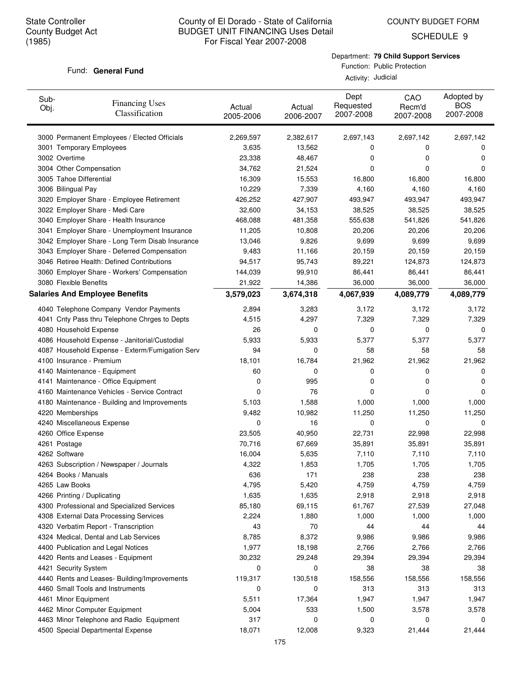COUNTY BUDGET FORM

SCHEDULE 9

#### Department: **79 Child Support Services**

#### Fund: General Fund

Function: Public Protection Activity: Judicial

| Sub-<br>Obj. | <b>Financing Uses</b><br>Classification         | Actual<br>2005-2006 | Actual<br>2006-2007 | Dept<br>Requested<br>2007-2008 | CAO<br>Recm'd<br>2007-2008 | Adopted by<br><b>BOS</b><br>2007-2008 |
|--------------|-------------------------------------------------|---------------------|---------------------|--------------------------------|----------------------------|---------------------------------------|
|              | 3000 Permanent Employees / Elected Officials    | 2,269,597           | 2,382,617           | 2,697,143                      | 2,697,142                  | 2,697,142                             |
|              | 3001 Temporary Employees                        | 3,635               | 13,562              | 0                              | 0                          | 0                                     |
|              | 3002 Overtime                                   | 23,338              | 48,467              | 0                              | 0                          | 0                                     |
|              | 3004 Other Compensation                         | 34,762              | 21,524              | 0                              | 0                          | 0                                     |
|              | 3005 Tahoe Differential                         | 16,309              | 15,553              | 16,800                         | 16,800                     | 16,800                                |
|              | 3006 Bilingual Pay                              | 10,229              | 7,339               | 4,160                          | 4,160                      | 4,160                                 |
|              | 3020 Employer Share - Employee Retirement       | 426,252             | 427,907             | 493,947                        | 493,947                    | 493,947                               |
|              | 3022 Employer Share - Medi Care                 | 32,600              | 34,153              | 38,525                         | 38,525                     | 38,525                                |
|              | 3040 Employer Share - Health Insurance          | 468,088             | 481,358             | 555,638                        | 541,826                    | 541,826                               |
|              | 3041 Employer Share - Unemployment Insurance    | 11,205              | 10,808              | 20,206                         | 20,206                     | 20,206                                |
|              | 3042 Employer Share - Long Term Disab Insurance | 13,046              | 9,826               | 9,699                          | 9,699                      | 9,699                                 |
|              | 3043 Employer Share - Deferred Compensation     | 9,483               | 11,166              | 20,159                         | 20,159                     | 20,159                                |
|              | 3046 Retiree Health: Defined Contributions      | 94,517              | 95,743              | 89,221                         | 124,873                    | 124,873                               |
|              | 3060 Employer Share - Workers' Compensation     | 144,039             | 99,910              | 86,441                         | 86,441                     | 86,441                                |
|              | 3080 Flexible Benefits                          | 21,922              | 14,386              | 36,000                         | 36,000                     | 36,000                                |
|              | <b>Salaries And Employee Benefits</b>           | 3,579,023           | 3,674,318           | 4,067,939                      | 4,089,779                  | 4,089,779                             |
|              | 4040 Telephone Company Vendor Payments          | 2,894               | 3,283               | 3,172                          | 3,172                      | 3,172                                 |
|              | 4041 Cnty Pass thru Telephone Chrges to Depts   | 4,515               | 4,297               | 7,329                          | 7,329                      | 7,329                                 |
|              | 4080 Household Expense                          | 26                  | 0                   | 0                              | 0                          | 0                                     |
|              | 4086 Household Expense - Janitorial/Custodial   | 5,933               | 5,933               | 5,377                          | 5,377                      | 5,377                                 |
|              | 4087 Household Expense - Exterm/Fumigation Serv | 94                  | 0                   | 58                             | 58                         | 58                                    |
|              | 4100 Insurance - Premium                        | 18,101              | 16,784              | 21,962                         | 21,962                     | 21,962                                |
|              | 4140 Maintenance - Equipment                    | 60                  | 0                   | 0                              | 0                          | 0                                     |
|              | 4141 Maintenance - Office Equipment             | 0                   | 995                 | 0                              | 0                          | 0                                     |
|              | 4160 Maintenance Vehicles - Service Contract    | 0                   | 76                  | 0                              | 0                          | 0                                     |
|              | 4180 Maintenance - Building and Improvements    | 5,103               | 1,588               | 1,000                          | 1,000                      | 1,000                                 |
|              | 4220 Memberships                                | 9,482               | 10,982              | 11,250                         | 11,250                     | 11,250                                |
|              | 4240 Miscellaneous Expense                      | 0                   | 16                  | 0                              | 0                          | 0                                     |
|              | 4260 Office Expense                             | 23,505              | 40,950              | 22,731                         | 22,998                     | 22,998                                |
|              | 4261 Postage                                    | 70,716              | 67,669              | 35,891                         | 35,891                     | 35,891                                |
|              | 4262 Software                                   | 16,004              | 5,635               | 7,110                          | 7,110                      | 7,110                                 |
|              | 4263 Subscription / Newspaper / Journals        | 4,322               | 1,853               | 1,705                          | 1,705                      | 1,705                                 |
|              | 4264 Books / Manuals                            | 636                 | 171                 | 238                            | 238                        | 238                                   |
|              | 4265 Law Books                                  | 4,795               | 5,420               | 4,759                          | 4,759                      | 4,759                                 |
|              | 4266 Printing / Duplicating                     | 1,635               | 1,635               | 2,918                          | 2,918                      | 2,918                                 |
|              | 4300 Professional and Specialized Services      | 85,180              | 69,115              | 61,767                         | 27,539                     | 27,048                                |
|              | 4308 External Data Processing Services          | 2,224               | 1,880               | 1,000                          | 1,000                      | 1,000                                 |
|              | 4320 Verbatim Report - Transcription            | 43                  | 70                  | 44                             | 44                         | 44                                    |
|              | 4324 Medical, Dental and Lab Services           | 8,785               | 8,372               | 9,986                          | 9,986                      | 9,986                                 |
|              | 4400 Publication and Legal Notices              | 1,977               | 18,198              | 2,766                          | 2,766                      | 2,766                                 |
|              | 4420 Rents and Leases - Equipment               | 30,232              | 29,248              | 29,394                         | 29,394                     | 29,394                                |
|              | 4421 Security System                            | 0                   | 0                   | 38                             | 38                         | 38                                    |
|              | 4440 Rents and Leases- Building/Improvements    | 119,317             | 130,518             | 158,556                        | 158,556                    | 158,556                               |
|              | 4460 Small Tools and Instruments                | 0                   | 0                   | 313                            | 313                        | 313                                   |
|              | 4461 Minor Equipment                            | 5,511               | 17,364              | 1,947                          | 1,947                      | 1,947                                 |
|              | 4462 Minor Computer Equipment                   | 5,004               | 533                 | 1,500                          | 3,578                      | 3,578                                 |
|              | 4463 Minor Telephone and Radio Equipment        | 317                 | 0                   | 0                              | 0                          | 0                                     |
|              | 4500 Special Departmental Expense               | 18,071              | 12,008              | 9,323                          | 21,444                     | 21,444                                |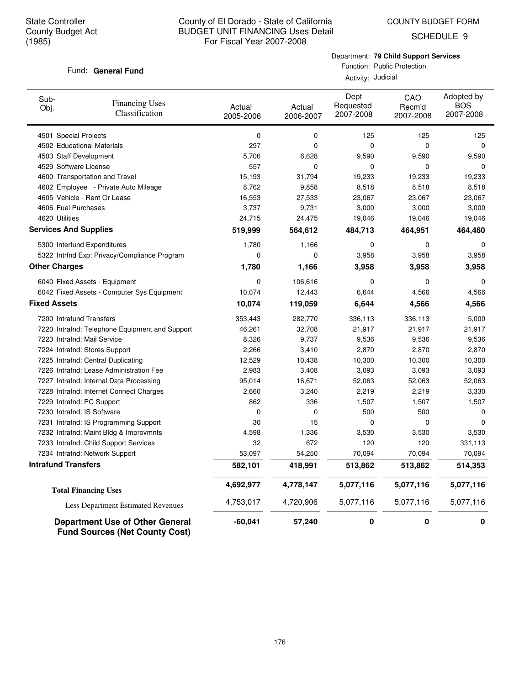COUNTY BUDGET FORM

SCHEDULE 9

## Fund: General Fund

Department: **79 Child Support Services**

Function: Public Protection Activity: Judicial

| Sub-<br>Obj.         | <b>Financing Uses</b><br>Classification                                  | Actual<br>2005-2006 | Actual<br>2006-2007 | Dept<br>Requested<br>2007-2008 | CAO<br>Recm'd<br>2007-2008 | Adopted by<br><b>BOS</b><br>2007-2008 |
|----------------------|--------------------------------------------------------------------------|---------------------|---------------------|--------------------------------|----------------------------|---------------------------------------|
|                      | 4501 Special Projects                                                    | 0                   | 0                   | 125                            | 125                        | 125                                   |
|                      | 4502 Educational Materials                                               | 297                 | $\mathbf 0$         | 0                              | $\mathbf 0$                | $\mathbf 0$                           |
|                      | 4503 Staff Development                                                   | 5,706               | 6,628               | 9,590                          | 9,590                      | 9,590                                 |
|                      | 4529 Software License                                                    | 557                 | 0                   | 0                              | 0                          | 0                                     |
|                      | 4600 Transportation and Travel                                           | 15,193              | 31,794              | 19,233                         | 19,233                     | 19,233                                |
|                      | 4602 Employee - Private Auto Mileage                                     | 8,762               | 9,858               | 8,518                          | 8,518                      | 8,518                                 |
|                      | 4605 Vehicle - Rent Or Lease                                             | 16,553              | 27,533              | 23,067                         | 23,067                     | 23,067                                |
|                      | 4606 Fuel Purchases                                                      | 3,737               | 9,731               | 3,000                          | 3,000                      | 3,000                                 |
|                      | 4620 Utilities                                                           | 24,715              | 24,475              | 19,046                         | 19,046                     | 19,046                                |
|                      | <b>Services And Supplies</b>                                             | 519,999             | 564,612             | 484,713                        | 464,951                    | 464,460                               |
|                      | 5300 Interfund Expenditures                                              | 1,780               | 1,166               | 0                              | $\mathbf 0$                | 0                                     |
|                      | 5322 Intrfnd Exp: Privacy/Compliance Program                             | 0                   | 0                   | 3,958                          | 3,958                      | 3,958                                 |
| <b>Other Charges</b> |                                                                          | 1,780               | 1,166               | 3,958                          | 3,958                      | 3,958                                 |
|                      | 6040 Fixed Assets - Equipment                                            | 0                   | 106,616             | $\mathbf 0$                    | $\mathbf 0$                | 0                                     |
|                      | 6042 Fixed Assets - Computer Sys Equipment                               | 10,074              | 12,443              | 6,644                          | 4,566                      | 4,566                                 |
| <b>Fixed Assets</b>  |                                                                          | 10,074              | 119,059             | 6,644                          | 4,566                      | 4,566                                 |
|                      | 7200 Intrafund Transfers                                                 | 353,443             | 282,770             | 336,113                        | 336,113                    | 5,000                                 |
|                      | 7220 Intrafnd: Telephone Equipment and Support                           | 46,261              | 32,708              | 21,917                         | 21,917                     | 21,917                                |
|                      | 7223 Intrafnd: Mail Service                                              | 8,326               | 9,737               | 9,536                          | 9,536                      | 9,536                                 |
|                      | 7224 Intrafnd: Stores Support                                            | 2,266               | 3,410               | 2,870                          | 2,870                      | 2,870                                 |
|                      | 7225 Intrafnd: Central Duplicating                                       | 12,529              | 10,438              | 10,300                         | 10,300                     | 10,300                                |
|                      | 7226 Intrafnd: Lease Administration Fee                                  | 2,983               | 3,408               | 3,093                          | 3,093                      | 3,093                                 |
|                      | 7227 Intrafnd: Internal Data Processing                                  | 95,014              | 16,671              | 52,063                         | 52,063                     | 52,063                                |
|                      | 7228 Intrafnd: Internet Connect Charges                                  | 2,660               | 3,240               | 2,219                          | 2,219                      | 3,330                                 |
|                      | 7229 Intrafnd: PC Support                                                | 862                 | 336                 | 1,507                          | 1,507                      | 1,507                                 |
|                      | 7230 Intrafnd: IS Software                                               | 0                   | $\mathbf 0$         | 500                            | 500                        | 0                                     |
|                      | 7231 Intrafnd: IS Programming Support                                    | 30                  | 15                  | $\mathbf 0$                    | $\Omega$                   | $\Omega$                              |
|                      | 7232 Intrafnd: Maint Bldg & Improvmnts                                   | 4,598               | 1,336               | 3,530                          | 3,530                      | 3,530                                 |
|                      | 7233 Intrafnd: Child Support Services                                    | 32                  | 672                 | 120                            | 120                        | 331,113                               |
|                      | 7234 Intrafnd: Network Support                                           | 53,097              | 54,250              | 70,094                         | 70,094                     | 70,094                                |
|                      | <b>Intrafund Transfers</b>                                               | 582,101             | 418,991             | 513,862                        | 513,862                    | 514,353                               |
|                      | <b>Total Financing Uses</b>                                              | 4,692,977           | 4,778,147           | 5,077,116                      | 5,077,116                  | 5,077,116                             |
|                      | Less Department Estimated Revenues                                       | 4,753,017           | 4,720,906           | 5,077,116                      | 5,077,116                  | 5,077,116                             |
|                      | Department Use of Other General<br><b>Fund Sources (Net County Cost)</b> | $-60,041$           | 57,240              | 0                              | 0                          | 0                                     |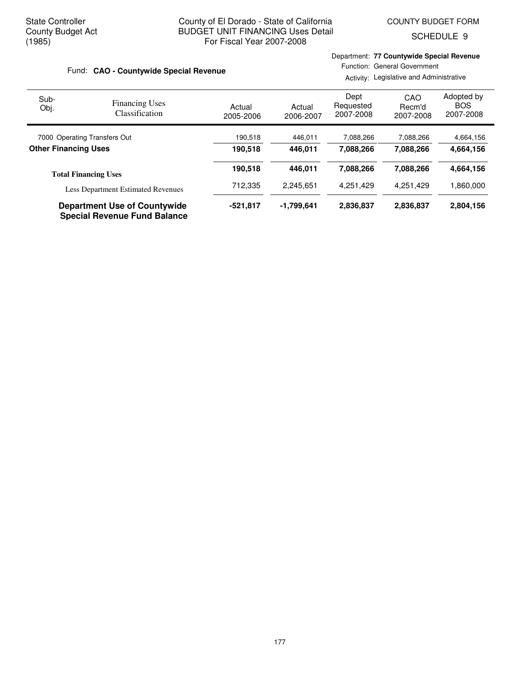**Total Financing Uses**

## County of El Dorado - State of California BUDGET UNIT FINANCING Uses Detail For Fiscal Year 2007-2008

Department: **77 Countywide Special Revenue**

SCHEDULE 9

#### Actual 2005-2006 Actual 2006-2007 Dept Requested 2007-2008 Adopted by **BOS**  2007-2008 **CAO - Countywide Special Revenue** Fund: Sub-Obj. Function: General Government Activity: Legislative and Administrative CAO Recm'd 2007-2008 Financing Uses Classification 7000 Operating Transfers Out 190,518 446,011 7,088,266 7,088,266 4,664,156 **Other Financing Uses 190,518 446,011 7,088,266 7,088,266 4,664,156 190,518 446,011 7,088,266 4,664,156 7,088,266**

| <b>Less Department Estimated Revenues</b>                                  | 712.335    | 2.245.651  | 4.251.429 | 4.251.429 | 860.000. ا |
|----------------------------------------------------------------------------|------------|------------|-----------|-----------|------------|
| <b>Department Use of Countywide</b><br><b>Special Revenue Fund Balance</b> | $-521.817$ | -1.799.641 | 2.836.837 | 2.836.837 | 2.804.156  |

177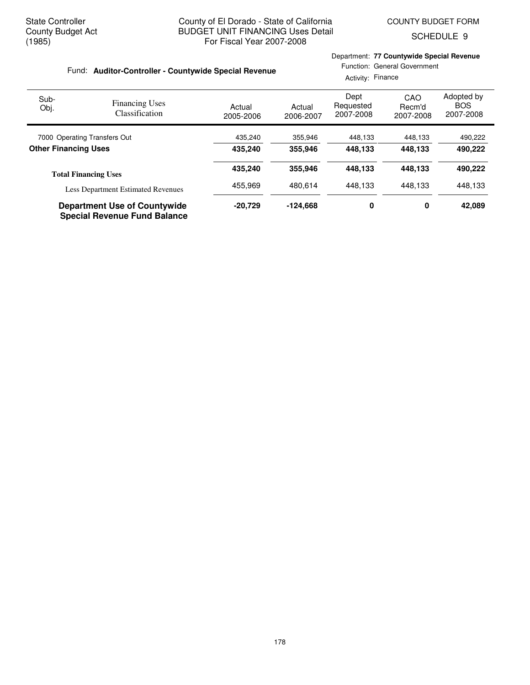SCHEDULE 9

|                             | Fund: Auditor-Controller - Countywide Special Revenue                      |                     | Department: 77 Countywide Special Revenue<br>Activity: Finance | Function: General Government   |                            |                                       |
|-----------------------------|----------------------------------------------------------------------------|---------------------|----------------------------------------------------------------|--------------------------------|----------------------------|---------------------------------------|
| Sub-<br>Obj.                | <b>Financing Uses</b><br><b>Classification</b>                             | Actual<br>2005-2006 | Actual<br>2006-2007                                            | Dept<br>Requested<br>2007-2008 | CAO<br>Recm'd<br>2007-2008 | Adopted by<br><b>BOS</b><br>2007-2008 |
|                             | 7000 Operating Transfers Out                                               | 435,240             | 355,946                                                        | 448,133                        | 448,133                    | 490,222                               |
| <b>Other Financing Uses</b> |                                                                            | 435,240             | 355,946                                                        | 448,133                        | 448,133                    | 490,222                               |
|                             | <b>Total Financing Uses</b>                                                | 435,240             | 355,946                                                        | 448.133                        | 448.133                    | 490,222                               |
|                             | <b>Less Department Estimated Revenues</b>                                  | 455,969             | 480.614                                                        | 448.133                        | 448.133                    | 448,133                               |
|                             | <b>Department Use of Countywide</b><br><b>Special Revenue Fund Balance</b> | $-20,729$           | $-124,668$                                                     | 0                              | 0                          | 42,089                                |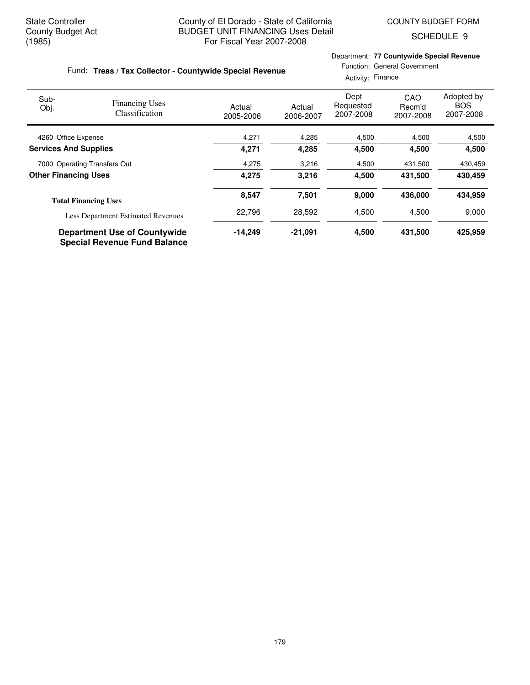Department: **77 Countywide Special Revenue**

Function: General Government

SCHEDULE 9

## Fund: Treas / Tax Collector - Countywide Special Revenue

|                              |                                                                            |                     |                     | Activity: Finance              |                            |                                       |
|------------------------------|----------------------------------------------------------------------------|---------------------|---------------------|--------------------------------|----------------------------|---------------------------------------|
| Sub-<br>Obj.                 | <b>Financing Uses</b><br><b>Classification</b>                             | Actual<br>2005-2006 | Actual<br>2006-2007 | Dept<br>Requested<br>2007-2008 | CAO<br>Recm'd<br>2007-2008 | Adopted by<br><b>BOS</b><br>2007-2008 |
| 4260 Office Expense          |                                                                            | 4,271               | 4,285               | 4,500                          | 4,500                      | 4,500                                 |
| <b>Services And Supplies</b> |                                                                            | 4,271               | 4,285               | 4,500                          | 4,500                      | 4,500                                 |
|                              | 7000 Operating Transfers Out                                               | 4,275               | 3,216               | 4,500                          | 431,500                    | 430,459                               |
| <b>Other Financing Uses</b>  |                                                                            | 4,275               | 3,216               | 4,500                          | 431,500                    | 430.459                               |
|                              | <b>Total Financing Uses</b>                                                | 8,547               | 7,501               | 9,000                          | 436,000                    | 434,959                               |
|                              | <b>Less Department Estimated Revenues</b>                                  | 22,796              | 28,592              | 4,500                          | 4,500                      | 9,000                                 |
|                              | <b>Department Use of Countywide</b><br><b>Special Revenue Fund Balance</b> | $-14,249$           | $-21,091$           | 4,500                          | 431,500                    | 425,959                               |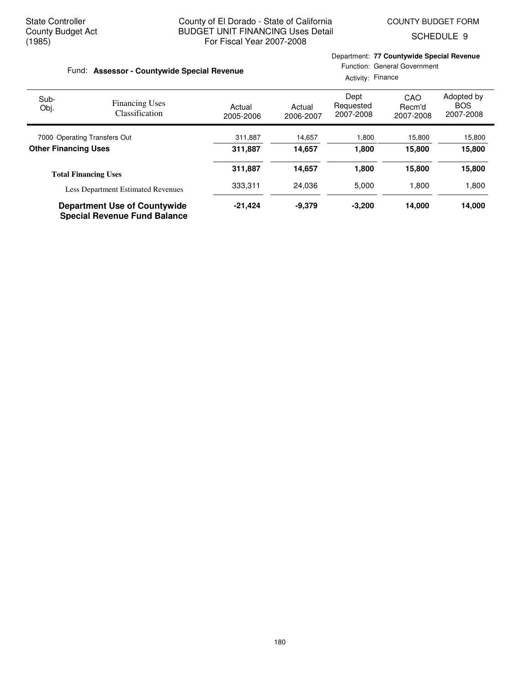SCHEDULE 9

| Fund: Assessor - Countywide Special Revenue |                                                                            |                     |                     | Department: 77 Countywide Special Revenue<br>Activity: Finance | Function: General Government |                                       |
|---------------------------------------------|----------------------------------------------------------------------------|---------------------|---------------------|----------------------------------------------------------------|------------------------------|---------------------------------------|
| Sub-<br>Obj.                                | <b>Financing Uses</b><br>Classification                                    | Actual<br>2005-2006 | Actual<br>2006-2007 | Dept<br>Requested<br>2007-2008                                 | CAO<br>Recm'd<br>2007-2008   | Adopted by<br><b>BOS</b><br>2007-2008 |
|                                             | 7000 Operating Transfers Out                                               | 311,887             | 14,657              | 1,800                                                          | 15,800                       | 15,800                                |
| <b>Other Financing Uses</b>                 |                                                                            | 311,887             | 14,657              | 1.800                                                          | 15,800                       | 15,800                                |
|                                             | <b>Total Financing Uses</b>                                                | 311,887             | 14,657              | 1,800                                                          | 15,800                       | 15,800                                |
|                                             | <b>Less Department Estimated Revenues</b>                                  | 333,311             | 24,036              | 5,000                                                          | 1,800                        | 1,800                                 |
|                                             | <b>Department Use of Countywide</b><br><b>Special Revenue Fund Balance</b> | $-21,424$           | $-9,379$            | $-3,200$                                                       | 14,000                       | 14,000                                |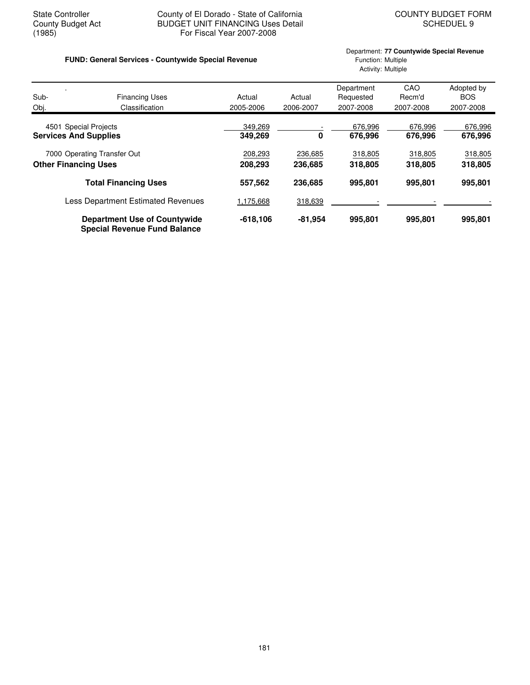## State Controller County of El Dorado - State of California<br>County Budget Act BUDGET UNIT FINANCING Uses Detail<br>SCHEDUEL 9 County Budget Act BUDGET UNIT FINANCING Uses Detail<br>(1985) For Fiscal Year 2007-2008 For Fiscal Year 2007-2008

## **FUND: General Services - Countywide Special Revenue** Function: Multiple

# Department: **77 Countywide Special Revenue** Activity: Multiple

| Sub-                         | <b>Financing Uses</b>                                                      | Actual             | Actual    | Department<br>Requested | CAO<br>Recm'd      | Adopted by<br><b>BOS</b> |
|------------------------------|----------------------------------------------------------------------------|--------------------|-----------|-------------------------|--------------------|--------------------------|
| Obj.                         | Classification                                                             | 2005-2006          | 2006-2007 | 2007-2008               | 2007-2008          | 2007-2008                |
| <b>Services And Supplies</b> | 4501 Special Projects                                                      | 349,269<br>349,269 | 0         | 676,996<br>676,996      | 676,996<br>676,996 | 676,996<br>676,996       |
|                              | 7000 Operating Transfer Out                                                | 208,293            | 236,685   | 318,805                 | 318,805            | 318,805                  |
| <b>Other Financing Uses</b>  |                                                                            | 208,293            | 236,685   | 318,805                 | 318,805            | 318,805                  |
|                              | <b>Total Financing Uses</b>                                                | 557,562            | 236,685   | 995,801                 | 995,801            | 995,801                  |
|                              | Less Department Estimated Revenues                                         | 1,175,668          | 318,639   |                         |                    |                          |
|                              | <b>Department Use of Countywide</b><br><b>Special Revenue Fund Balance</b> | $-618,106$         | $-81,954$ | 995,801                 | 995,801            | 995,801                  |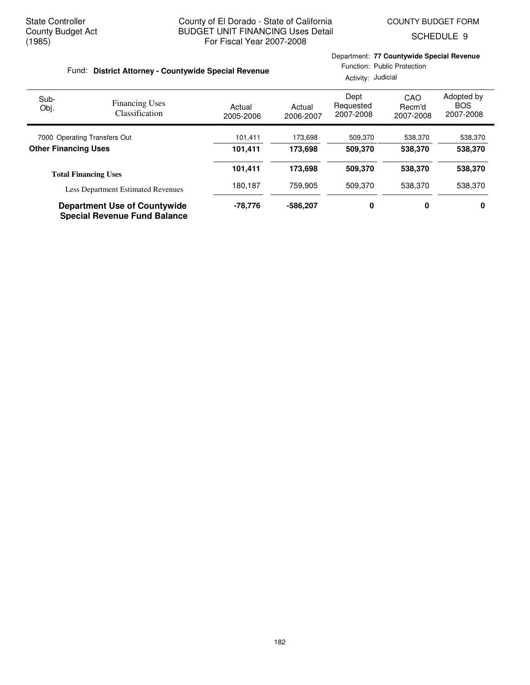SCHEDULE 9

| Fund: District Attorney - Countywide Special Revenue |                                                                            |                     | Department: 77 Countywide Special Revenue<br>Function: Public Protection<br>Activity: Judicial |                                |                            |                                       |  |
|------------------------------------------------------|----------------------------------------------------------------------------|---------------------|------------------------------------------------------------------------------------------------|--------------------------------|----------------------------|---------------------------------------|--|
| Sub-<br>Obj.                                         | <b>Financing Uses</b><br><b>Classification</b>                             | Actual<br>2005-2006 | Actual<br>2006-2007                                                                            | Dept<br>Requested<br>2007-2008 | CAO<br>Recm'd<br>2007-2008 | Adopted by<br><b>BOS</b><br>2007-2008 |  |
| 7000 Operating Transfers Out                         |                                                                            | 101,411             | 173,698                                                                                        | 509,370                        | 538,370                    | 538,370                               |  |
| <b>Other Financing Uses</b>                          |                                                                            | 101,411             | 173.698<br>509.370<br>538,370                                                                  |                                | 538,370                    |                                       |  |
|                                                      | <b>Total Financing Uses</b>                                                | 101,411             | 173,698                                                                                        | 509,370                        | 538,370                    | 538,370                               |  |
|                                                      | Less Department Estimated Revenues                                         | 180,187             | 759.905                                                                                        | 509.370                        | 538.370                    | 538,370                               |  |
|                                                      | <b>Department Use of Countywide</b><br><b>Special Revenue Fund Balance</b> | $-78,776$           | -586.207                                                                                       | 0                              | 0                          | 0                                     |  |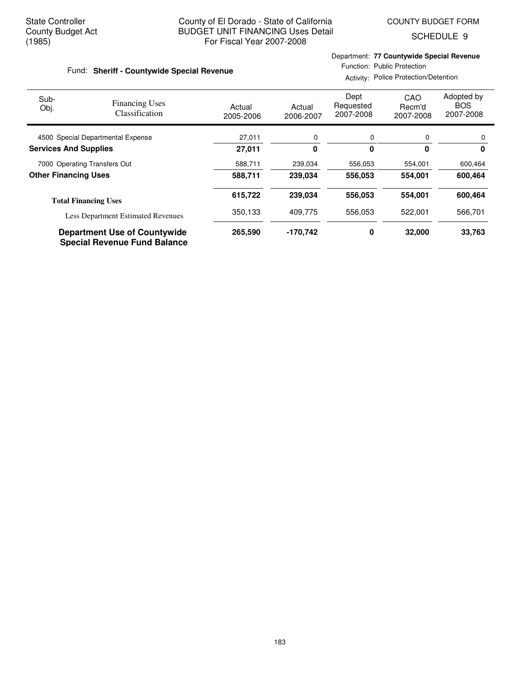SCHEDULE 9

#### Fund: Sheriff - Countywide Special Revenue

Department: **77 Countywide Special Revenue** Function: Public Protection

Activity: Police Protection/Detention

| Sub-<br>Obj.                 | <b>Financing Uses</b><br>Classification                                    | Actual<br>2005-2006 | Actual<br>2006-2007 | Dept<br>Requested<br>2007-2008 | CAO<br>Recm'd<br>2007-2008 | Adopted by<br><b>BOS</b><br>2007-2008 |
|------------------------------|----------------------------------------------------------------------------|---------------------|---------------------|--------------------------------|----------------------------|---------------------------------------|
|                              | 4500 Special Departmental Expense                                          | 27,011              | 0                   | 0                              | 0                          |                                       |
| <b>Services And Supplies</b> |                                                                            | 27,011              | 0                   | 0                              | 0                          | 0                                     |
|                              | 7000 Operating Transfers Out                                               | 588,711             | 239,034             | 556,053                        | 554,001                    | 600,464                               |
| <b>Other Financing Uses</b>  |                                                                            | 588,711             | 239,034             | 556,053                        | 554,001                    | 600,464                               |
|                              | <b>Total Financing Uses</b>                                                | 615,722             | 239,034             | 556,053                        | 554,001                    | 600,464                               |
|                              | <b>Less Department Estimated Revenues</b>                                  | 350,133             | 409,775             | 556,053                        | 522,001                    | 566,701                               |
|                              | <b>Department Use of Countywide</b><br><b>Special Revenue Fund Balance</b> | 265,590             | -170,742            | 0                              | 32,000                     | 33,763                                |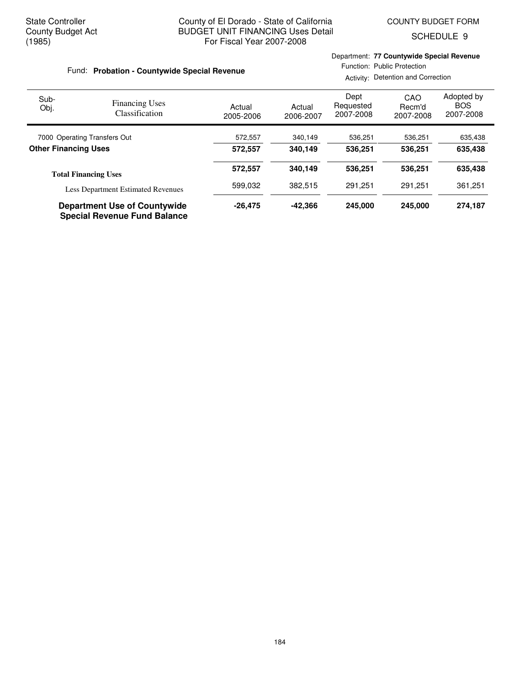Department: **77 Countywide Special Revenue**

SCHEDULE 9

| Fund: Probation - Countywide Special Revenue |                                           |                     | Function: Public Protection<br>Activity: Detention and Correction |                                |                            |                                       |
|----------------------------------------------|-------------------------------------------|---------------------|-------------------------------------------------------------------|--------------------------------|----------------------------|---------------------------------------|
| Sub-<br>Obj.                                 | <b>Financing Uses</b><br>Classification   | Actual<br>2005-2006 | Actual<br>2006-2007                                               | Dept<br>Requested<br>2007-2008 | CAO<br>Recm'd<br>2007-2008 | Adopted by<br><b>BOS</b><br>2007-2008 |
|                                              | 7000 Operating Transfers Out              | 572,557             | 340,149                                                           | 536,251                        | 536,251                    | 635,438                               |
| <b>Other Financing Uses</b>                  |                                           | 572.557             | 340.149                                                           | 536.251                        | 536.251                    | 635,438                               |
|                                              | <b>Total Financing Uses</b>               | 572.557             | 340.149                                                           | 536.251                        | 536.251                    | 635,438                               |
|                                              | <b>Less Department Estimated Revenues</b> | 599.032             | 382.515                                                           | 291.251                        | 291.251                    | 361,251                               |
|                                              | <b>Department Use of Countywide</b>       | $-26.475$           | $-42.366$                                                         | 245.000                        | 245,000                    | 274.187                               |

**Special Revenue Fund Balance**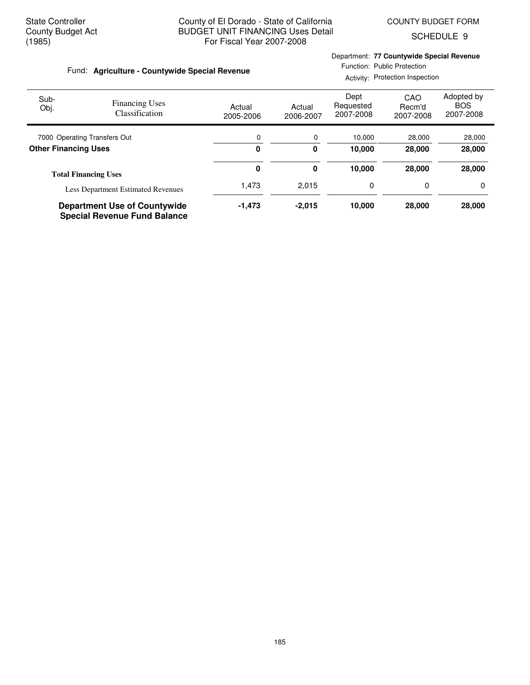Department: **77 Countywide Special Revenue**

SCHEDULE 9

#### Function: Public Protection Fund: Agriculture - Countywide Special Revenue Activity: Protection Inspection Dept Adopted by CAO Sub-Financing Uses Requested **BOS** Obj. Actual Actual Recm'd Classification 2007-2008 2007-2008 2007-2008 2005-2006 2006-2007 r

| 7000 Operating Transfers Out              | 0      | 0        | 10.000 | 28,000 | 28,000 |
|-------------------------------------------|--------|----------|--------|--------|--------|
| <b>Other Financing Uses</b>               | 0      | 0        | 10.000 | 28,000 | 28,000 |
| <b>Total Financing Uses</b>               | 0      | 0        | 10.000 | 28,000 | 28,000 |
| <b>Less Department Estimated Revenues</b> | 1.473  | 2.015    | 0      |        | 0      |
| <b>Department Use of Countywide</b>       | -1,473 | $-2.015$ | 10.000 | 28,000 | 28,000 |

**Special Revenue Fund Balance**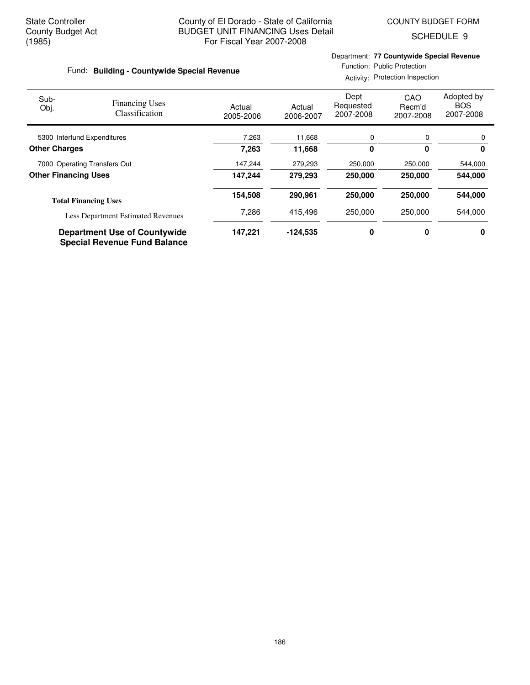SCHEDULE 9

#### Fund: Building - Countywide Special Revenue

Department: **77 Countywide Special Revenue** Function: Public Protection

Activity: Protection Inspection

| Sub-<br>Obj.                | <b>Financing Uses</b><br>Classification                                    | Actual<br>2005-2006 | Actual<br>2006-2007 | Dept<br>Requested<br>2007-2008 | CAO<br>Recm'd<br>2007-2008 | Adopted by<br><b>BOS</b><br>2007-2008 |
|-----------------------------|----------------------------------------------------------------------------|---------------------|---------------------|--------------------------------|----------------------------|---------------------------------------|
|                             | 5300 Interfund Expenditures                                                | 7,263               | 11,668              | 0                              | 0                          | 0                                     |
| <b>Other Charges</b>        |                                                                            | 7,263               | 11,668              | 0                              | 0                          | 0                                     |
|                             | 7000 Operating Transfers Out                                               | 147,244             | 279,293             | 250,000                        | 250,000                    | 544,000                               |
| <b>Other Financing Uses</b> |                                                                            | 147.244             | 279,293             | 250,000                        | 250,000                    | 544,000                               |
|                             | <b>Total Financing Uses</b>                                                | 154,508             | 290,961             | 250,000                        | 250,000                    | 544,000                               |
|                             | <b>Less Department Estimated Revenues</b>                                  | 7,286               | 415,496             | 250,000                        | 250,000                    | 544.000                               |
|                             | <b>Department Use of Countywide</b><br><b>Special Revenue Fund Balance</b> | 147,221             | $-124.535$          | 0                              | 0                          | 0                                     |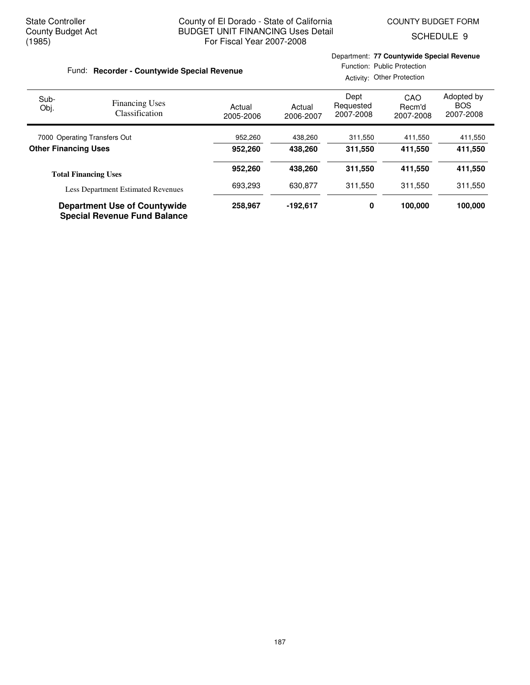Department: **77 Countywide Special Revenue**

SCHEDULE 9

| Fund: Recorder - Countywide Special Revenue |                                                                            |                     | Function: Public Protection<br>Activity: Other Protection |                                |                            |                                       |
|---------------------------------------------|----------------------------------------------------------------------------|---------------------|-----------------------------------------------------------|--------------------------------|----------------------------|---------------------------------------|
| Sub-<br>Obj.                                | <b>Financing Uses</b><br>Classification                                    | Actual<br>2005-2006 | Actual<br>2006-2007                                       | Dept<br>Requested<br>2007-2008 | CAO<br>Recm'd<br>2007-2008 | Adopted by<br><b>BOS</b><br>2007-2008 |
|                                             | 7000 Operating Transfers Out                                               | 952,260             | 438,260                                                   | 311,550                        | 411,550                    | 411,550                               |
| <b>Other Financing Uses</b>                 |                                                                            | 952.260             | 438.260                                                   | 311.550                        | 411.550                    | 411,550                               |
|                                             | <b>Total Financing Uses</b>                                                | 952,260             | 438.260                                                   | 311.550                        | 411,550                    | 411,550                               |
|                                             | <b>Less Department Estimated Revenues</b>                                  | 693,293             | 630.877                                                   | 311.550                        | 311.550                    | 311,550                               |
|                                             | <b>Department Use of Countywide</b><br><b>Special Revenue Fund Balance</b> | 258,967             | $-192.617$                                                | 0                              | 100,000                    | 100,000                               |

187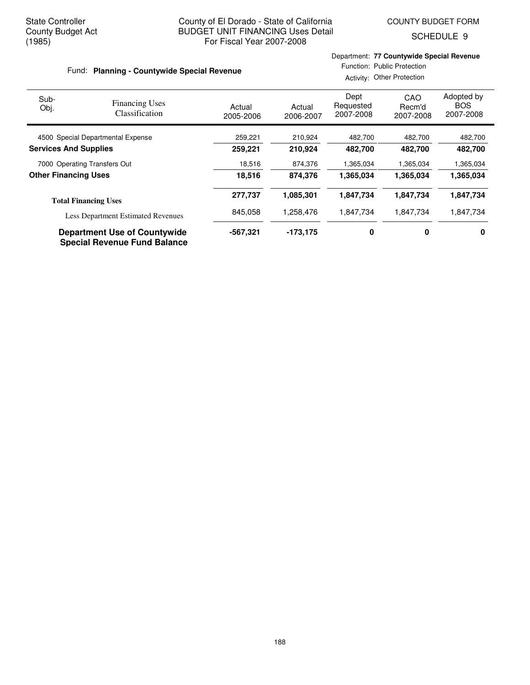SCHEDULE 9

#### Fund: Planning - Countywide Special Revenue

## Department: **77 Countywide Special Revenue** Function: Public Protection

Activity: Other Protection

| Sub-<br>Obj.                 | <b>Financing Uses</b><br>Classification                                    | Actual<br>2005-2006 | Actual<br>2006-2007 | Dept<br>Requested<br>2007-2008 | CAO<br>Recm'd<br>2007-2008 | Adopted by<br><b>BOS</b><br>2007-2008 |
|------------------------------|----------------------------------------------------------------------------|---------------------|---------------------|--------------------------------|----------------------------|---------------------------------------|
|                              | 4500 Special Departmental Expense                                          | 259,221             | 210,924             | 482,700                        | 482,700                    | 482,700                               |
| <b>Services And Supplies</b> |                                                                            | 259,221             | 210,924             | 482,700                        | 482.700                    | 482,700                               |
|                              | 7000 Operating Transfers Out                                               | 18,516              | 874,376             | 1,365,034                      | 1,365,034                  | 1,365,034                             |
| <b>Other Financing Uses</b>  |                                                                            | 18,516              | 874,376             | 1,365,034                      | 1,365,034                  | 1,365,034                             |
|                              | <b>Total Financing Uses</b>                                                | 277,737             | 1,085,301           | 1,847,734                      | 1,847,734                  | 1,847,734                             |
|                              | <b>Less Department Estimated Revenues</b>                                  | 845.058             | 1,258,476           | 1.847.734                      | 1.847.734                  | 1,847,734                             |
|                              | <b>Department Use of Countywide</b><br><b>Special Revenue Fund Balance</b> | -567.321            | $-173.175$          | 0                              | 0                          | 0                                     |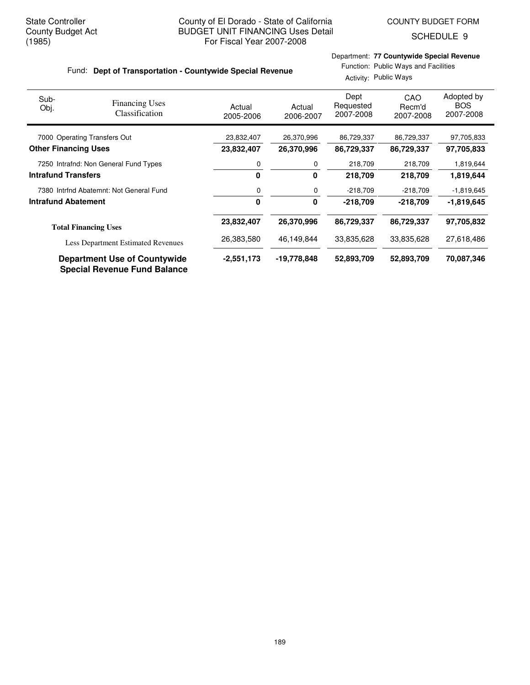SCHEDULE 9

## Fund: Dept of Transportation - Countywide Special Revenue

Department: **77 Countywide Special Revenue** Function: Public Ways and Facilities

Activity: Public Ways

| Sub-<br>Obj.                | <b>Financing Uses</b><br>Classification                                    | Actual<br>2005-2006 | Actual<br>2006-2007 | Dept<br>Requested<br>2007-2008 | CAO<br>Recm'd<br>2007-2008 | Adopted by<br><b>BOS</b><br>2007-2008 |
|-----------------------------|----------------------------------------------------------------------------|---------------------|---------------------|--------------------------------|----------------------------|---------------------------------------|
|                             | 7000 Operating Transfers Out                                               | 23,832,407          | 26,370,996          | 86,729,337                     | 86,729,337                 | 97,705,833                            |
| <b>Other Financing Uses</b> |                                                                            | 23,832,407          | 26,370,996          | 86,729,337                     | 86,729,337                 | 97,705,833                            |
|                             | 7250 Intrafnd: Non General Fund Types                                      | 0                   | 0                   | 218,709                        | 218,709                    | 1,819,644                             |
| <b>Intrafund Transfers</b>  |                                                                            | 0                   | 0                   | 218,709                        | 218,709                    | 1,819,644                             |
|                             | 7380 Intrfnd Abatemnt: Not General Fund                                    | 0                   | 0                   | $-218,709$                     | $-218,709$                 | $-1,819,645$                          |
| <b>Intrafund Abatement</b>  |                                                                            | $\mathbf{0}$        | 0                   | $-218,709$                     | $-218,709$                 | $-1,819.645$                          |
|                             | <b>Total Financing Uses</b>                                                | 23,832,407          | 26,370,996          | 86,729,337                     | 86,729,337                 | 97,705,832                            |
|                             | <b>Less Department Estimated Revenues</b>                                  | 26,383,580          | 46,149,844          | 33,835,628                     | 33,835,628                 | 27,618,486                            |
|                             | <b>Department Use of Countywide</b><br><b>Special Revenue Fund Balance</b> | $-2,551,173$        | -19,778,848         | 52,893,709                     | 52,893,709                 | 70.087,346                            |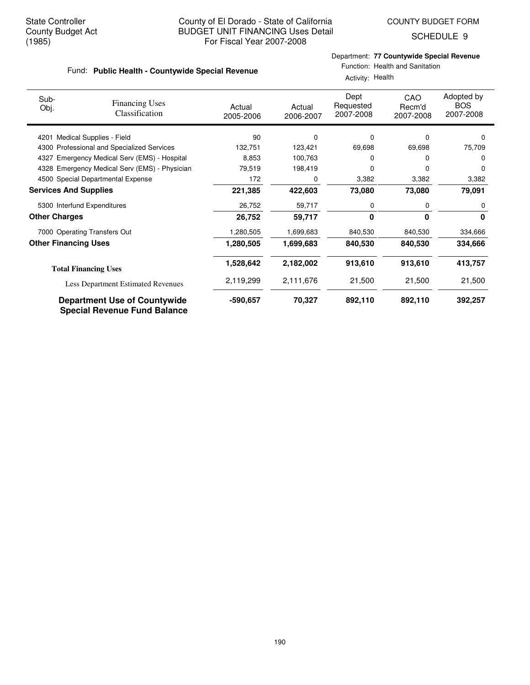SCHEDULE 9

# Department: **77 Countywide Special Revenue**

| Fund: Public Health - Countywide Special Revenue |
|--------------------------------------------------|

| partment: 77 Countywide Special Revenue |  |
|-----------------------------------------|--|
| Function: Health and Sanitation         |  |

| Activity: Health |  |
|------------------|--|
|                  |  |

| Sub-<br>Obj.                 | <b>Financing Uses</b><br>Classification                                    | Actual<br>2005-2006 | Actual<br>2006-2007 | Dept<br>Requested<br>2007-2008 | CAO<br>Recm'd<br>2007-2008 | Adopted by<br><b>BOS</b><br>2007-2008 |
|------------------------------|----------------------------------------------------------------------------|---------------------|---------------------|--------------------------------|----------------------------|---------------------------------------|
| 4201                         | Medical Supplies - Field                                                   | 90                  | $\Omega$            | 0                              | $\Omega$                   | 0                                     |
|                              | 4300 Professional and Specialized Services                                 | 132,751             | 123,421             | 69,698                         | 69,698                     | 75,709                                |
| 4327                         | Emergency Medical Serv (EMS) - Hospital                                    | 8,853               | 100,763             | 0                              | $\Omega$                   | 0                                     |
|                              | 4328 Emergency Medical Serv (EMS) - Physician                              | 79,519              | 198,419             | 0                              | 0                          | 0                                     |
|                              | 4500 Special Departmental Expense                                          | 172                 | $\Omega$            | 3,382                          | 3,382                      | 3,382                                 |
| <b>Services And Supplies</b> |                                                                            | 221,385             | 422,603             | 73,080                         | 73,080                     | 79,091                                |
|                              | 5300 Interfund Expenditures                                                | 26,752              | 59,717              | 0                              | 0                          | 0                                     |
| <b>Other Charges</b>         |                                                                            | 26,752              | 59,717              | 0                              | 0                          | $\mathbf{0}$                          |
|                              | 7000 Operating Transfers Out                                               | 1,280,505           | 1,699,683           | 840,530                        | 840,530                    | 334,666                               |
| <b>Other Financing Uses</b>  |                                                                            | 1,280,505           | 1,699,683           | 840,530                        | 840,530                    | 334,666                               |
|                              | <b>Total Financing Uses</b>                                                | 1,528,642           | 2,182,002           | 913,610                        | 913,610                    | 413,757                               |
|                              | <b>Less Department Estimated Revenues</b>                                  | 2,119,299           | 2,111,676           | 21,500                         | 21,500                     | 21,500                                |
|                              | <b>Department Use of Countywide</b><br><b>Special Revenue Fund Balance</b> | -590,657            | 70,327              | 892,110                        | 892,110                    | 392,257                               |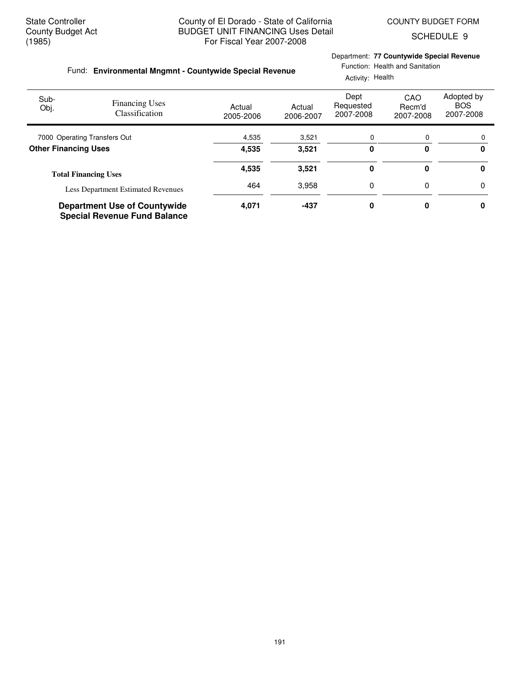Department: **77 Countywide Special Revenue**

Function: Health and Sanitation

SCHEDULE 9

## **Environmental Mngmnt - Countywide Special Revenue** Fund:

|                              |                                                                            |                     | Activity: Health    |                                |                            |                                       |
|------------------------------|----------------------------------------------------------------------------|---------------------|---------------------|--------------------------------|----------------------------|---------------------------------------|
| Sub-<br>Obj.                 | <b>Financing Uses</b><br>Classification                                    | Actual<br>2005-2006 | Actual<br>2006-2007 | Dept<br>Requested<br>2007-2008 | CAO<br>Recm'd<br>2007-2008 | Adopted by<br><b>BOS</b><br>2007-2008 |
| 7000 Operating Transfers Out |                                                                            | 4,535               | 3,521               | 0                              | 0                          |                                       |
| <b>Other Financing Uses</b>  |                                                                            | 4,535               | 3.521               | 0                              | 0                          | 0                                     |
|                              | <b>Total Financing Uses</b>                                                | 4,535               | 3,521               | 0                              | 0                          | 0                                     |
|                              | <b>Less Department Estimated Revenues</b>                                  | 464                 | 3,958               | 0                              | 0                          | 0                                     |
|                              | <b>Department Use of Countywide</b><br><b>Special Revenue Fund Balance</b> | 4,071               | $-437$              | 0                              | 0                          | 0                                     |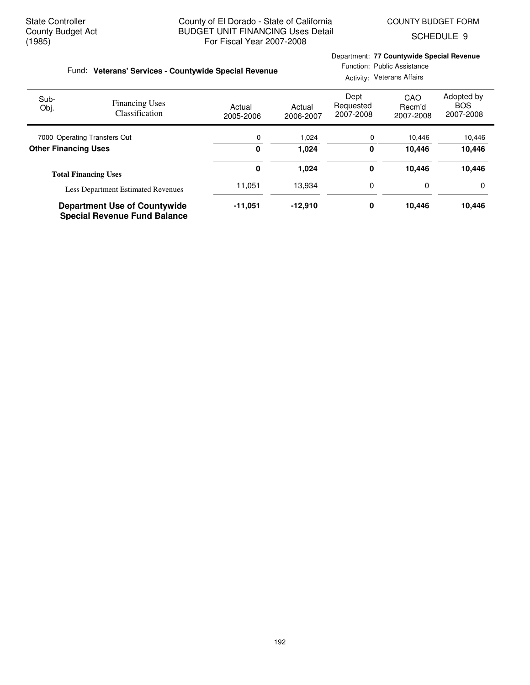SCHEDULE 9

### Fund: Veterans' Services - Countywide Special Revenue

## Department: **77 Countywide Special Revenue**

Function: Public Assistance Activity: Veterans Affairs

| Sub-<br>Obj.                 | <b>Financing Uses</b><br>Classification                                    | Actual<br>2005-2006 | Actual<br>2006-2007 | Dept<br>Requested<br>2007-2008 | CAO<br>Recm'd<br>2007-2008 | Adopted by<br><b>BOS</b><br>2007-2008 |
|------------------------------|----------------------------------------------------------------------------|---------------------|---------------------|--------------------------------|----------------------------|---------------------------------------|
| 7000 Operating Transfers Out |                                                                            | 0                   | 1,024               | 0                              | 10,446                     | 10,446                                |
| <b>Other Financing Uses</b>  |                                                                            | 0                   | 1,024               | 0                              | 10.446                     | 10,446                                |
|                              | <b>Total Financing Uses</b>                                                | 0                   | 1,024               | 0                              | 10.446                     | 10,446                                |
|                              | <b>Less Department Estimated Revenues</b>                                  | 11,051              | 13.934              | 0                              | 0                          | 0                                     |
|                              | <b>Department Use of Countywide</b><br><b>Special Revenue Fund Balance</b> | $-11.051$           | $-12,910$           | 0                              | 10.446                     | 10,446                                |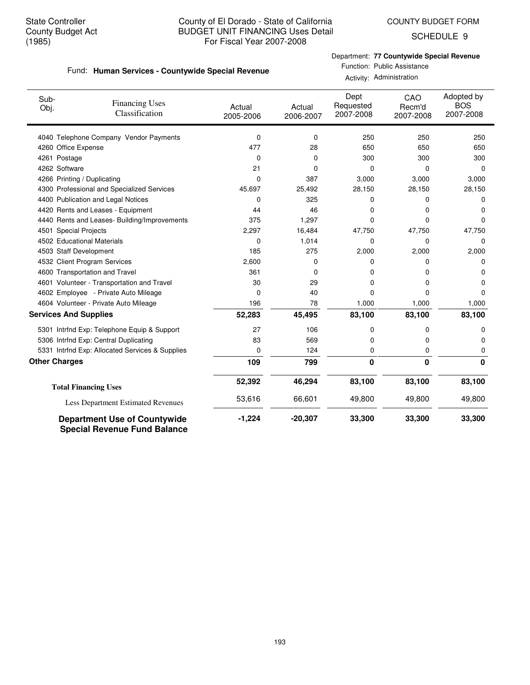SCHEDULE 9

## Department: **77 Countywide Special Revenue**

#### **Human Services - Countywide Special Revenue** Fund:

Function: Public Assistance Activity: Administration

| Sub-<br>Obj.                 | <b>Financing Uses</b><br>Classification                                    | Actual<br>2005-2006 | Actual<br>2006-2007 | Dept<br>Requested<br>2007-2008 | CAO<br>Recm'd<br>2007-2008 | Adopted by<br><b>BOS</b><br>2007-2008 |
|------------------------------|----------------------------------------------------------------------------|---------------------|---------------------|--------------------------------|----------------------------|---------------------------------------|
|                              | 4040 Telephone Company Vendor Payments                                     | 0                   | 0                   | 250                            | 250                        | 250                                   |
| 4260 Office Expense          |                                                                            | 477                 | 28                  | 650                            | 650                        | 650                                   |
| 4261 Postage                 |                                                                            | 0                   | 0                   | 300                            | 300                        | 300                                   |
| 4262 Software                |                                                                            | 21                  | 0                   | 0                              | 0                          | $\mathbf 0$                           |
|                              | 4266 Printing / Duplicating                                                | 0                   | 387                 | 3,000                          | 3,000                      | 3,000                                 |
|                              | 4300 Professional and Specialized Services                                 | 45,697              | 25,492              | 28,150                         | 28,150                     | 28,150                                |
|                              | 4400 Publication and Legal Notices                                         | 0                   | 325                 | 0                              | 0                          | 0                                     |
|                              | 4420 Rents and Leases - Equipment                                          | 44                  | 46                  | 0                              | 0                          | 0                                     |
|                              | 4440 Rents and Leases- Building/Improvements                               | 375                 | 1,297               | 0                              | 0                          | $\Omega$                              |
| 4501 Special Projects        |                                                                            | 2,297               | 16,484              | 47,750                         | 47,750                     | 47,750                                |
|                              | 4502 Educational Materials                                                 | 0                   | 1,014               | 0                              | 0                          | $\Omega$                              |
| 4503 Staff Development       |                                                                            | 185                 | 275                 | 2,000                          | 2,000                      | 2,000                                 |
|                              | 4532 Client Program Services                                               | 2,600               | 0                   | 0                              | 0                          | 0                                     |
|                              | 4600 Transportation and Travel                                             | 361                 | 0                   | 0                              | 0                          | 0                                     |
|                              | 4601 Volunteer - Transportation and Travel                                 | 30                  | 29                  | 0                              | 0                          | 0                                     |
|                              | 4602 Employee - Private Auto Mileage                                       | 0                   | 40                  | 0                              | 0                          | O                                     |
|                              | 4604 Volunteer - Private Auto Mileage                                      | 196                 | 78                  | 1,000                          | 1,000                      | 1,000                                 |
| <b>Services And Supplies</b> |                                                                            | 52,283              | 45,495              | 83,100                         | 83,100                     | 83,100                                |
|                              | 5301 Intrfnd Exp: Telephone Equip & Support                                | 27                  | 106                 | 0                              | 0                          | 0                                     |
|                              | 5306 Intrfnd Exp: Central Duplicating                                      | 83                  | 569                 | 0                              | 0                          | 0                                     |
|                              | 5331 Intrfnd Exp: Allocated Services & Supplies                            | 0                   | 124                 | 0                              | 0                          | 0                                     |
| <b>Other Charges</b>         |                                                                            | 109                 | 799                 | 0                              | $\bf{0}$                   | 0                                     |
|                              | <b>Total Financing Uses</b>                                                | 52,392              | 46,294              | 83,100                         | 83,100                     | 83,100                                |
|                              | Less Department Estimated Revenues                                         | 53,616              | 66,601              | 49,800                         | 49,800                     | 49,800                                |
|                              | <b>Department Use of Countywide</b><br><b>Special Revenue Fund Balance</b> | $-1,224$            | $-20,307$           | 33,300                         | 33,300                     | 33,300                                |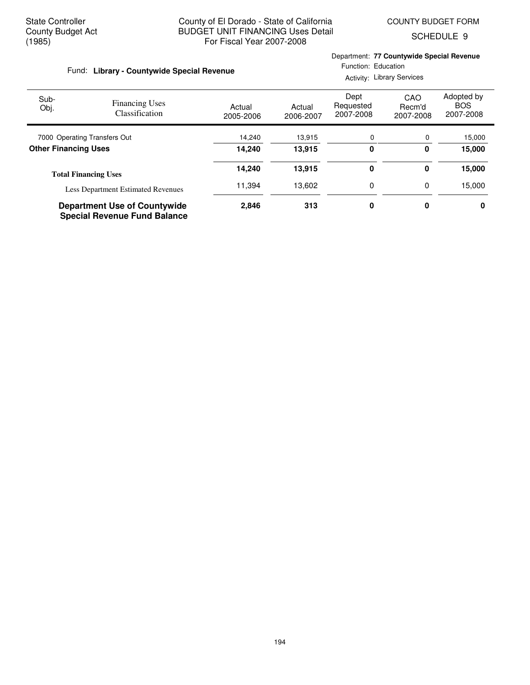Department: **77 Countywide Special Revenue**

SCHEDULE 9

| Fund: Library - Countywide Special Revenue |                                                                            |                     | Function: Education<br><b>Activity: Library Services</b> |                                |                            |                                       |  |
|--------------------------------------------|----------------------------------------------------------------------------|---------------------|----------------------------------------------------------|--------------------------------|----------------------------|---------------------------------------|--|
| Sub-<br>Obj.                               | <b>Financing Uses</b><br>Classification                                    | Actual<br>2005-2006 | Actual<br>2006-2007                                      | Dept<br>Requested<br>2007-2008 | CAO<br>Recm'd<br>2007-2008 | Adopted by<br><b>BOS</b><br>2007-2008 |  |
|                                            | 7000 Operating Transfers Out                                               | 14,240              | 13,915                                                   | 0                              | 0                          | 15,000                                |  |
| <b>Other Financing Uses</b>                |                                                                            | 14.240              | 13,915                                                   | 0                              | 0                          | 15,000                                |  |
|                                            | <b>Total Financing Uses</b>                                                | 14,240              | 13,915                                                   | 0                              | 0                          | 15,000                                |  |
|                                            | <b>Less Department Estimated Revenues</b>                                  | 11,394              | 13,602                                                   | 0                              | 0                          | 15,000                                |  |
|                                            | <b>Department Use of Countywide</b><br><b>Special Revenue Fund Balance</b> | 2,846               | 313                                                      | 0                              | 0                          | 0                                     |  |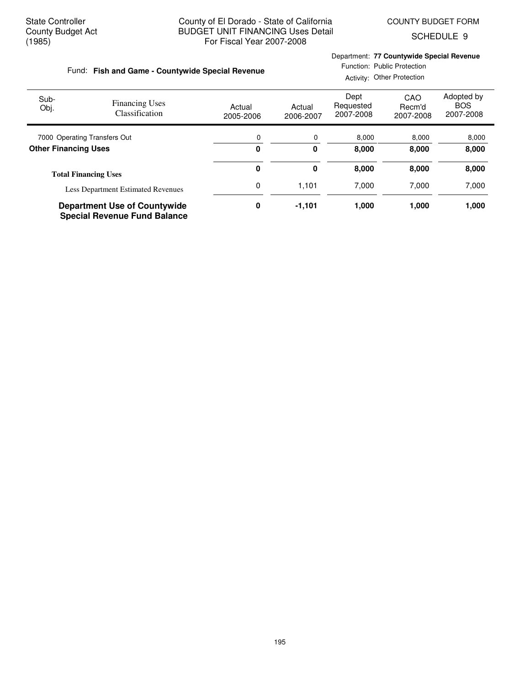SCHEDULE 9

## **Fish and Game - Countywide Special Revenue** Fund:

## Department: **77 Countywide Special Revenue**

Function: Public Protection

|                              |                                                                            |                     | Activity: Other Protection |                                |                            |                                       |
|------------------------------|----------------------------------------------------------------------------|---------------------|----------------------------|--------------------------------|----------------------------|---------------------------------------|
| Sub-<br>Obj.                 | <b>Financing Uses</b><br>Classification                                    | Actual<br>2005-2006 | Actual<br>2006-2007        | Dept<br>Requested<br>2007-2008 | CAO<br>Recm'd<br>2007-2008 | Adopted by<br><b>BOS</b><br>2007-2008 |
| 7000 Operating Transfers Out |                                                                            | 0                   | 0                          | 8,000                          | 8,000                      | 8,000                                 |
| <b>Other Financing Uses</b>  |                                                                            | 0                   | 0                          | 8,000                          | 8,000                      | 8,000                                 |
|                              | <b>Total Financing Uses</b>                                                | 0                   | 0                          | 8,000                          | 8,000                      | 8,000                                 |
|                              | <b>Less Department Estimated Revenues</b>                                  | 0                   | 1,101                      | 7,000                          | 7.000                      | 7,000                                 |
|                              | <b>Department Use of Countywide</b><br><b>Special Revenue Fund Balance</b> | 0                   | $-1,101$                   | 1,000                          | 1,000                      | 1,000                                 |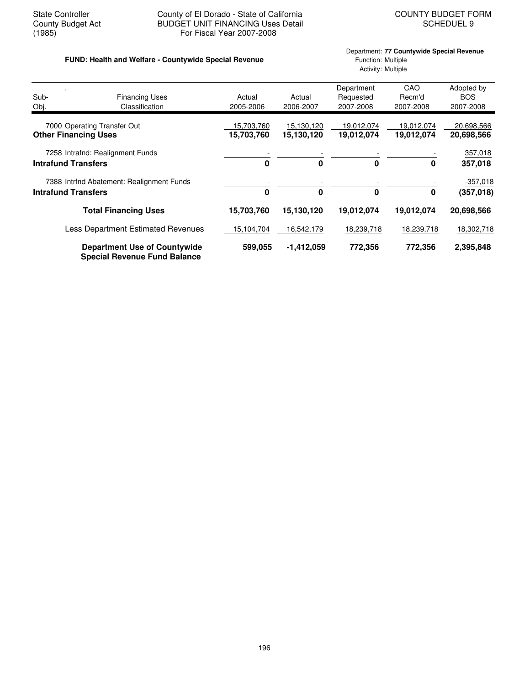## State Controller County of El Dorado - State of California<br>County Budget Act BUDGET UNIT FINANCING Uses Detail<br>SCHEDUEL 9 County Budget Act BUDGET UNIT FINANCING Uses Detail<br>(1985) For Fiscal Year 2007-2008 For Fiscal Year 2007-2008

## **FUND: Health and Welfare - Countywide Special Revenue** Function: Multiple

# Department: **77 Countywide Special Revenue** Activity: Multiple

| Sub-<br>Obj.                | <b>Financing Uses</b><br>Classification                                    | Actual<br>2005-2006      | Actual<br>2006-2007      | Department<br>Requested<br>2007-2008 | CAO<br>Recm'd<br>2007-2008 | Adopted by<br><b>BOS</b><br>2007-2008 |
|-----------------------------|----------------------------------------------------------------------------|--------------------------|--------------------------|--------------------------------------|----------------------------|---------------------------------------|
| <b>Other Financing Uses</b> | 7000 Operating Transfer Out                                                | 15,703,760<br>15,703,760 | 15,130,120<br>15,130,120 | 19,012,074<br>19,012,074             | 19.012.074<br>19,012,074   | 20,698,566<br>20,698,566              |
| <b>Intrafund Transfers</b>  | 7258 Intrafnd: Realignment Funds                                           | $\bf{0}$                 | 0                        | 0                                    | 0                          | 357,018<br>357,018                    |
| <b>Intrafund Transfers</b>  | 7388 Intrind Abatement: Realignment Funds                                  | $\bf{0}$                 | $\bf{0}$                 | $\mathbf 0$                          | 0                          | $-357,018$<br>(357, 018)              |
|                             | <b>Total Financing Uses</b>                                                | 15,703,760               | 15,130,120               | 19,012,074                           | 19,012,074                 | 20,698,566                            |
|                             | <b>Less Department Estimated Revenues</b>                                  | 15,104,704               | 16,542,179               | 18,239,718                           | 18,239,718                 | 18,302,718                            |
|                             | <b>Department Use of Countywide</b><br><b>Special Revenue Fund Balance</b> | 599,055                  | $-1,412,059$             | 772,356                              | 772,356                    | 2,395,848                             |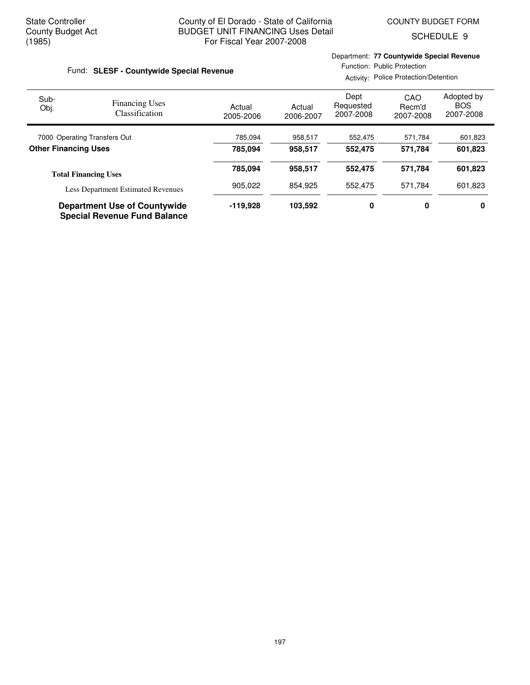Department: **77 Countywide Special Revenue**

SCHEDULE 9

| Fund: SLESF - Countywide Special Revenue                                   |                                                |                     | Function: Public Protection<br>Activity: Police Protection/Detention |                                |                            |                                       |
|----------------------------------------------------------------------------|------------------------------------------------|---------------------|----------------------------------------------------------------------|--------------------------------|----------------------------|---------------------------------------|
| Sub-<br>Obj.                                                               | <b>Financing Uses</b><br><b>Classification</b> | Actual<br>2005-2006 | Actual<br>2006-2007                                                  | Dept<br>Requested<br>2007-2008 | CAO<br>Recm'd<br>2007-2008 | Adopted by<br><b>BOS</b><br>2007-2008 |
| 7000 Operating Transfers Out                                               |                                                | 785,094             | 958,517                                                              | 552,475                        | 571,784                    | 601,823                               |
| <b>Other Financing Uses</b>                                                |                                                | 785.094             | 958.517                                                              | 552,475                        | 571.784                    | 601,823                               |
|                                                                            | <b>Total Financing Uses</b>                    | 785,094             | 958,517                                                              | 552,475                        | 571,784                    | 601,823                               |
|                                                                            | <b>Less Department Estimated Revenues</b>      | 905,022             | 854.925                                                              | 552,475                        | 571.784                    | 601,823                               |
| <b>Department Use of Countywide</b><br><b>Special Revenue Fund Balance</b> |                                                | $-119.928$          | 103,592                                                              | 0                              | 0                          | 0                                     |